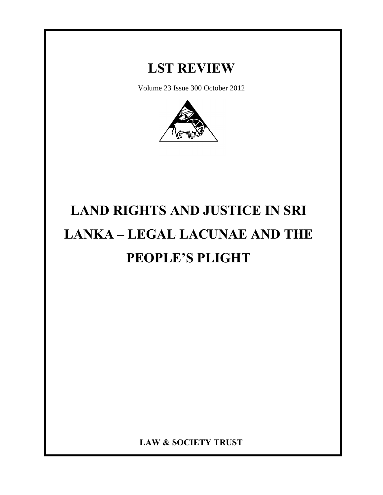# **LST REVIEW**

Volume 23 Issue 300 October 2012



# **LAND RIGHTS AND JUSTICE IN SRI LANKA – LEGAL LACUNAE AND THE PEOPLE'S PLIGHT**

**LAW & SOCIETY TRUST**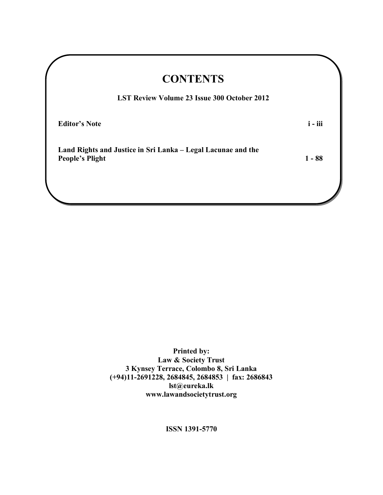| <b>CONTENTS</b>                                                                        |           |
|----------------------------------------------------------------------------------------|-----------|
| <b>LST Review Volume 23 Issue 300 October 2012</b>                                     |           |
| <b>Editor's Note</b>                                                                   | $i - iii$ |
| Land Rights and Justice in Sri Lanka – Legal Lacunae and the<br><b>People's Plight</b> | $1 - 88$  |
|                                                                                        |           |

**Printed by: Law & Society Trust 3 Kynsey Terrace, Colombo 8, Sri Lanka (+94)11-2691228, 2684845, 2684853 | fax: 2686843 lst@eureka.lk www.lawandsocietytrust.org**

**ISSN 1391-5770**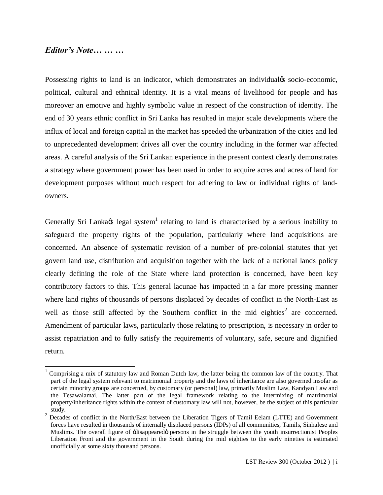### *Editor's Note… … …*

Possessing rights to land is an indicator, which demonstrates an individual is socio-economic, political, cultural and ethnical identity. It is a vital means of livelihood for people and has moreover an emotive and highly symbolic value in respect of the construction of identity. The end of 30 years ethnic conflict in Sri Lanka has resulted in major scale developments where the influx of local and foreign capital in the market has speeded the urbanization of the cities and led to unprecedented development drives all over the country including in the former war affected areas. A careful analysis of the Sri Lankan experience in the present context clearly demonstrates a strategy where government power has been used in order to acquire acres and acres of land for development purposes without much respect for adhering to law or individual rights of landowners.

Generally Sri Lanka $\alpha$  legal system<sup>1</sup> relating to land is characterised by a serious inability to safeguard the property rights of the population, particularly where land acquisitions are concerned. An absence of systematic revision of a number of pre-colonial statutes that yet govern land use, distribution and acquisition together with the lack of a national lands policy clearly defining the role of the State where land protection is concerned, have been key contributory factors to this. This general lacunae has impacted in a far more pressing manner where land rights of thousands of persons displaced by decades of conflict in the North-East as well as those still affected by the Southern conflict in the mid eighties<sup>2</sup> are concerned. Amendment of particular laws, particularly those relating to prescription, is necessary in order to assist repatriation and to fully satisfy the requirements of voluntary, safe, secure and dignified return.

 $1$  Comprising a mix of statutory law and Roman Dutch law, the latter being the common law of the country. That part of the legal system relevant to matrimonial property and the laws of inheritance are also governed insofar as certain minority groups are concerned, by customary (or personal) law, primarily Muslim Law, Kandyan Law and the Tesawalamai. The latter part of the legal framework relating to the intermixing of matrimonial property/inheritance rights within the context of customary law will not, however, be the subject of this particular study.

<sup>&</sup>lt;sup>2</sup> Decades of conflict in the North/East between the Liberation Tigers of Tamil Eelam (LTTE) and Government forces have resulted in thousands of internally displaced persons (IDPs) of all communities, Tamils, Sinhalese and Muslims. The overall figure of -disappeared persons in the struggle between the youth insurrectionist Peoples Liberation Front and the government in the South during the mid eighties to the early nineties is estimated unofficially at some sixty thousand persons.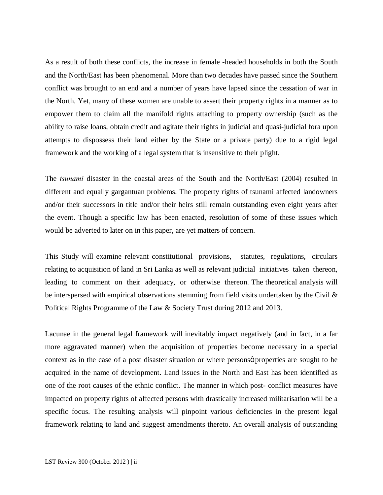As a result of both these conflicts, the increase in female -headed households in both the South and the North/East has been phenomenal. More than two decades have passed since the Southern conflict was brought to an end and a number of years have lapsed since the cessation of war in the North. Yet, many of these women are unable to assert their property rights in a manner as to empower them to claim all the manifold rights attaching to property ownership (such as the ability to raise loans, obtain credit and agitate their rights in judicial and quasi-judicial fora upon attempts to dispossess their land either by the State or a private party) due to a rigid legal framework and the working of a legal system that is insensitive to their plight.

The *tsunami* disaster in the coastal areas of the South and the North/East (2004) resulted in different and equally gargantuan problems. The property rights of tsunami affected landowners and/or their successors in title and/or their heirs still remain outstanding even eight years after the event. Though a specific law has been enacted, resolution of some of these issues which would be adverted to later on in this paper, are yet matters of concern.

This Study will examine relevant constitutional provisions, statutes, regulations, circulars relating to acquisition of land in Sri Lanka as well as relevant judicial initiatives taken thereon, leading to comment on their adequacy, or otherwise thereon. The theoretical analysis will be interspersed with empirical observations stemming from field visits undertaken by the Civil & Political Rights Programme of the Law & Society Trust during 2012 and 2013.

Lacunae in the general legal framework will inevitably impact negatively (and in fact, in a far more aggravated manner) when the acquisition of properties become necessary in a special context as in the case of a post disaster situation or where persons properties are sought to be acquired in the name of development. Land issues in the North and East has been identified as one of the root causes of the ethnic conflict. The manner in which post- conflict measures have impacted on property rights of affected persons with drastically increased militarisation will be a specific focus. The resulting analysis will pinpoint various deficiencies in the present legal framework relating to land and suggest amendments thereto. An overall analysis of outstanding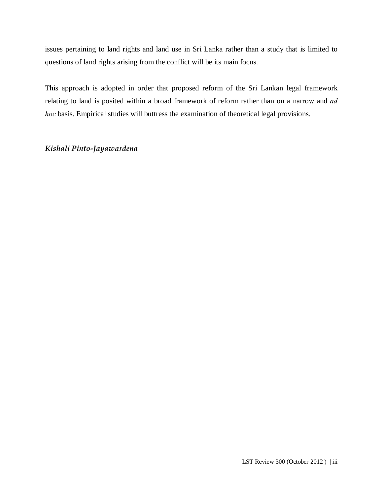issues pertaining to land rights and land use in Sri Lanka rather than a study that is limited to questions of land rights arising from the conflict will be its main focus.

This approach is adopted in order that proposed reform of the Sri Lankan legal framework relating to land is posited within a broad framework of reform rather than on a narrow and *ad hoc* basis. Empirical studies will buttress the examination of theoretical legal provisions.

#### *Kishali Pinto-Jayawardena*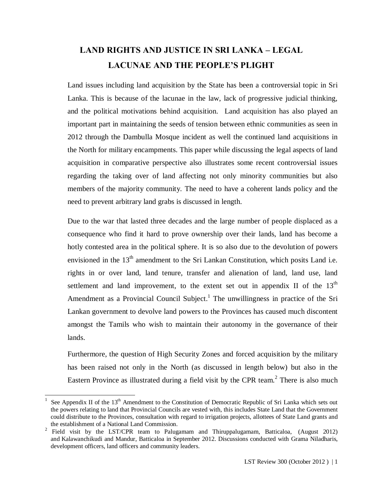# **LAND RIGHTS AND JUSTICE IN SRI LANKA – LEGAL LACUNAE AND THE PEOPLE'S PLIGHT**

Land issues including land acquisition by the State has been a controversial topic in Sri Lanka. This is because of the lacunae in the law, lack of progressive judicial thinking, and the political motivations behind acquisition. Land acquisition has also played an important part in maintaining the seeds of tension between ethnic communities as seen in 2012 through the Dambulla Mosque incident as well the continued land acquisitions in the North for military encampments. This paper while discussing the legal aspects of land acquisition in comparative perspective also illustrates some recent controversial issues regarding the taking over of land affecting not only minority communities but also members of the majority community. The need to have a coherent lands policy and the need to prevent arbitrary land grabs is discussed in length.

Due to the war that lasted three decades and the large number of people displaced as a consequence who find it hard to prove ownership over their lands, land has become a hotly contested area in the political sphere. It is so also due to the devolution of powers envisioned in the  $13<sup>th</sup>$  amendment to the Sri Lankan Constitution, which posits Land i.e. rights in or over land, land tenure, transfer and alienation of land, land use, land settlement and land improvement, to the extent set out in appendix II of the  $13<sup>th</sup>$ Amendment as a Provincial Council Subject.<sup>1</sup> The unwillingness in practice of the Sri Lankan government to devolve land powers to the Provinces has caused much discontent amongst the Tamils who wish to maintain their autonomy in the governance of their lands.

Furthermore, the question of High Security Zones and forced acquisition by the military has been raised not only in the North (as discussed in length below) but also in the Eastern Province as illustrated during a field visit by the CPR team.<sup>2</sup> There is also much

See Appendix II of the 13<sup>th</sup> Amendment to the Constitution of Democratic Republic of Sri Lanka which sets out the powers relating to land that Provincial Councils are vested with, this includes State Land that the Government could distribute to the Provinces, consultation with regard to irrigation projects, allottees of State Land grants and the establishment of a National Land Commission.

<sup>&</sup>lt;sup>2</sup> Field visit by the LST/CPR team to Palugamam and Thiruppalugamam, Batticaloa, (August 2012) and Kalawanchikudi and Mandur, Batticaloa in September 2012. Discussions conducted with Grama Niladharis, development officers, land officers and community leaders.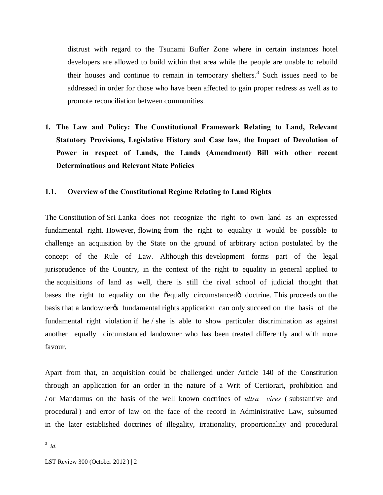distrust with regard to the Tsunami Buffer Zone where in certain instances hotel developers are allowed to build within that area while the people are unable to rebuild their houses and continue to remain in temporary shelters.<sup>3</sup> Such issues need to be addressed in order for those who have been affected to gain proper redress as well as to promote reconciliation between communities.

**1. The Law and Policy: The Constitutional Framework Relating to Land, Relevant Statutory Provisions, Legislative History and Case law, the Impact of Devolution of Power in respect of Lands, the Lands (Amendment) Bill with other recent Determinations and Relevant State Policies**

#### **1.1. Overview of the Constitutional Regime Relating to Land Rights**

The Constitution of Sri Lanka does not recognize the right to own land as an expressed fundamental right. However, flowing from the right to equality it would be possible to challenge an acquisition by the State on the ground of arbitrary action postulated by the concept of the Rule of Law. Although this development forms part of the legal jurisprudence of the Country, in the context of the right to equality in general applied to the acquisitions of land as well, there is still the rival school of judicial thought that bases the right to equality on the  $\tilde{\text{cequally}}$  circumstanced doctrine. This proceeds on the basis that a landowner of fundamental rights application can only succeed on the basis of the fundamental right violation if he / she is able to show particular discrimination as against another equally circumstanced landowner who has been treated differently and with more favour.

Apart from that, an acquisition could be challenged under Article 140 of the Constitution through an application for an order in the nature of a Writ of Certiorari, prohibition and / or Mandamus on the basis of the well known doctrines of *ultra – vires* ( substantive and procedural ) and error of law on the face of the record in Administrative Law, subsumed in the later established doctrines of illegality, irrationality, proportionality and procedural

 <sup>3</sup> *id.*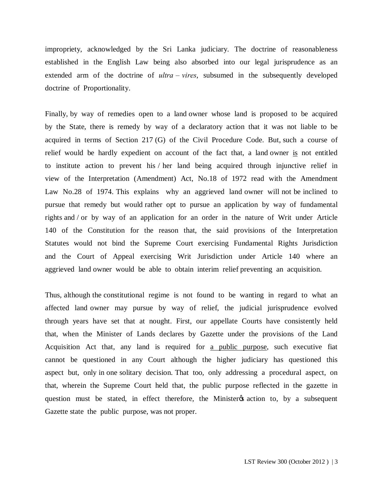impropriety, acknowledged by the Sri Lanka judiciary. The doctrine of reasonableness established in the English Law being also absorbed into our legal jurisprudence as an extended arm of the doctrine of *ultra – vires*, subsumed in the subsequently developed doctrine of Proportionality.

Finally, by way of remedies open to a land owner whose land is proposed to be acquired by the State, there is remedy by way of a declaratory action that it was not liable to be acquired in terms of Section 217 (G) of the Civil Procedure Code. But, such a course of relief would be hardly expedient on account of the fact that, a land owner is not entitled to institute action to prevent his / her land being acquired through injunctive relief in view of the Interpretation (Amendment) Act, No.18 of 1972 read with the Amendment Law No.28 of 1974. This explains why an aggrieved land owner will not be inclined to pursue that remedy but would rather opt to pursue an application by way of fundamental rights and / or by way of an application for an order in the nature of Writ under Article 140 of the Constitution for the reason that, the said provisions of the Interpretation Statutes would not bind the Supreme Court exercising Fundamental Rights Jurisdiction and the Court of Appeal exercising Writ Jurisdiction under Article 140 where an aggrieved land owner would be able to obtain interim relief preventing an acquisition.

Thus, although the constitutional regime is not found to be wanting in regard to what an affected land owner may pursue by way of relief, the judicial jurisprudence evolved through years have set that at nought. First, our appellate Courts have consistently held that, when the Minister of Lands declares by Gazette under the provisions of the Land Acquisition Act that, any land is required for a public purpose, such executive fiat cannot be questioned in any Court although the higher judiciary has questioned this aspect but, only in one solitary decision. That too, only addressing a procedural aspect, on that, wherein the Supreme Court held that, the public purpose reflected in the gazette in question must be stated, in effect therefore, the Minister & action to, by a subsequent Gazette state the public purpose, was not proper.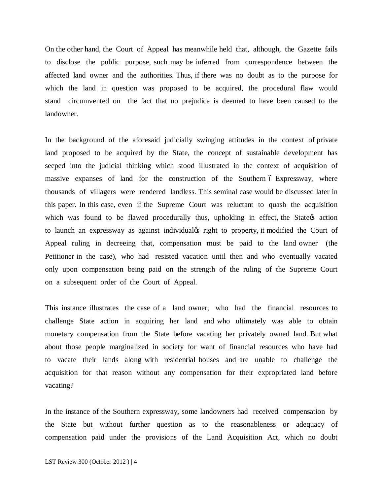On the other hand, the Court of Appeal has meanwhile held that, although, the Gazette fails to disclose the public purpose, such may be inferred from correspondence between the affected land owner and the authorities. Thus, if there was no doubt as to the purpose for which the land in question was proposed to be acquired, the procedural flaw would stand circumvented on the fact that no prejudice is deemed to have been caused to the landowner.

In the background of the aforesaid judicially swinging attitudes in the context of private land proposed to be acquired by the State, the concept of sustainable development has seeped into the judicial thinking which stood illustrated in the context of acquisition of massive expanses of land for the construction of the Southern 6 Expressway, where thousands of villagers were rendered landless. This seminal case would be discussed later in this paper. In this case, even if the Supreme Court was reluctant to quash the acquisition which was found to be flawed procedurally thus, upholding in effect, the State ts action to launch an expressway as against individual is right to property, it modified the Court of Appeal ruling in decreeing that, compensation must be paid to the land owner (the Petitioner in the case), who had resisted vacation until then and who eventually vacated only upon compensation being paid on the strength of the ruling of the Supreme Court on a subsequent order of the Court of Appeal.

This instance illustrates the case of a land owner, who had the financial resources to challenge State action in acquiring her land and who ultimately was able to obtain monetary compensation from the State before vacating her privately owned land. But what about those people marginalized in society for want of financial resources who have had to vacate their lands along with residential houses and are unable to challenge the acquisition for that reason without any compensation for their expropriated land before vacating?

In the instance of the Southern expressway, some landowners had received compensation by the State but without further question as to the reasonableness or adequacy of compensation paid under the provisions of the Land Acquisition Act, which no doubt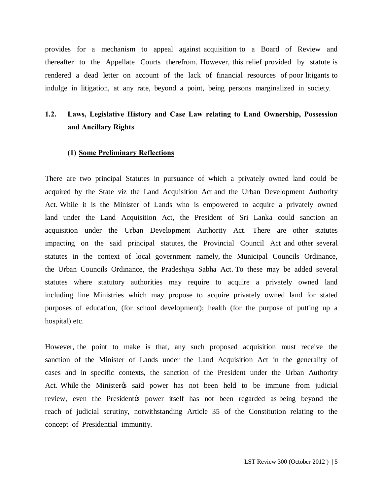provides for a mechanism to appeal against acquisition to a Board of Review and thereafter to the Appellate Courts therefrom. However, this relief provided by statute is rendered a dead letter on account of the lack of financial resources of poor litigants to indulge in litigation, at any rate, beyond a point, being persons marginalized in society.

# **1.2. Laws, Legislative History and Case Law relating to Land Ownership, Possession and Ancillary Rights**

#### **(1) Some Preliminary Reflections**

There are two principal Statutes in pursuance of which a privately owned land could be acquired by the State viz the Land Acquisition Act and the Urban Development Authority Act. While it is the Minister of Lands who is empowered to acquire a privately owned land under the Land Acquisition Act, the President of Sri Lanka could sanction an acquisition under the Urban Development Authority Act. There are other statutes impacting on the said principal statutes, the Provincial Council Act and other several statutes in the context of local government namely, the Municipal Councils Ordinance, the Urban Councils Ordinance, the Pradeshiya Sabha Act. To these may be added several statutes where statutory authorities may require to acquire a privately owned land including line Ministries which may propose to acquire privately owned land for stated purposes of education, (for school development); health (for the purpose of putting up a hospital) etc.

However, the point to make is that, any such proposed acquisition must receive the sanction of the Minister of Lands under the Land Acquisition Act in the generality of cases and in specific contexts, the sanction of the President under the Urban Authority Act. While the Minister as said power has not been held to be immune from judicial review, even the Presidentos power itself has not been regarded as being beyond the reach of judicial scrutiny, notwithstanding Article 35 of the Constitution relating to the concept of Presidential immunity.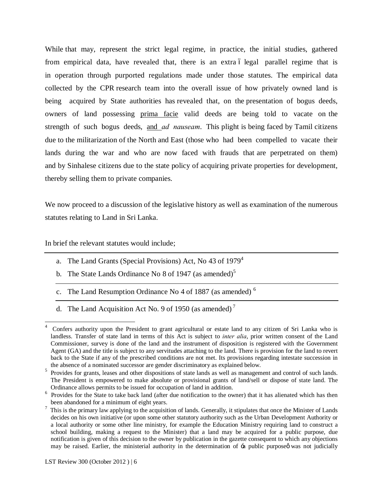While that may, represent the strict legal regime, in practice, the initial studies, gathered from empirical data, have revealed that, there is an extra  $\acute{o}$  legal parallel regime that is in operation through purported regulations made under those statutes. The empirical data collected by the CPR research team into the overall issue of how privately owned land is being acquired by State authorities has revealed that, on the presentation of bogus deeds, owners of land possessing prima facie valid deeds are being told to vacate on the strength of such bogus deeds, and *ad nauseam*. This plight is being faced by Tamil citizens due to the militarization of the North and East (those who had been compelled to vacate their lands during the war and who are now faced with frauds that are perpetrated on them) and by Sinhalese citizens due to the state policy of acquiring private properties for development, thereby selling them to private companies.

We now proceed to a discussion of the legislative history as well as examination of the numerous statutes relating to Land in Sri Lanka.

In brief the relevant statutes would include;

- a. The Land Grants (Special Provisions) Act, No 43 of 1979<sup>4</sup>
- b. The State Lands Ordinance No 8 of 1947 (as amended)<sup>5</sup>
- c. The Land Resumption Ordinance No 4 of 1887 (as amended)  $<sup>6</sup>$ </sup>
- d. The Land Acquisition Act No. 9 of 1950 (as amended)<sup>7</sup>

 <sup>4</sup> Confers authority upon the President to grant agricultural or estate land to any citizen of Sri Lanka who is landless. Transfer of state land in terms of this Act is subject to *inter alia*, prior written consent of the Land Commissioner, survey is done of the land and the instrument of disposition is registered with the Government Agent (GA) and the title is subject to any servitudes attaching to the land. There is provision for the land to revert back to the State if any of the prescribed conditions are not met. Its provisions regarding intestate succession in the absence of a nominated successor are gender discriminatory as explained below.

<sup>&</sup>lt;sup>5</sup> Provides for grants, leases and other dispositions of state lands as well as management and control of such lands. The President is empowered to make absolute or provisional grants of land/sell or dispose of state land. The

Ordinance allows permits to be issued for occupation of land in addition.<br><sup>6</sup> Provides for the State to take back land (after due notification to the owner) that it has alienated which has then been abandoned for a minimum of eight years.

<sup>7</sup> This is the primary law applying to the acquisition of lands. Generally, it stipulates that once the Minister of Lands decides on his own initiative (or upon some other statutory authority such as the Urban Development Authority or a local authority or some other line ministry, for example the Education Ministry requiring land to construct a school building, making a request to the Minister) that a land may be acquired for a public purpose, due notification is given of this decision to the owner by publication in the gazette consequent to which any objections may be raised. Earlier, the ministerial authority in the determination of  $\div$ a public purpose $\phi$  was not judicially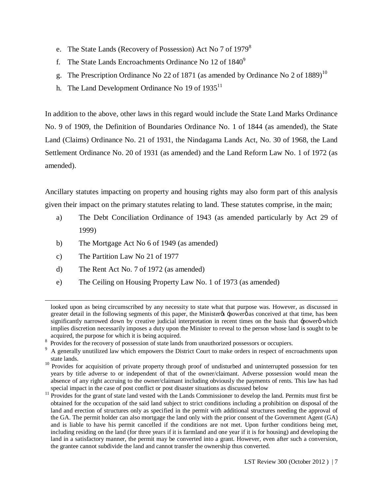- e. The State Lands (Recovery of Possession) Act No 7 of 1979<sup>8</sup>
- f. The State Lands Encroachments Ordinance No 12 of  $1840^9$
- g. The Prescription Ordinance No 22 of 1871 (as amended by Ordinance No 2 of 1889)<sup>10</sup>
- h. The Land Development Ordinance No 19 of  $1935<sup>11</sup>$

In addition to the above, other laws in this regard would include the State Land Marks Ordinance No. 9 of 1909, the Definition of Boundaries Ordinance No. 1 of 1844 (as amended), the State Land (Claims) Ordinance No. 21 of 1931, the Nindagama Lands Act, No. 30 of 1968, the Land Settlement Ordinance No. 20 of 1931 (as amended) and the Land Reform Law No. 1 of 1972 (as amended).

Ancillary statutes impacting on property and housing rights may also form part of this analysis given their impact on the primary statutes relating to land. These statutes comprise, in the main;

- a) The Debt Conciliation Ordinance of 1943 (as amended particularly by Act 29 of 1999)
- b) The Mortgage Act No 6 of 1949 (as amended)
- c) The Partition Law No 21 of 1977

 $\overline{a}$ 

- d) The Rent Act No. 7 of 1972 (as amended)
- e) The Ceiling on Housing Property Law No. 1 of 1973 (as amended)

looked upon as being circumscribed by any necessity to state what that purpose was. However, as discussed in greater detail in the following segments of this paper, the Minister  $\alpha$  -power as conceived at that time, has been significantly narrowed down by creative judicial interpretation in recent times on the basis that  $\pm$ powerø which implies discretion necessarily imposes a duty upon the Minister to reveal to the person whose land is sought to be acquired, the purpose for which it is being acquired.

<sup>8</sup> Provides for the recovery of possession of state lands from unauthorized possessors or occupiers.

A generally unutilized law which empowers the District Court to make orders in respect of encroachments upon state lands.

<sup>&</sup>lt;sup>10</sup> Provides for acquisition of private property through proof of undisturbed and uninterrupted possession for ten years by title adverse to or independent of that of the owner/claimant. Adverse possession would mean the absence of any right accruing to the owner/claimant including obviously the payments of rents. This law has had special impact in the case of post conflict or post disaster situations as discussed below

<sup>&</sup>lt;sup>11</sup> Provides for the grant of state land vested with the Lands Commissioner to develop the land. Permits must first be obtained for the occupation of the said land subject to strict conditions including a prohibition on disposal of the land and erection of structures only as specified in the permit with additional structures needing the approval of the GA. The permit holder can also mortgage the land only with the prior consent of the Government Agent (GA) and is liable to have his permit cancelled if the conditions are not met. Upon further conditions being met, including residing on the land (for three years if it is farmland and one year if it is for housing) and developing the land in a satisfactory manner, the permit may be converted into a grant. However, even after such a conversion, the grantee cannot subdivide the land and cannot transfer the ownership thus converted.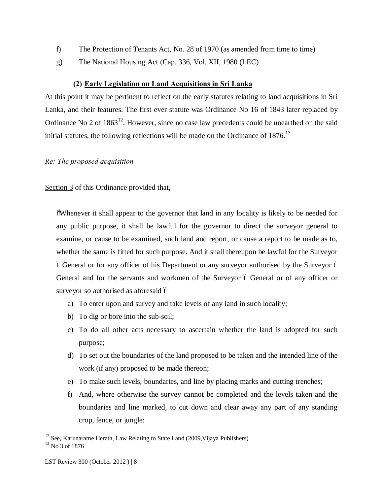- f) The Protection of Tenants Act, No. 28 of 1970 (as amended from time to time)
- g) The National Housing Act (Cap. 336, Vol. XII, 1980 (LEC)

#### **(2) Early Legislation on Land Acquisitions in Sri Lanka**

At this point it may be pertinent to reflect on the early statutes relating to land acquisitions in Sri Lanka, and their features. The first ever statute was Ordinance No 16 of 1843 later replaced by Ordinance No 2 of  $1863^{12}$ . However, since no case law precedents could be unearthed on the said initial statutes, the following reflections will be made on the Ordinance of  $1876$ .<sup>13</sup>

#### *Re: The proposed acquisition*

Section 3 of this Ordinance provided that,

"Whenever it shall appear to the governor that land in any locality is likely to be needed for any public purpose, it shall be lawful for the governor to direct the surveyor general to examine, or cause to be examined, such land and report, or cause a report to be made as to, whether the same is fitted for such purpose. And it shall thereupon be lawful for the Surveyor 6 General or for any officer of his Department or any surveyor authorised by the Surveyor 6 General and for the servants and workmen of the Surveyor 6 General or of any officer or surveyor so authorised as aforesaid ó

- a) To enter upon and survey and take levels of any land in such locality;
- b) To dig or bore into the sub-soil;
- c) To do all other acts necessary to ascertain whether the land is adopted for such purpose;
- d) To set out the boundaries of the land proposed to be taken and the intended line of the work (if any) proposed to be made thereon;
- e) To make such levels, boundaries, and line by placing marks and cutting trenches;
- f) And, where otherwise the survey cannot be completed and the levels taken and the boundaries and line marked, to cut down and clear away any part of any standing crop, fence, or jungle:

<sup>&</sup>lt;sup>12</sup> See, Karunaratne Herath, Law Relating to State Land (2009, Vijaya Publishers)

 $13$  No 3 of 1876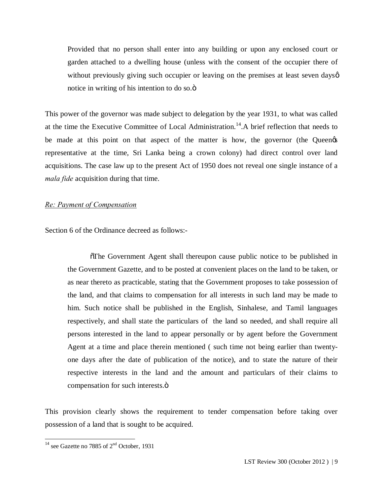Provided that no person shall enter into any building or upon any enclosed court or garden attached to a dwelling house (unless with the consent of the occupier there of without previously giving such occupier or leaving on the premises at least seven dayso notice in writing of his intention to do so. $\ddot{o}$ 

This power of the governor was made subject to delegation by the year 1931, to what was called at the time the Executive Committee of Local Administration.<sup>14</sup>.A brief reflection that needs to be made at this point on that aspect of the matter is how, the governor (the Queen $\alpha$ representative at the time, Sri Lanka being a crown colony) had direct control over land acquisitions. The case law up to the present Act of 1950 does not reveal one single instance of a *mala fide* acquisition during that time.

#### *Re: Payment of Compensation*

Section 6 of the Ordinance decreed as follows:-

"The Government Agent shall thereupon cause public notice to be published in the Government Gazette, and to be posted at convenient places on the land to be taken, or as near thereto as practicable, stating that the Government proposes to take possession of the land, and that claims to compensation for all interests in such land may be made to him. Such notice shall be published in the English, Sinhalese, and Tamil languages respectively, and shall state the particulars of the land so needed, and shall require all persons interested in the land to appear personally or by agent before the Government Agent at a time and place therein mentioned ( such time not being earlier than twentyone days after the date of publication of the notice), and to state the nature of their respective interests in the land and the amount and particulars of their claims to compensation for such interests. $\ddot{\text{o}}$ 

This provision clearly shows the requirement to tender compensation before taking over possession of a land that is sought to be acquired.

 $\frac{14}{14}$  see Gazette no 7885 of  $2<sup>nd</sup>$  October, 1931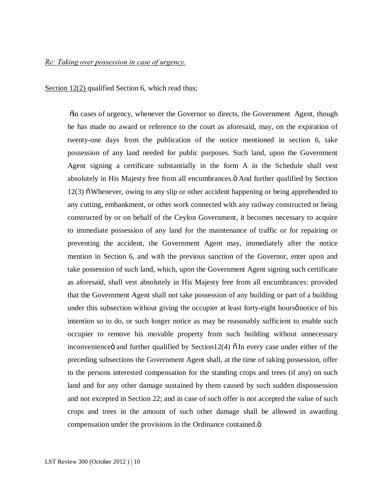#### *Re: Taking over possession in case of urgency.*

Section 12(2) qualified Section 6, which read thus;

 $\ddot{\text{o}}$  in cases of urgency, whenever the Governor so directs, the Government Agent, though he has made no award or reference to the court as aforesaid, may, on the expiration of twenty-one days from the publication of the notice mentioned in section 6, take possession of any land needed for public purposes. Such land, upon the Government Agent signing a certificate substantially in the form A in the Schedule shall vest absolutely in His Majesty free from all encumbrances. $\ddot{o}$  And further qualified by Section  $12(3)$   $\delta$  Whenever, owing to any slip or other accident happening or being apprehended to any cutting, embankment, or other work connected with any railway constructed or being constructed by or on behalf of the Ceylon Government, it becomes necessary to acquire to immediate possession of any land for the maintenance of traffic or for repairing or preventing the accident, the Government Agent may, immediately after the notice mention in Section 6, and with the previous sanction of the Governor, enter upon and take possession of such land, which, upon the Government Agent signing such certificate as aforesaid, shall vest absolutely in His Majesty free from all encumbrances: provided that the Government Agent shall not take possession of any building or part of a building under this subsection without giving the occupier at least forty-eight hourse notice of his intention so to do, or such longer notice as may be reasonably sufficient to enable such occupier to remove his movable property from such building without unnecessary inconvenience  $\ddot{\text{o}}$  and further qualified by Section12(4)  $\ddot{\text{o}}$  In every case under either of the preceding subsections the Government Agent shall, at the time of taking possession, offer to the persons interested compensation for the standing crops and trees (if any) on such land and for any other damage sustained by them caused by such sudden dispossession and not excepted in Section 22; and in case of such offer is not accepted the value of such crops and trees in the amount of such other damage shall be allowed in awarding compensation under the provisions in the Ordinance contained. $\ddot{o}$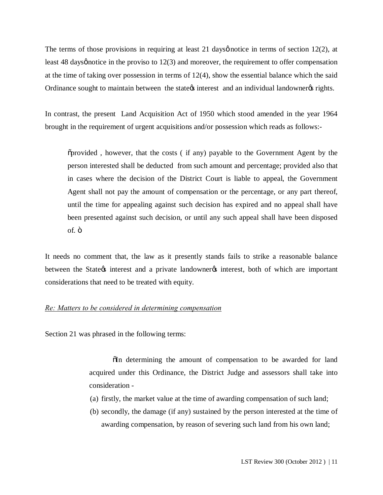The terms of those provisions in requiring at least 21 days notice in terms of section  $12(2)$ , at least 48 days *g* notice in the proviso to  $12(3)$  and moreover, the requirement to offer compensation at the time of taking over possession in terms of  $12(4)$ , show the essential balance which the said Ordinance sought to maintain between the state interest and an individual landowner  $\alpha$  rights.

In contrast, the present Land Acquisition Act of 1950 which stood amended in the year 1964 brought in the requirement of urgent acquisitions and/or possession which reads as follows:-

"provided , however, that the costs ( if any) payable to the Government Agent by the person interested shall be deducted from such amount and percentage; provided also that in cases where the decision of the District Court is liable to appeal, the Government Agent shall not pay the amount of compensation or the percentage, or any part thereof, until the time for appealing against such decision has expired and no appeal shall have been presented against such decision, or until any such appeal shall have been disposed of. ö

It needs no comment that, the law as it presently stands fails to strike a reasonable balance between the State interest and a private landowner interest, both of which are important considerations that need to be treated with equity.

#### *Re: Matters to be considered in determining compensation*

Section 21 was phrased in the following terms:

 $\delta$ In determining the amount of compensation to be awarded for land acquired under this Ordinance, the District Judge and assessors shall take into consideration -

- (a) firstly, the market value at the time of awarding compensation of such land;
- (b) secondly, the damage (if any) sustained by the person interested at the time of awarding compensation, by reason of severing such land from his own land;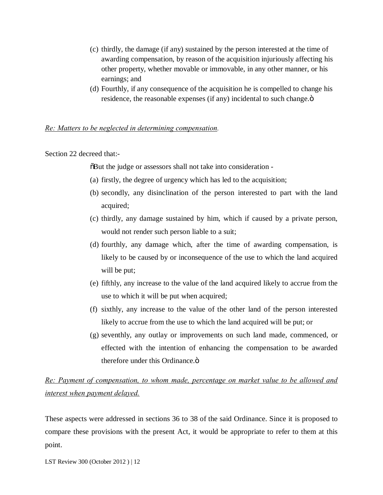- (c) thirdly, the damage (if any) sustained by the person interested at the time of awarding compensation, by reason of the acquisition injuriously affecting his other property, whether movable or immovable, in any other manner, or his earnings; and
- (d) Fourthly, if any consequence of the acquisition he is compelled to change his residence, the reasonable expenses (if any) incidental to such change. $\ddot{o}$

#### *Re: Matters to be neglected in determining compensation.*

Section 22 decreed that:-

 $\delta$ But the judge or assessors shall not take into consideration -

- (a) firstly, the degree of urgency which has led to the acquisition;
- (b) secondly, any disinclination of the person interested to part with the land acquired;
- (c) thirdly, any damage sustained by him, which if caused by a private person, would not render such person liable to a suit;
- (d) fourthly, any damage which, after the time of awarding compensation, is likely to be caused by or inconsequence of the use to which the land acquired will be put;
- (e) fifthly, any increase to the value of the land acquired likely to accrue from the use to which it will be put when acquired;
- (f) sixthly, any increase to the value of the other land of the person interested likely to accrue from the use to which the land acquired will be put; or
- (g) seventhly, any outlay or improvements on such land made, commenced, or effected with the intention of enhancing the compensation to be awarded therefore under this Ordinance. $\ddot{\text{o}}$

*Re: Payment of compensation, to whom made, percentage on market value to be allowed and interest when payment delayed.*

These aspects were addressed in sections 36 to 38 of the said Ordinance. Since it is proposed to compare these provisions with the present Act, it would be appropriate to refer to them at this point.

LST Review 300 (October 2012 ) | 12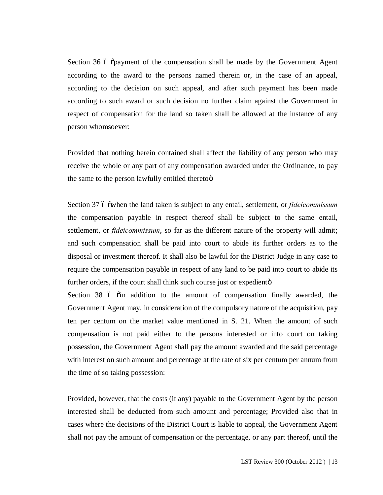Section 36 6  $\ddot{\text{o}}$  payment of the compensation shall be made by the Government Agent according to the award to the persons named therein or, in the case of an appeal, according to the decision on such appeal, and after such payment has been made according to such award or such decision no further claim against the Government in respect of compensation for the land so taken shall be allowed at the instance of any person whomsoever:

Provided that nothing herein contained shall affect the liability of any person who may receive the whole or any part of any compensation awarded under the Ordinance, to pay the same to the person lawfully entitled theretoö

Section 37 6 owhen the land taken is subject to any entail, settlement, or *fideicommissum* the compensation payable in respect thereof shall be subject to the same entail, settlement, or *fideicommissum*, so far as the different nature of the property will admit; and such compensation shall be paid into court to abide its further orders as to the disposal or investment thereof. It shall also be lawful for the District Judge in any case to require the compensation payable in respect of any land to be paid into court to abide its further orders, if the court shall think such course just or expediento

Section 38 6  $\ddot{\text{o}}$  in addition to the amount of compensation finally awarded, the Government Agent may, in consideration of the compulsory nature of the acquisition, pay ten per centum on the market value mentioned in S. 21. When the amount of such compensation is not paid either to the persons interested or into court on taking possession, the Government Agent shall pay the amount awarded and the said percentage with interest on such amount and percentage at the rate of six per centum per annum from the time of so taking possession:

Provided, however, that the costs (if any) payable to the Government Agent by the person interested shall be deducted from such amount and percentage; Provided also that in cases where the decisions of the District Court is liable to appeal, the Government Agent shall not pay the amount of compensation or the percentage, or any part thereof, until the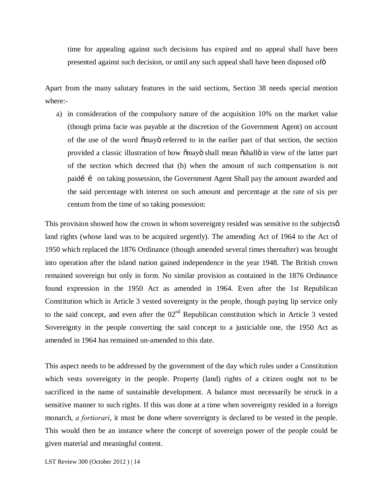time for appealing against such decisions has expired and no appeal shall have been presented against such decision, or until any such appeal shall have been disposed of  $\ddot{o}$ 

Apart from the many salutary features in the said sections, Section 38 needs special mention where:-

a) in consideration of the compulsory nature of the acquisition 10% on the market value (though prima facie was payable at the discretion of the Government Agent) on account of the use of the word  $\tilde{\text{om}}$  eferred to in the earlier part of that section, the section provided a classic illustration of how  $\delta$ mayo shall mean  $\delta$ shallo in view of the latter part of the section which decreed that (b) when the amount of such compensation is not paidí í on taking possession, the Government Agent Shall pay the amount awarded and the said percentage with interest on such amount and percentage at the rate of six per centum from the time of so taking possession:

This provision showed how the crown in whom sovereignty resided was sensitive to the subjects  $\varphi$ land rights (whose land was to be acquired urgently). The amending Act of 1964 to the Act of 1950 which replaced the 1876 Ordinance (though amended several times thereafter) was brought into operation after the island nation gained independence in the year 1948. The British crown remained sovereign but only in form. No similar provision as contained in the 1876 Ordinance found expression in the 1950 Act as amended in 1964. Even after the 1st Republican Constitution which in Article 3 vested sovereignty in the people, though paying lip service only to the said concept, and even after the  $02<sup>nd</sup>$  Republican constitution which in Article 3 vested Sovereignty in the people converting the said concept to a justiciable one, the 1950 Act as amended in 1964 has remained un-amended to this date.

This aspect needs to be addressed by the government of the day which rules under a Constitution which vests sovereignty in the people. Property (land) rights of a citizen ought not to be sacrificed in the name of sustainable development. A balance must necessarily be struck in a sensitive manner to such rights. If this was done at a time when sovereignty resided in a foreign monarch, *a fortiorari*, it must be done where sovereignty is declared to be vested in the people. This would then be an instance where the concept of sovereign power of the people could be given material and meaningful content.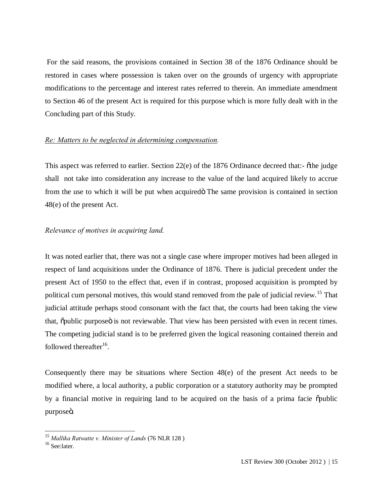For the said reasons, the provisions contained in Section 38 of the 1876 Ordinance should be restored in cases where possession is taken over on the grounds of urgency with appropriate modifications to the percentage and interest rates referred to therein. An immediate amendment to Section 46 of the present Act is required for this purpose which is more fully dealt with in the Concluding part of this Study.

#### *Re: Matters to be neglected in determining compensation.*

This aspect was referred to earlier. Section  $22(e)$  of the 1876 Ordinance decreed that:-  $\tilde{o}$ the judge shall not take into consideration any increase to the value of the land acquired likely to accrue from the use to which it will be put when acquired The same provision is contained in section 48(e) of the present Act.

#### *Relevance of motives in acquiring land.*

It was noted earlier that, there was not a single case where improper motives had been alleged in respect of land acquisitions under the Ordinance of 1876. There is judicial precedent under the present Act of 1950 to the effect that, even if in contrast, proposed acquisition is prompted by political cum personal motives, this would stand removed from the pale of judicial review.<sup>15</sup> That judicial attitude perhaps stood consonant with the fact that, the courts had been taking the view that,  $\ddot{\text{o}}$  purpose  $\ddot{\text{o}}$  is not reviewable. That view has been persisted with even in recent times. The competing judicial stand is to be preferred given the logical reasoning contained therein and followed thereafter $^{16}$ .

Consequently there may be situations where Section 48(e) of the present Act needs to be modified where, a local authority, a public corporation or a statutory authority may be prompted by a financial motive in requiring land to be acquired on the basis of a prima facie  $\ddot{\text{o}}$ public purposeö.

 <sup>15</sup> *Mallika Ratwatte v. Minister of Lands* (76 NLR 128 )

<sup>&</sup>lt;sup>16</sup> See:later.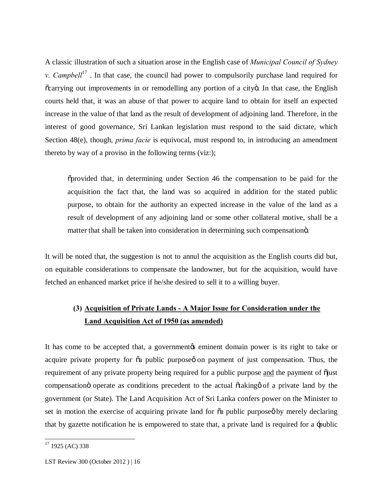A classic illustration of such a situation arose in the English case of *Municipal Council of Sydney v. Campbell*<sup>17</sup>. In that case, the council had power to compulsorily purchase land required for õcarrying out improvements in or remodelling any portion of a cityö. In that case, the English courts held that, it was an abuse of that power to acquire land to obtain for itself an expected increase in the value of that land as the result of development of adjoining land. Therefore, in the interest of good governance, Sri Lankan legislation must respond to the said dictate, which Section 48(e), though, *prima facie* is equivocal, must respond to, in introducing an amendment thereto by way of a proviso in the following terms (viz:);

"provided that, in determining under Section 46 the compensation to be paid for the acquisition the fact that, the land was so acquired in addition for the stated public purpose, to obtain for the authority an expected increase in the value of the land as a result of development of any adjoining land or some other collateral motive, shall be a matter that shall be taken into consideration in determining such compensation o.

It will be noted that, the suggestion is not to annul the acquisition as the English courts did but, on equitable considerations to compensate the landowner, but for the acquisition, would have fetched an enhanced market price if he/she desired to sell it to a willing buyer.

# **(3) Acquisition of Private Lands - A Major Issue for Consideration under the Land Acquisition Act of 1950 (as amended)**

It has come to be accepted that, a government to seminent domain power is its right to take or acquire private property for  $\tilde{a}$  public purpose on payment of just compensation. Thus, the requirement of any private property being required for a public purpose and the payment of  $\ddot{\text{o}}$  just compensation operate as conditions precedent to the actual  $\tilde{\alpha}$  taking of a private land by the government (or State). The Land Acquisition Act of Sri Lanka confers power on the Minister to set in motion the exercise of acquiring private land for  $\tilde{\alpha}$  public purpose by merely declaring that by gazette notification he is empowered to state that, a private land is required for a 'public

 $17$  1925 (AC) 338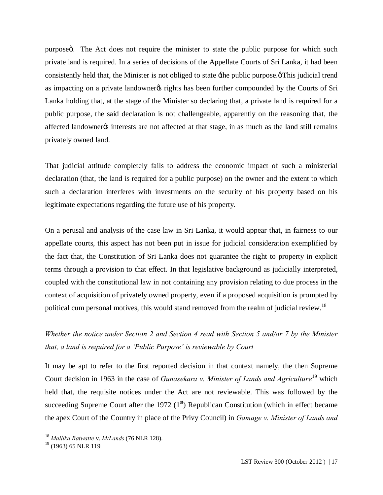purpose . The Act does not require the minister to state the public purpose for which such private land is required. In a series of decisions of the Appellate Courts of Sri Lanka, it had been consistently held that, the Minister is not obliged to state  $\pm$  the public purpose. $\varphi$ This judicial trend as impacting on a private landowner orights has been further compounded by the Courts of Sri Lanka holding that, at the stage of the Minister so declaring that, a private land is required for a public purpose, the said declaration is not challengeable, apparently on the reasoning that, the affected landowner  $\alpha$  interests are not affected at that stage, in as much as the land still remains privately owned land.

That judicial attitude completely fails to address the economic impact of such a ministerial declaration (that, the land is required for a public purpose) on the owner and the extent to which such a declaration interferes with investments on the security of his property based on his legitimate expectations regarding the future use of his property.

On a perusal and analysis of the case law in Sri Lanka, it would appear that, in fairness to our appellate courts, this aspect has not been put in issue for judicial consideration exemplified by the fact that, the Constitution of Sri Lanka does not guarantee the right to property in explicit terms through a provision to that effect. In that legislative background as judicially interpreted, coupled with the constitutional law in not containing any provision relating to due process in the context of acquisition of privately owned property, even if a proposed acquisition is prompted by political cum personal motives, this would stand removed from the realm of judicial review.<sup>18</sup>

*Whether the notice under Section 2 and Section 4 read with Section 5 and/or 7 by the Minister that, a land is required for a 'Public Purpose' is reviewable by Court*

It may be apt to refer to the first reported decision in that context namely, the then Supreme Court decision in 1963 in the case of *Gunasekara v. Minister of Lands and Agriculture*<sup>19</sup> which held that, the requisite notices under the Act are not reviewable. This was followed by the succeeding Supreme Court after the 1972  $(1<sup>st</sup>)$  Republican Constitution (which in effect became the apex Court of the Country in place of the Privy Council) in *Gamage v. Minister of Lands and* 

 <sup>18</sup> *Mallika Ratwatte* v. *M/Lands* (76 NLR 128).

<sup>&</sup>lt;sup>19</sup> (1963) 65 NLR 119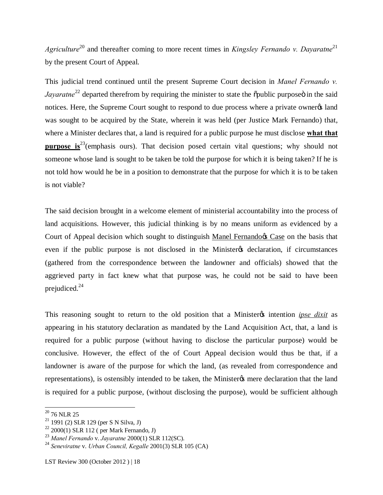*Agriculture*<sup>20</sup> and thereafter coming to more recent times in *Kingsley Fernando v. Davaratne*<sup>21</sup> by the present Court of Appeal.

This judicial trend continued until the present Supreme Court decision in *Manel Fernando v. Jayaratne*<sup>22</sup> departed therefrom by requiring the minister to state the opublic purpose in the said notices. Here, the Supreme Court sought to respond to due process where a private owner% land was sought to be acquired by the State, wherein it was held (per Justice Mark Fernando) that, where a Minister declares that, a land is required for a public purpose he must disclose **what that purpose is**<sup>23</sup>(emphasis ours). That decision posed certain vital questions; why should not someone whose land is sought to be taken be told the purpose for which it is being taken? If he is not told how would he be in a position to demonstrate that the purpose for which it is to be taken is not viable?

The said decision brought in a welcome element of ministerial accountability into the process of land acquisitions. However, this judicial thinking is by no means uniform as evidenced by a Court of Appeal decision which sought to distinguish Manel Fernandors Case on the basis that even if the public purpose is not disclosed in the Minister of declaration, if circumstances (gathered from the correspondence between the landowner and officials) showed that the aggrieved party in fact knew what that purpose was, he could not be said to have been prejudiced.<sup>24</sup>

This reasoning sought to return to the old position that a Minister test intention *ipse dixit* as appearing in his statutory declaration as mandated by the Land Acquisition Act, that, a land is required for a public purpose (without having to disclose the particular purpose) would be conclusive. However, the effect of the of Court Appeal decision would thus be that, if a landowner is aware of the purpose for which the land, (as revealed from correspondence and representations), is ostensibly intended to be taken, the Minister is mere declaration that the land is required for a public purpose, (without disclosing the purpose), would be sufficient although

 $^{\rm 20}$  76 NLR 25

<sup>21</sup> 1991 (2) SLR 129 (per S N Silva, J)

 $22$  2000(1) SLR 112 ( per Mark Fernando, J)

<sup>23</sup> *Manel Fernando* v. *Jayaratne* 2000(1) SLR 112(SC).

<sup>24</sup> *Seneviratne* v. *Urban Council, Kegalle* 2001(3) SLR 105 (CA)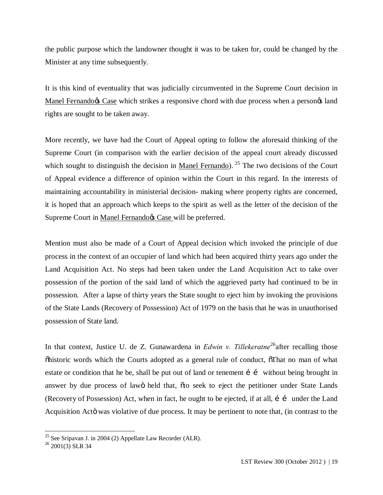the public purpose which the landowner thought it was to be taken for, could be changed by the Minister at any time subsequently.

It is this kind of eventuality that was judicially circumvented in the Supreme Court decision in Manel Fernando & Case which strikes a responsive chord with due process when a person & land rights are sought to be taken away.

More recently, we have had the Court of Appeal opting to follow the aforesaid thinking of the Supreme Court (in comparison with the earlier decision of the appeal court already discussed which sought to distinguish the decision in Manel Fernando). <sup>25</sup> The two decisions of the Court of Appeal evidence a difference of opinion within the Court in this regard. In the interests of maintaining accountability in ministerial decision- making where property rights are concerned, it is hoped that an approach which keeps to the spirit as well as the letter of the decision of the Supreme Court in Manel Fernando $\alpha$  Case will be preferred.

Mention must also be made of a Court of Appeal decision which invoked the principle of due process in the context of an occupier of land which had been acquired thirty years ago under the Land Acquisition Act. No steps had been taken under the Land Acquisition Act to take over possession of the portion of the said land of which the aggrieved party had continued to be in possession. After a lapse of thirty years the State sought to eject him by invoking the provisions of the State Lands (Recovery of Possession) Act of 1979 on the basis that he was in unauthorised possession of State land.

In that context, Justice U. de Z. Gunawardena in *Edwin v. Tillekeratne* 26after recalling those  $\delta$ historic words which the Courts adopted as a general rule of conduct,  $\delta$ That no man of what estate or condition that he be, shall be put out of land or tenement  $\mathbf{i}$  is without being brought in answer by due process of lawö held that,  $\tilde{\sigma}$  boseek to eject the petitioner under State Lands (Recovery of Possession) Act, when in fact, he ought to be ejected, if at all,  $i$  i under the Land Acquisition Actö was violative of due process. It may be pertinent to note that, (in contrast to the

 $\frac{25}{25}$  See Sripavan J. in 2004 (2) Appellate Law Recorder (ALR).

 $^{26}$  2001(3) SLR 34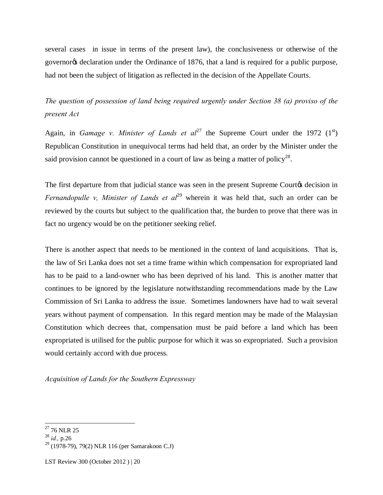several cases in issue in terms of the present law), the conclusiveness or otherwise of the governor<sub>of</sub> declaration under the Ordinance of 1876, that a land is required for a public purpose, had not been the subject of litigation as reflected in the decision of the Appellate Courts.

*The question of possession of land being required urgently under Section 38 (a) proviso of the present Act*

Again, in *Gamage v. Minister of Lands et al*<sup>27</sup> the Supreme Court under the 1972 (1<sup>st</sup>) Republican Constitution in unequivocal terms had held that, an order by the Minister under the said provision cannot be questioned in a court of law as being a matter of policy<sup>28</sup>.

The first departure from that judicial stance was seen in the present Supreme Courtos decision in *Fernandopulle v, Minister of Lands et al*<sup>29</sup> wherein it was held that, such an order can be reviewed by the courts but subject to the qualification that, the burden to prove that there was in fact no urgency would be on the petitioner seeking relief.

There is another aspect that needs to be mentioned in the context of land acquisitions. That is, the law of Sri Lanka does not set a time frame within which compensation for expropriated land has to be paid to a land-owner who has been deprived of his land. This is another matter that continues to be ignored by the legislature notwithstanding recommendations made by the Law Commission of Sri Lanka to address the issue. Sometimes landowners have had to wait several years without payment of compensation. In this regard mention may be made of the Malaysian Constitution which decrees that, compensation must be paid before a land which has been expropriated is utilised for the public purpose for which it was so expropriated. Such a provision would certainly accord with due process.

*Acquisition of Lands for the Southern Expressway*

 $^{27}$  76 NLR 25

<sup>28</sup> *id.,* p.26

<sup>29</sup> (1978-79), 79(2) NLR 116 (per Samarakoon C.J)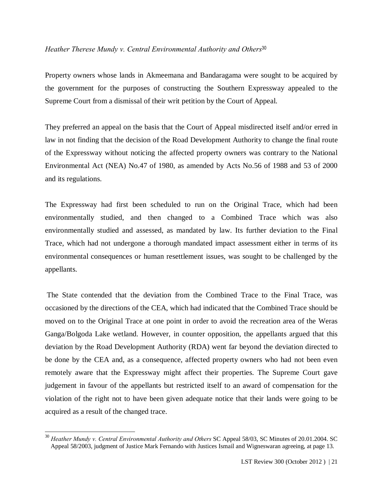#### *Heather Therese Mundy v. Central Environmental Authority and Others*<sup>30</sup>

Property owners whose lands in Akmeemana and Bandaragama were sought to be acquired by the government for the purposes of constructing the Southern Expressway appealed to the Supreme Court from a dismissal of their writ petition by the Court of Appeal.

They preferred an appeal on the basis that the Court of Appeal misdirected itself and/or erred in law in not finding that the decision of the Road Development Authority to change the final route of the Expressway without noticing the affected property owners was contrary to the National Environmental Act (NEA) No.47 of 1980, as amended by Acts No.56 of 1988 and 53 of 2000 and its regulations.

The Expressway had first been scheduled to run on the Original Trace, which had been environmentally studied, and then changed to a Combined Trace which was also environmentally studied and assessed, as mandated by law. Its further deviation to the Final Trace, which had not undergone a thorough mandated impact assessment either in terms of its environmental consequences or human resettlement issues, was sought to be challenged by the appellants.

The State contended that the deviation from the Combined Trace to the Final Trace, was occasioned by the directions of the CEA, which had indicated that the Combined Trace should be moved on to the Original Trace at one point in order to avoid the recreation area of the Weras Ganga/Bolgoda Lake wetland. However, in counter opposition, the appellants argued that this deviation by the Road Development Authority (RDA) went far beyond the deviation directed to be done by the CEA and, as a consequence, affected property owners who had not been even remotely aware that the Expressway might affect their properties. The Supreme Court gave judgement in favour of the appellants but restricted itself to an award of compensation for the violation of the right not to have been given adequate notice that their lands were going to be acquired as a result of the changed trace.

 <sup>30</sup> *Heather Mundy v. Central Environmental Authority and Others* SC Appeal 58/03, SC Minutes of 20.01.2004. SC Appeal 58/2003, judgment of Justice Mark Fernando with Justices Ismail and Wigneswaran agreeing, at page 13.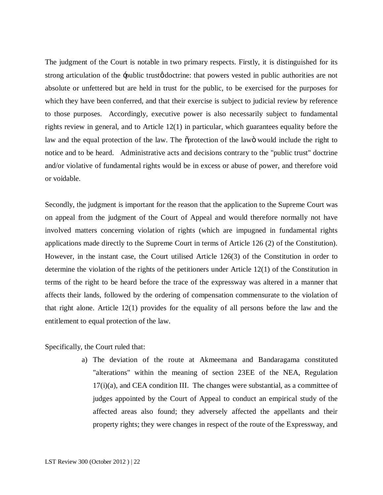The judgment of the Court is notable in two primary respects. Firstly, it is distinguished for its strong articulation of the -public trust of doctrine: that powers vested in public authorities are not absolute or unfettered but are held in trust for the public, to be exercised for the purposes for which they have been conferred, and that their exercise is subject to judicial review by reference to those purposes. Accordingly, executive power is also necessarily subject to fundamental rights review in general, and to Article 12(1) in particular, which guarantees equality before the law and the equal protection of the law. The  $\tilde{\text{op}}$  protection of the law is would include the right to notice and to be heard. Administrative acts and decisions contrary to the "public trust" doctrine and/or violative of fundamental rights would be in excess or abuse of power, and therefore void or voidable.

Secondly, the judgment is important for the reason that the application to the Supreme Court was on appeal from the judgment of the Court of Appeal and would therefore normally not have involved matters concerning violation of rights (which are impugned in fundamental rights applications made directly to the Supreme Court in terms of Article 126 (2) of the Constitution). However, in the instant case, the Court utilised Article 126(3) of the Constitution in order to determine the violation of the rights of the petitioners under Article 12(1) of the Constitution in terms of the right to be heard before the trace of the expressway was altered in a manner that affects their lands, followed by the ordering of compensation commensurate to the violation of that right alone. Article 12(1) provides for the equality of all persons before the law and the entitlement to equal protection of the law.

Specifically, the Court ruled that:

a) The deviation of the route at Akmeemana and Bandaragama constituted "alterations" within the meaning of section 23EE of the NEA, Regulation  $17(i)(a)$ , and CEA condition III. The changes were substantial, as a committee of judges appointed by the Court of Appeal to conduct an empirical study of the affected areas also found; they adversely affected the appellants and their property rights; they were changes in respect of the route of the Expressway, and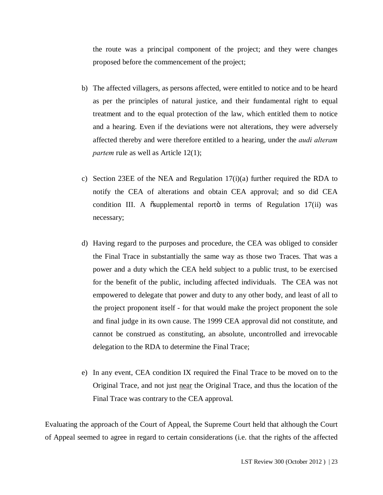the route was a principal component of the project; and they were changes proposed before the commencement of the project;

- b) The affected villagers, as persons affected, were entitled to notice and to be heard as per the principles of natural justice, and their fundamental right to equal treatment and to the equal protection of the law, which entitled them to notice and a hearing. Even if the deviations were not alterations, they were adversely affected thereby and were therefore entitled to a hearing, under the *audi alteram partem* rule as well as Article 12(1);
- c) Section 23EE of the NEA and Regulation 17(i)(a) further required the RDA to notify the CEA of alterations and obtain CEA approval; and so did CEA condition III. A osupplemental reporto in terms of Regulation 17(ii) was necessary;
- d) Having regard to the purposes and procedure, the CEA was obliged to consider the Final Trace in substantially the same way as those two Traces. That was a power and a duty which the CEA held subject to a public trust, to be exercised for the benefit of the public, including affected individuals. The CEA was not empowered to delegate that power and duty to any other body, and least of all to the project proponent itself - for that would make the project proponent the sole and final judge in its own cause. The 1999 CEA approval did not constitute, and cannot be construed as constituting, an absolute, uncontrolled and irrevocable delegation to the RDA to determine the Final Trace;
- e) In any event, CEA condition IX required the Final Trace to be moved on to the Original Trace, and not just near the Original Trace, and thus the location of the Final Trace was contrary to the CEA approval.

Evaluating the approach of the Court of Appeal, the Supreme Court held that although the Court of Appeal seemed to agree in regard to certain considerations (i.e. that the rights of the affected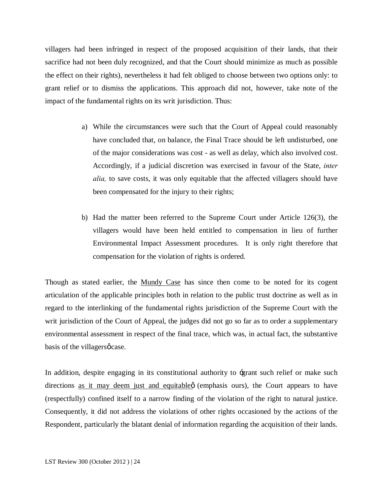villagers had been infringed in respect of the proposed acquisition of their lands, that their sacrifice had not been duly recognized, and that the Court should minimize as much as possible the effect on their rights), nevertheless it had felt obliged to choose between two options only: to grant relief or to dismiss the applications. This approach did not, however, take note of the impact of the fundamental rights on its writ jurisdiction. Thus:

- a) While the circumstances were such that the Court of Appeal could reasonably have concluded that, on balance, the Final Trace should be left undisturbed, one of the major considerations was cost - as well as delay, which also involved cost. Accordingly, if a judicial discretion was exercised in favour of the State, *inter alia,* to save costs, it was only equitable that the affected villagers should have been compensated for the injury to their rights;
- b) Had the matter been referred to the Supreme Court under Article 126(3), the villagers would have been held entitled to compensation in lieu of further Environmental Impact Assessment procedures. It is only right therefore that compensation for the violation of rights is ordered.

Though as stated earlier, the Mundy Case has since then come to be noted for its cogent articulation of the applicable principles both in relation to the public trust doctrine as well as in regard to the interlinking of the fundamental rights jurisdiction of the Supreme Court with the writ jurisdiction of the Court of Appeal, the judges did not go so far as to order a supplementary environmental assessment in respect of the final trace, which was, in actual fact, the substantive basis of the villagers  $\phi$  case.

In addition, despite engaging in its constitutional authority to 'grant such relief or make such directions as it may deem just and equitable  $\varphi$  (emphasis ours), the Court appears to have (respectfully) confined itself to a narrow finding of the violation of the right to natural justice. Consequently, it did not address the violations of other rights occasioned by the actions of the Respondent, particularly the blatant denial of information regarding the acquisition of their lands.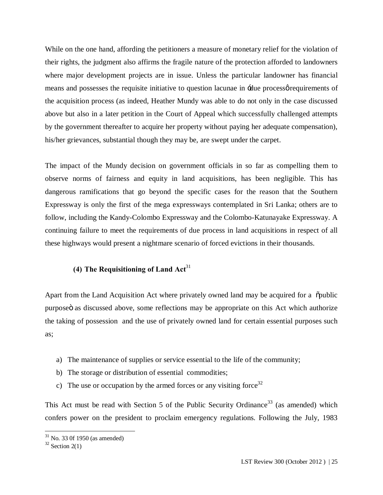While on the one hand, affording the petitioners a measure of monetary relief for the violation of their rights, the judgment also affirms the fragile nature of the protection afforded to landowners where major development projects are in issue. Unless the particular landowner has financial means and possesses the requisite initiative to question lacunae in  $\pm$ due processo requirements of the acquisition process (as indeed, Heather Mundy was able to do not only in the case discussed above but also in a later petition in the Court of Appeal which successfully challenged attempts by the government thereafter to acquire her property without paying her adequate compensation), his/her grievances, substantial though they may be, are swept under the carpet.

The impact of the Mundy decision on government officials in so far as compelling them to observe norms of fairness and equity in land acquisitions, has been negligible. This has dangerous ramifications that go beyond the specific cases for the reason that the Southern Expressway is only the first of the mega expressways contemplated in Sri Lanka; others are to follow, including the Kandy-Colombo Expressway and the Colombo-Katunayake Expressway. A continuing failure to meet the requirements of due process in land acquisitions in respect of all these highways would present a nightmare scenario of forced evictions in their thousands.

## **(4) The Requisitioning of Land Act**<sup>31</sup>

Apart from the Land Acquisition Act where privately owned land may be acquired for a  $\ddot{\text{o}}$ public purpose ias discussed above, some reflections may be appropriate on this Act which authorize the taking of possession and the use of privately owned land for certain essential purposes such as;

- a) The maintenance of supplies or service essential to the life of the community;
- b) The storage or distribution of essential commodities;
- c) The use or occupation by the armed forces or any visiting force<sup>32</sup>

This Act must be read with Section 5 of the Public Security Ordinance<sup>33</sup> (as amended) which confers power on the president to proclaim emergency regulations. Following the July, 1983

 $31$  No. 33 0f 1950 (as amended)

 $32$  Section 2(1)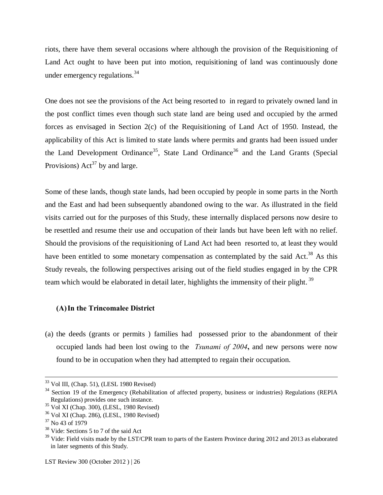riots, there have them several occasions where although the provision of the Requisitioning of Land Act ought to have been put into motion, requisitioning of land was continuously done under emergency regulations.  $34$ 

One does not see the provisions of the Act being resorted to in regard to privately owned land in the post conflict times even though such state land are being used and occupied by the armed forces as envisaged in Section 2(c) of the Requisitioning of Land Act of 1950. Instead, the applicability of this Act is limited to state lands where permits and grants had been issued under the Land Development Ordinance<sup>35</sup>, State Land Ordinance<sup>36</sup> and the Land Grants (Special Provisions)  $Act^{37}$  by and large.

Some of these lands, though state lands, had been occupied by people in some parts in the North and the East and had been subsequently abandoned owing to the war. As illustrated in the field visits carried out for the purposes of this Study, these internally displaced persons now desire to be resettled and resume their use and occupation of their lands but have been left with no relief. Should the provisions of the requisitioning of Land Act had been resorted to, at least they would have been entitled to some monetary compensation as contemplated by the said Act.<sup>38</sup> As this Study reveals, the following perspectives arising out of the field studies engaged in by the CPR team which would be elaborated in detail later, highlights the immensity of their plight.<sup>39</sup>

#### **(A)In the Trincomalee District**

(a) the deeds (grants or permits ) families had possessed prior to the abandonment of their occupied lands had been lost owing to the *Tsunami of 2004***,** and new persons were now found to be in occupation when they had attempted to regain their occupation.

 $33$  Vol III, (Chap. 51), (LESL 1980 Revised)

<sup>&</sup>lt;sup>34</sup> Section 19 of the Emergency (Rehabilitation of affected property, business or industries) Regulations (REPIA Regulations) provides one such instance.

<sup>35</sup> Vol XI (Chap. 300), (LESL, 1980 Revised)

 $36$  Vol XI (Chap. 286), (LESL, 1980 Revised)

<sup>37</sup> No 43 of 1979

<sup>&</sup>lt;sup>38</sup> Vide: Sections 5 to 7 of the said Act

<sup>&</sup>lt;sup>39</sup> Vide: Field visits made by the LST/CPR team to parts of the Eastern Province during 2012 and 2013 as elaborated in later segments of this Study.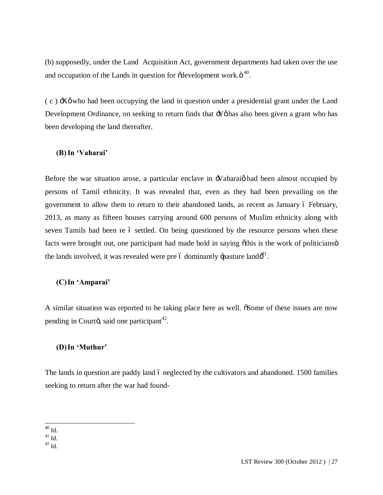(b) supposedly, under the Land Acquisition Act, government departments had taken over the use and occupation of the Lands in question for  $\tilde{\alpha}$  development work. $\ddot{\sigma}^{40}$ .

 $(c)$   $\exists$ X $\emptyset$  who had been occupying the land in question under a presidential grant under the Land Development Ordinance, on seeking to return finds that  $\div Y\phi$  has also been given a grant who has been developing the land thereafter.

#### **(B)In 'Vaharai'**

Before the war situation arose, a particular enclave in  $\mathcal{N}$ aharai $\varphi$  had been almost occupied by persons of Tamil ethnicity. It was revealed that, even as they had been prevailing on the government to allow them to return to their abandoned lands, as recent as January 6 February, 2013, as many as fifteen houses carrying around 600 persons of Muslim ethnicity along with seven Tamils had been re 6 settled. On being questioned by the resource persons when these facts were brought out, one participant had made bold in saying othis is the work of politicians of the lands involved, it was revealed were pre 6 dominantly -pasture land $\phi^{41}$ .

#### **(C)In 'Amparai'**

A similar situation was reported to be taking place here as well.  $\delta$ Some of these issues are now pending in Courto, said one participant<sup>42</sup>.

#### **(D)In 'Muthur'**

The lands in question are paddy land 6 neglected by the cultivators and abandoned. 1500 families seeking to return after the war had found-

 $^{40}$  Id.

 $^{41}$  Id.

 $^{42}$  Id.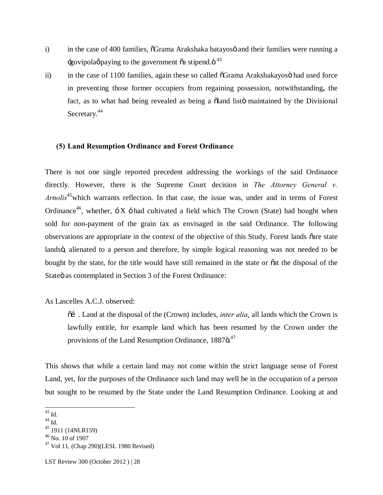- i) in the case of 400 families,  $\tilde{\sigma}$ Grama Arakshaka batayosö and their families were running a govipolag paying to the government  $\tilde{\alpha}$  stipend. $\ddot{\sigma}^{43}$
- ii) in the case of 1100 families, again these so called  $\delta$ Grama Arakshakayos had used force in preventing those former occupiers from regaining possession, notwithstanding**,** the fact, as to what had being revealed as being a  $\ddot{\text{o}}$  and listo maintained by the Divisional Secretary.<sup>44</sup>

#### **(5) Land Resumption Ordinance and Forest Ordinance**

There is not one single reported precedent addressing the workings of the said Ordinance directly. However, there is the Supreme Court decision in *The Attorney General v. Arnolis*45which warrants reflection. In that case, the issue was, under and in terms of Forest Ordinance<sup>46</sup>, whether,  $\div X \div$  had cultivated a field which The Crown (State) had bought when sold for non-payment of the grain tax as envisaged in the said Ordinance. The following observations are appropriate in the context of the objective of this Study. Forest lands "are state landsö, alienated to a person and therefore, by simple logical reasoning was not needed to be bought by the state, for the title would have still remained in the state or "at the disposal of the State ä as contemplated in Section 3 of the Forest Ordinance:

#### As Lascelles A.C.J. observed:

 $\tilde{\alpha}$ . Land at the disposal of the (Crown) includes, *inter alia*, all lands which the Crown is lawfully entitle, for example land which has been resumed by the Crown under the provisions of the Land Resumption Ordinance, 1887ö.<sup>47</sup>

This shows that while a certain land may not come within the strict language sense of Forest Land, yet, for the purposes of the Ordinance such land may well be in the occupation of a person but sought to be resumed by the State under the Land Resumption Ordinance. Looking at and

 <sup>43</sup> Id.

 $^{44}$  Id.

<sup>45</sup> 1911 (14NLR159)

 $46$  No. 10 of 1907

 $47$  Vol 11, (Chap 290)(LESL 1980 Revised)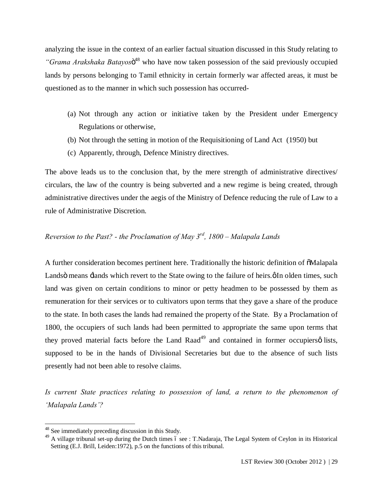analyzing the issue in the context of an earlier factual situation discussed in this Study relating to *"Grama Arakshaka Batayos*<sup>48</sup> who have now taken possession of the said previously occupied lands by persons belonging to Tamil ethnicity in certain formerly war affected areas, it must be questioned as to the manner in which such possession has occurred-

- (a) Not through any action or initiative taken by the President under Emergency Regulations or otherwise,
- (b) Not through the setting in motion of the Requisitioning of Land Act (1950) but
- (c) Apparently, through, Defence Ministry directives.

The above leads us to the conclusion that, by the mere strength of administrative directives/ circulars, the law of the country is being subverted and a new regime is being created, through administrative directives under the aegis of the Ministry of Defence reducing the rule of Law to a rule of Administrative Discretion.

## *Reversion to the Past? - the Proclamation of May 3rd, 1800 – Malapala Lands*

A further consideration becomes pertinent here. Traditionally the historic definition of  $\delta$ Malapala Lands means  $\pm$ lands which revert to the State owing to the failure of heirs. $\emptyset$ In olden times, such land was given on certain conditions to minor or petty headmen to be possessed by them as remuneration for their services or to cultivators upon terms that they gave a share of the produce to the state. In both cases the lands had remained the property of the State. By a Proclamation of 1800, the occupiers of such lands had been permitted to appropriate the same upon terms that they proved material facts before the Land Raad<sup>49</sup> and contained in former occupiers $\varphi$  lists, supposed to be in the hands of Divisional Secretaries but due to the absence of such lists presently had not been able to resolve claims.

*Is current State practices relating to possession of land, a return to the phenomenon of 'Malapala Lands'?*

 <sup>48</sup> See immediately preceding discussion in this Study.

<sup>&</sup>lt;sup>49</sup> A village tribunal set-up during the Dutch times 6 see : T.Nadaraja, The Legal System of Ceylon in its Historical Setting (E.J. Brill, Leiden:1972), p.5 on the functions of this tribunal.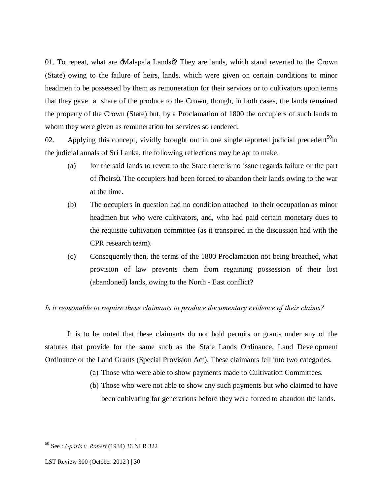01. To repeat, what are -Malapala Lands  $\varnothing$ ? They are lands, which stand reverted to the Crown (State) owing to the failure of heirs, lands, which were given on certain conditions to minor headmen to be possessed by them as remuneration for their services or to cultivators upon terms that they gave a share of the produce to the Crown, though, in both cases, the lands remained the property of the Crown (State) but, by a Proclamation of 1800 the occupiers of such lands to whom they were given as remuneration for services so rendered.

02. Applying this concept, vividly brought out in one single reported judicial precedent<sup>50</sup>in the judicial annals of Sri Lanka, the following reflections may be apt to make.

- (a) for the said lands to revert to the State there is no issue regards failure or the part of õheirsö. The occupiers had been forced to abandon their lands owing to the war at the time.
- (b) The occupiers in question had no condition attached to their occupation as minor headmen but who were cultivators, and, who had paid certain monetary dues to the requisite cultivation committee (as it transpired in the discussion had with the CPR research team).
- (c) Consequently then, the terms of the 1800 Proclamation not being breached, what provision of law prevents them from regaining possession of their lost (abandoned) lands, owing to the North - East conflict?

#### *Is it reasonable to require these claimants to produce documentary evidence of their claims?*

It is to be noted that these claimants do not hold permits or grants under any of the statutes that provide for the same such as the State Lands Ordinance, Land Development Ordinance or the Land Grants (Special Provision Act). These claimants fell into two categories.

- (a) Those who were able to show payments made to Cultivation Committees.
- (b) Those who were not able to show any such payments but who claimed to have been cultivating for generations before they were forced to abandon the lands.

 <sup>50</sup> See : *Uparis v. Robert* (1934) 36 NLR 322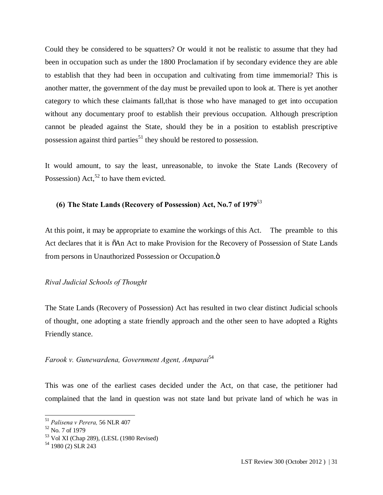Could they be considered to be squatters? Or would it not be realistic to assume that they had been in occupation such as under the 1800 Proclamation if by secondary evidence they are able to establish that they had been in occupation and cultivating from time immemorial? This is another matter, the government of the day must be prevailed upon to look at. There is yet another category to which these claimants fall,that is those who have managed to get into occupation without any documentary proof to establish their previous occupation. Although prescription cannot be pleaded against the State, should they be in a position to establish prescriptive possession against third parties<sup>51</sup> they should be restored to possession.

It would amount, to say the least, unreasonable, to invoke the State Lands (Recovery of Possession) Act,<sup>52</sup> to have them evicted.

## **(6) The State Lands (Recovery of Possession) Act, No.7 of 1979**<sup>53</sup>

At this point, it may be appropriate to examine the workings of this Act. The preamble to this Act declares that it is  $\tilde{o}$ An Act to make Provision for the Recovery of Possession of State Lands from persons in Unauthorized Possession or Occupation. $\ddot{o}$ 

#### *Rival Judicial Schools of Thought*

The State Lands (Recovery of Possession) Act has resulted in two clear distinct Judicial schools of thought, one adopting a state friendly approach and the other seen to have adopted a Rights Friendly stance.

## *Farook v. Gunewardena, Government Agent, Amparai*<sup>54</sup>

This was one of the earliest cases decided under the Act, on that case, the petitioner had complained that the land in question was not state land but private land of which he was in

 <sup>51</sup> *Palisena v Perera,* 56 NLR 407

<sup>52</sup> No. 7 of 1979

<sup>53</sup> Vol XI (Chap 289), (LESL (1980 Revised)

 $54$  1980 (2) SLR 243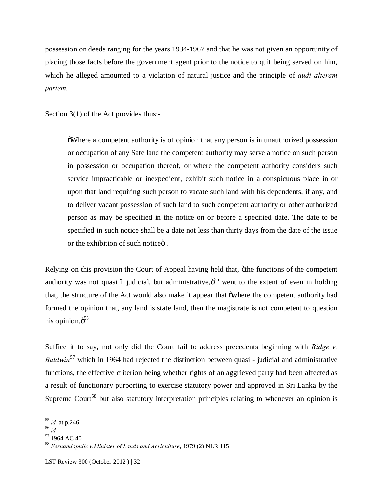possession on deeds ranging for the years 1934-1967 and that he was not given an opportunity of placing those facts before the government agent prior to the notice to quit being served on him, which he alleged amounted to a violation of natural justice and the principle of *audi alteram partem.*

Section 3(1) of the Act provides thus:-

"Where a competent authority is of opinion that any person is in unauthorized possession or occupation of any Sate land the competent authority may serve a notice on such person in possession or occupation thereof, or where the competent authority considers such service impracticable or inexpedient, exhibit such notice in a conspicuous place in or upon that land requiring such person to vacate such land with his dependents, if any, and to deliver vacant possession of such land to such competent authority or other authorized person as may be specified in the notice on or before a specified date. The date to be specified in such notice shall be a date not less than thirty days from the date of the issue or the exhibition of such notice<sub>o</sub>.

Relying on this provision the Court of Appeal having held that, öthe functions of the competent authority was not quasi 6 judicial, but administrative, $\ddot{\mathrm{o}}^{55}$  went to the extent of even in holding that, the structure of the Act would also make it appear that owhere the competent authority had formed the opinion that, any land is state land, then the magistrate is not competent to question his opinion. $\ddot{\mathrm{o}}^{56}$ 

Suffice it to say, not only did the Court fail to address precedents beginning with *Ridge v. Baldwin*<sup>57</sup> which in 1964 had rejected the distinction between quasi - judicial and administrative functions, the effective criterion being whether rights of an aggrieved party had been affected as a result of functionary purporting to exercise statutory power and approved in Sri Lanka by the Supreme Court<sup>58</sup> but also statutory interpretation principles relating to whenever an opinion is

 <sup>55</sup> *id.* at p.246

<sup>56</sup> *id.*

<sup>57</sup> 1964 AC 40

<sup>58</sup> *Fernandopulle v.Minister of Lands and Agriculture*, 1979 (2) NLR 115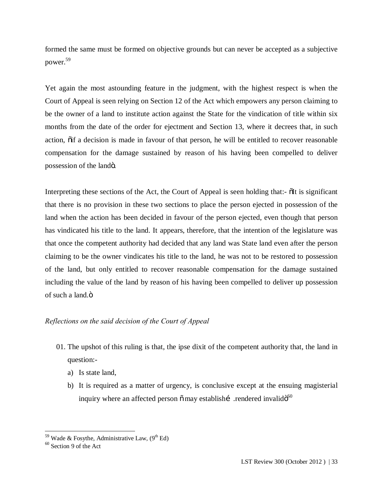formed the same must be formed on objective grounds but can never be accepted as a subjective power.59

Yet again the most astounding feature in the judgment, with the highest respect is when the Court of Appeal is seen relying on Section 12 of the Act which empowers any person claiming to be the owner of a land to institute action against the State for the vindication of title within six months from the date of the order for ejectment and Section 13, where it decrees that, in such action,  $\tilde{o}$  a decision is made in favour of that person, he will be entitled to recover reasonable compensation for the damage sustained by reason of his having been compelled to deliver possession of the lando.

Interpreting these sections of the Act, the Court of Appeal is seen holding that:-  $\delta$ It is significant that there is no provision in these two sections to place the person ejected in possession of the land when the action has been decided in favour of the person ejected, even though that person has vindicated his title to the land. It appears, therefore, that the intention of the legislature was that once the competent authority had decided that any land was State land even after the person claiming to be the owner vindicates his title to the land, he was not to be restored to possession of the land, but only entitled to recover reasonable compensation for the damage sustained including the value of the land by reason of his having been compelled to deliver up possession of such a land. $\ddot{o}$ 

## *Reflections on the said decision of the Court of Appeal*

- 01. The upshot of this ruling is that, the ipse dixit of the competent authority that, the land in question:
	- a) Is state land,
	- b) It is required as a matter of urgency, is conclusive except at the ensuing magisterial inquiry where an affected person  $\tilde{o}$  may establishí .rendered invalid $\tilde{o}^{60}$

<sup>&</sup>lt;sup>59</sup> Wade & Fosythe, Administrative Law,  $(9<sup>th</sup> Ed)$ 

 $60$  Section 9 of the Act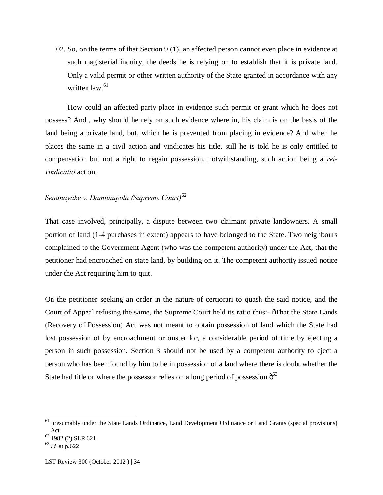02. So, on the terms of that Section 9 (1), an affected person cannot even place in evidence at such magisterial inquiry, the deeds he is relying on to establish that it is private land. Only a valid permit or other written authority of the State granted in accordance with any written  $law<sup>61</sup>$ 

How could an affected party place in evidence such permit or grant which he does not possess? And , why should he rely on such evidence where in, his claim is on the basis of the land being a private land, but, which he is prevented from placing in evidence? And when he places the same in a civil action and vindicates his title, still he is told he is only entitled to compensation but not a right to regain possession, notwithstanding, such action being a *reivindicatio* action.

## *Senanayake v. Damunupola (Supreme Court)*<sup>62</sup>

That case involved, principally, a dispute between two claimant private landowners. A small portion of land (1-4 purchases in extent) appears to have belonged to the State. Two neighbours complained to the Government Agent (who was the competent authority) under the Act, that the petitioner had encroached on state land, by building on it. The competent authority issued notice under the Act requiring him to quit.

On the petitioner seeking an order in the nature of certiorari to quash the said notice, and the Court of Appeal refusing the same, the Supreme Court held its ratio thus:-  $\delta$ That the State Lands (Recovery of Possession) Act was not meant to obtain possession of land which the State had lost possession of by encroachment or ouster for, a considerable period of time by ejecting a person in such possession. Section 3 should not be used by a competent authority to eject a person who has been found by him to be in possession of a land where there is doubt whether the State had title or where the possessor relies on a long period of possession. $\ddot{o}^{63}$ 

<sup>&</sup>lt;sup>61</sup> presumably under the State Lands Ordinance, Land Development Ordinance or Land Grants (special provisions) Act

 $62$  1982 (2) SLR 621

<sup>63</sup> *id.* at p.622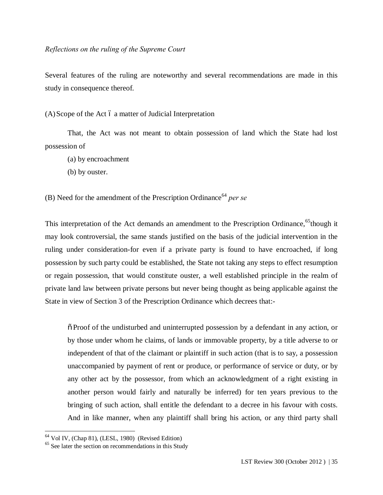Several features of the ruling are noteworthy and several recommendations are made in this study in consequence thereof.

 $(A)$ Scope of the Act  $\acute{o}$  a matter of Judicial Interpretation

That, the Act was not meant to obtain possession of land which the State had lost possession of

- (a) by encroachment
- (b) by ouster.

(B) Need for the amendment of the Prescription Ordinance<sup>64</sup> per se

This interpretation of the Act demands an amendment to the Prescription Ordinance,<sup>65</sup>though it may look controversial, the same stands justified on the basis of the judicial intervention in the ruling under consideration-for even if a private party is found to have encroached, if long possession by such party could be established, the State not taking any steps to effect resumption or regain possession, that would constitute ouster, a well established principle in the realm of private land law between private persons but never being thought as being applicable against the State in view of Section 3 of the Prescription Ordinance which decrees that:-

 $\tilde{\sigma}$  Proof of the undisturbed and uninterrupted possession by a defendant in any action, or by those under whom he claims, of lands or immovable property, by a title adverse to or independent of that of the claimant or plaintiff in such action (that is to say, a possession unaccompanied by payment of rent or produce, or performance of service or duty, or by any other act by the possessor, from which an acknowledgment of a right existing in another person would fairly and naturally be inferred) for ten years previous to the bringing of such action, shall entitle the defendant to a decree in his favour with costs. And in like manner, when any plaintiff shall bring his action, or any third party shall

 $\frac{64 \text{ Vol IV}}{(\text{Chap } 81)}$ , (LESL, 1980) (Revised Edition)

<sup>&</sup>lt;sup>65</sup> See later the section on recommendations in this Study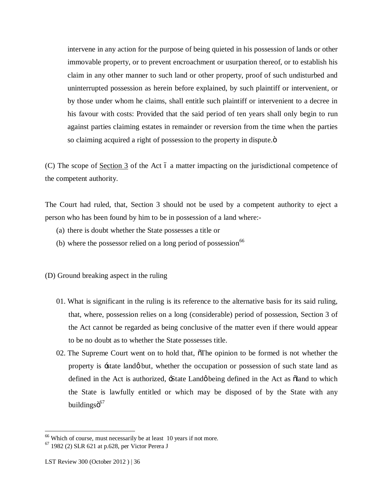intervene in any action for the purpose of being quieted in his possession of lands or other immovable property, or to prevent encroachment or usurpation thereof, or to establish his claim in any other manner to such land or other property, proof of such undisturbed and uninterrupted possession as herein before explained, by such plaintiff or intervenient, or by those under whom he claims, shall entitle such plaintiff or intervenient to a decree in his favour with costs: Provided that the said period of ten years shall only begin to run against parties claiming estates in remainder or reversion from the time when the parties so claiming acquired a right of possession to the property in dispute. $\ddot{\rm o}$ 

(C) The scope of Section 3 of the Act 6 a matter impacting on the jurisdictional competence of the competent authority.

The Court had ruled, that, Section 3 should not be used by a competent authority to eject a person who has been found by him to be in possession of a land where:-

- (a) there is doubt whether the State possesses a title or
- (b) where the possessor relied on a long period of possession<sup>66</sup>

(D) Ground breaking aspect in the ruling

- 01. What is significant in the ruling is its reference to the alternative basis for its said ruling, that, where, possession relies on a long (considerable) period of possession, Section 3 of the Act cannot be regarded as being conclusive of the matter even if there would appear to be no doubt as to whether the State possesses title.
- 02. The Supreme Court went on to hold that,  $\delta$ The opinion to be formed is not whether the property is 'state land' but, whether the occupation or possession of such state land as defined in the Act is authorized,  $\frac{1}{2}$  State Land being defined in the Act as  $\delta$ land to which the State is lawfully entitled or which may be disposed of by the State with any buildingsö<sup>67</sup>

<sup>&</sup>lt;sup>66</sup> Which of course, must necessarily be at least 10 years if not more.

 $^{67}$  1982 (2) SLR 621 at p.628, per Victor Perera J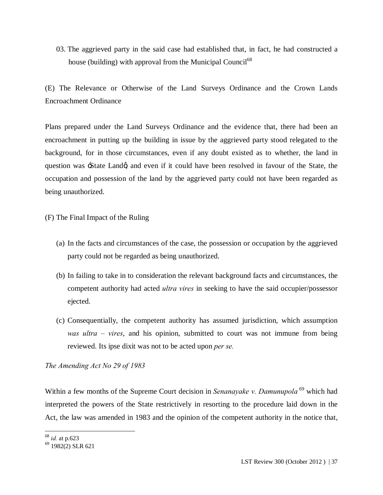03. The aggrieved party in the said case had established that, in fact, he had constructed a house (building) with approval from the Municipal Council<sup>68</sup>

(E) The Relevance or Otherwise of the Land Surveys Ordinance and the Crown Lands Encroachment Ordinance

Plans prepared under the Land Surveys Ordinance and the evidence that, there had been an encroachment in putting up the building in issue by the aggrieved party stood relegated to the background, for in those circumstances, even if any doubt existed as to whether, the land in question was -State Landg and even if it could have been resolved in favour of the State, the occupation and possession of the land by the aggrieved party could not have been regarded as being unauthorized.

(F) The Final Impact of the Ruling

- (a) In the facts and circumstances of the case, the possession or occupation by the aggrieved party could not be regarded as being unauthorized.
- (b) In failing to take in to consideration the relevant background facts and circumstances, the competent authority had acted *ultra vires* in seeking to have the said occupier/possessor ejected.
- (c) Consequentially, the competent authority has assumed jurisdiction, which assumption *was ultra – vires*, and his opinion, submitted to court was not immune from being reviewed. Its ipse dixit was not to be acted upon *per se.*

*The Amending Act No 29 of 1983*

Within a few months of the Supreme Court decision in *Senanayake v. Damunupola*<sup>69</sup> which had interpreted the powers of the State restrictively in resorting to the procedure laid down in the Act, the law was amended in 1983 and the opinion of the competent authority in the notice that,

 <sup>68</sup> *id.* at p.623

 $69$  1982(2) SLR 621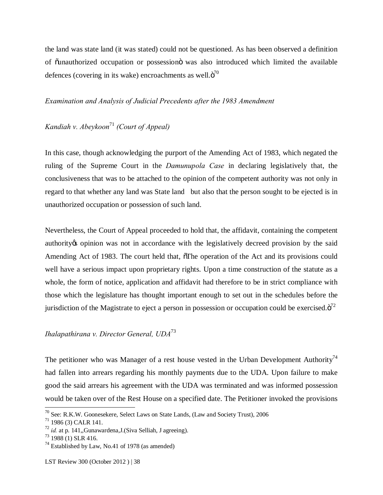the land was state land (it was stated) could not be questioned. As has been observed a definition of  $\ddot{\text{o}}$ unauthorized occupation or possession $\ddot{\text{o}}$  was also introduced which limited the available defences (covering in its wake) encroachments as well. $\ddot{\mathrm{o}}^{70}$ 

### *Examination and Analysis of Judicial Precedents after the 1983 Amendment*

# *Kandiah v. Abeykoon*<sup>71</sup> *(Court of Appeal)*

In this case, though acknowledging the purport of the Amending Act of 1983, which negated the ruling of the Supreme Court in the *Damunupola Case* in declaring legislatively that, the conclusiveness that was to be attached to the opinion of the competent authority was not only in regard to that whether any land was State land but also that the person sought to be ejected is in unauthorized occupation or possession of such land.

Nevertheless, the Court of Appeal proceeded to hold that, the affidavit, containing the competent authority to opinion was not in accordance with the legislatively decreed provision by the said Amending Act of 1983. The court held that,  $\delta$ The operation of the Act and its provisions could well have a serious impact upon proprietary rights. Upon a time construction of the statute as a whole, the form of notice, application and affidavit had therefore to be in strict compliance with those which the legislature has thought important enough to set out in the schedules before the jurisdiction of the Magistrate to eject a person in possession or occupation could be exercised. $\ddot{\sigma}^2$ 

## *Ihalapathirana v. Director General, UDA*<sup>73</sup>

The petitioner who was Manager of a rest house vested in the Urban Development Authority<sup>74</sup> had fallen into arrears regarding his monthly payments due to the UDA. Upon failure to make good the said arrears his agreement with the UDA was terminated and was informed possession would be taken over of the Rest House on a specified date. The Petitioner invoked the provisions

 $70$  See: R.K.W. Goonesekere, Select Laws on State Lands, (Law and Society Trust), 2006

<sup>71</sup> 1986 (3) CALR 141.

<sup>72</sup> *id.* at p. 141,,Gunawardena,J.(Siva Selliah, J agreeing).

 $^{73}$  1988 (1) SLR 416.

 $74$  Established by Law, No.41 of 1978 (as amended)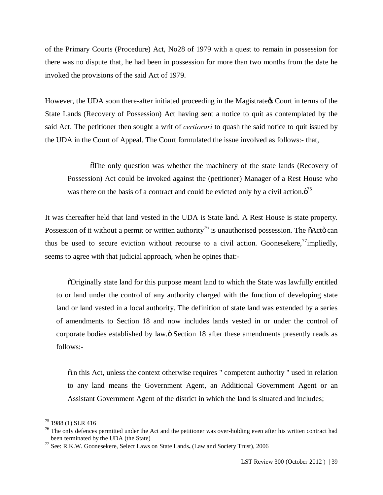of the Primary Courts (Procedure) Act, No28 of 1979 with a quest to remain in possession for there was no dispute that, he had been in possession for more than two months from the date he invoked the provisions of the said Act of 1979.

However, the UDA soon there-after initiated proceeding in the Magistrate of Court in terms of the State Lands (Recovery of Possession) Act having sent a notice to quit as contemplated by the said Act. The petitioner then sought a writ of *certiorari* to quash the said notice to quit issued by the UDA in the Court of Appeal. The Court formulated the issue involved as follows:- that,

 $\delta$ The only question was whether the machinery of the state lands (Recovery of Possession) Act could be invoked against the (petitioner) Manager of a Rest House who was there on the basis of a contract and could be evicted only by a civil action. $\ddot{o}^{75}$ 

It was thereafter held that land vested in the UDA is State land. A Rest House is state property. Possession of it without a permit or written authority<sup>76</sup> is unauthorised possession. The  $\tilde{o}$ Act $\tilde{o}$  can thus be used to secure eviction without recourse to a civil action. Goonesekere,<sup>77</sup>impliedly, seems to agree with that judicial approach, when he opines that:-

"Originally state land for this purpose meant land to which the State was lawfully entitled to or land under the control of any authority charged with the function of developing state land or land vested in a local authority. The definition of state land was extended by a series of amendments to Section 18 and now includes lands vested in or under the control of corporate bodies established by law. $\ddot{\text{o}}$  Section 18 after these amendments presently reads as follows:-

 $\delta$ In this Act, unless the context otherwise requires " competent authority " used in relation to any land means the Government Agent, an Additional Government Agent or an Assistant Government Agent of the district in which the land is situated and includes;

 <sup>75</sup> 1988 (1) SLR 416

 $76$  The only defences permitted under the Act and the petitioner was over-holding even after his written contract had been terminated by the UDA (the State)

<sup>77</sup> See: R.K.W. Goonesekere, Select Laws on State Lands**,** (Law and Society Trust), 2006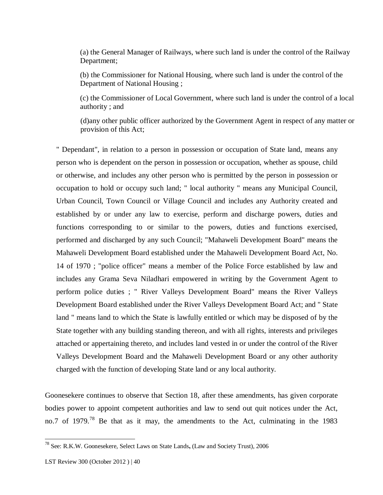(a) the General Manager of Railways, where such land is under the control of the Railway Department;

(b) the Commissioner for National Housing, where such land is under the control of the Department of National Housing ;

(c) the Commissioner of Local Government, where such land is under the control of a local authority ; and

(d)any other public officer authorized by the Government Agent in respect of any matter or provision of this Act;

" Dependant", in relation to a person in possession or occupation of State land, means any person who is dependent on the person in possession or occupation, whether as spouse, child or otherwise, and includes any other person who is permitted by the person in possession or occupation to hold or occupy such land; " local authority " means any Municipal Council, Urban Council, Town Council or Village Council and includes any Authority created and established by or under any law to exercise, perform and discharge powers, duties and functions corresponding to or similar to the powers, duties and functions exercised, performed and discharged by any such Council; "Mahaweli Development Board" means the Mahaweli Development Board established under the Mahaweli Development Board Act, No. 14 of 1970 ; "police officer" means a member of the Police Force established by law and includes any Grama Seva Niladhari empowered in writing by the Government Agent to perform police duties ; " River Valleys Development Board" means the River Valleys Development Board established under the River Valleys Development Board Act; and " State land " means land to which the State is lawfully entitled or which may be disposed of by the State together with any building standing thereon, and with all rights, interests and privileges attached or appertaining thereto, and includes land vested in or under the control of the River Valleys Development Board and the Mahaweli Development Board or any other authority charged with the function of developing State land or any local authority.

Goonesekere continues to observe that Section 18, after these amendments, has given corporate bodies power to appoint competent authorities and law to send out quit notices under the Act, no.7 of 1979.<sup>78</sup> Be that as it may, the amendments to the Act, culminating in the 1983

 <sup>78</sup> See: R.K.W. Goonesekere, Select Laws on State Lands**,** (Law and Society Trust), 2006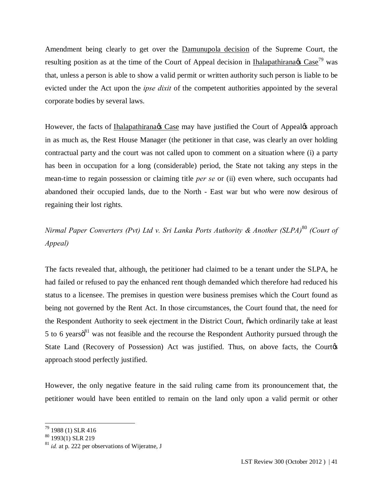Amendment being clearly to get over the Damunupola decision of the Supreme Court, the resulting position as at the time of the Court of Appeal decision in Ihalapathirana $\alpha$  Case<sup>79</sup> was that, unless a person is able to show a valid permit or written authority such person is liable to be evicted under the Act upon the *ipse dixit* of the competent authorities appointed by the several corporate bodies by several laws.

However, the facts of Ihalapathirana & Case may have justified the Court of Appeal & approach in as much as, the Rest House Manager (the petitioner in that case, was clearly an over holding contractual party and the court was not called upon to comment on a situation where (i) a party has been in occupation for a long (considerable) period, the State not taking any steps in the mean-time to regain possession or claiming title *per se* or (ii) even where, such occupants had abandoned their occupied lands, due to the North - East war but who were now desirous of regaining their lost rights.

*Nirmal Paper Converters (Pvt) Ltd v. Sri Lanka Ports Authority & Another (SLPA)*<sup>80</sup> *(Court of Appeal)*

The facts revealed that, although, the petitioner had claimed to be a tenant under the SLPA, he had failed or refused to pay the enhanced rent though demanded which therefore had reduced his status to a licensee. The premises in question were business premises which the Court found as being not governed by the Rent Act. In those circumstances, the Court found that, the need for the Respondent Authority to seek ejectment in the District Court,  $\tilde{\text{o}}$ which ordinarily take at least 5 to 6 years $\delta^{81}$  was not feasible and the recourse the Respondent Authority pursued through the State Land (Recovery of Possession) Act was justified. Thus, on above facts, the Courtes approach stood perfectly justified.

However, the only negative feature in the said ruling came from its pronouncement that, the petitioner would have been entitled to remain on the land only upon a valid permit or other

 <sup>79</sup> 1988 (1) SLR 416

 $80$  1993(1) SLR 219

<sup>81</sup> *id.* at p. 222 per observations of Wijeratne, J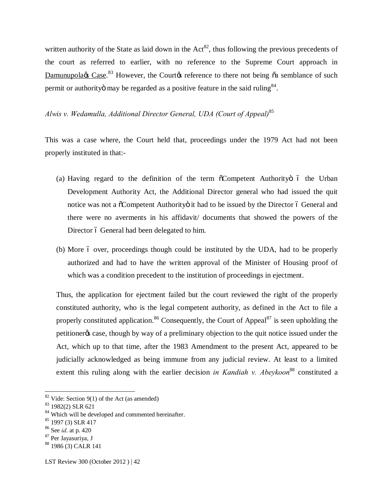written authority of the State as laid down in the  $Act^{82}$ , thus following the previous precedents of the court as referred to earlier, with no reference to the Supreme Court approach in Damunupola¢s Case.<sup>83</sup> However, the Court¢s reference to there not being  $\tilde{o}a$  semblance of such permit or authority may be regarded as a positive feature in the said ruling  $84$ .

*Alwis v. Wedamulla, Additional Director General, UDA (Court of Appeal)*<sup>85</sup>

This was a case where, the Court held that, proceedings under the 1979 Act had not been properly instituted in that:-

- (a) Having regard to the definition of the term  $\tilde{O}$ Competent Authority  $\tilde{O}$  the Urban Development Authority Act, the Additional Director general who had issued the quit notice was not a  $\tilde{\text{o}}$ Competent Authority it had to be issued by the Director  $\acute{o}$  General and there were no averments in his affidavit/ documents that showed the powers of the Director 6 General had been delegated to him.
- (b) More 6 over, proceedings though could be instituted by the UDA, had to be properly authorized and had to have the written approval of the Minister of Housing proof of which was a condition precedent to the institution of proceedings in ejectment.

Thus, the application for ejectment failed but the court reviewed the right of the properly constituted authority, who is the legal competent authority, as defined in the Act to file a properly constituted application.<sup>86</sup> Consequently, the Court of Appeal<sup>87</sup> is seen upholding the petitioner<sub>%</sub> case, though by way of a preliminary objection to the quit notice issued under the Act, which up to that time, after the 1983 Amendment to the present Act, appeared to be judicially acknowledged as being immune from any judicial review. At least to a limited extent this ruling along with the earlier decision *in Kandiah v. Abeykoon*<sup>88</sup> constituted a

<sup>87</sup> Per Jayasuriya, J

 $82$  Vide: Section 9(1) of the Act (as amended)

<sup>83</sup> 1982(2) SLR 621

<sup>&</sup>lt;sup>84</sup> Which will be developed and commented hereinafter.

 $85$  1997 (3) SLR 417

<sup>86</sup> See *id*. at p. 420

<sup>88</sup> 1986 (3) CALR 141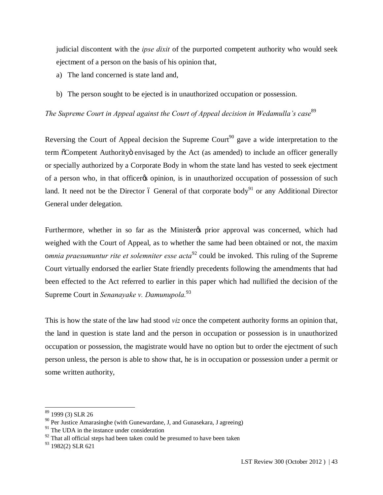judicial discontent with the *ipse dixit* of the purported competent authority who would seek ejectment of a person on the basis of his opinion that,

- a) The land concerned is state land and,
- b) The person sought to be ejected is in unauthorized occupation or possession.

The Supreme Court in Appeal against the Court of Appeal decision in Wedamulla's case<sup>89</sup>

Reversing the Court of Appeal decision the Supreme Court<sup>90</sup> gave a wide interpretation to the term  $\tilde{c}$ Competent Authority envisaged by the Act (as amended) to include an officer generally or specially authorized by a Corporate Body in whom the state land has vested to seek ejectment of a person who, in that officer to opinion, is in unauthorized occupation of possession of such land. It need not be the Director  $\acute{o}$  General of that corporate body<sup>91</sup> or any Additional Director General under delegation.

Furthermore, whether in so far as the Minister to prior approval was concerned, which had weighed with the Court of Appeal, as to whether the same had been obtained or not, the maxim o*mnia praesumuntur rite et solemniter esse acta*<sup>92</sup> could be invoked. This ruling of the Supreme Court virtually endorsed the earlier State friendly precedents following the amendments that had been effected to the Act referred to earlier in this paper which had nullified the decision of the Supreme Court in *Senanayake v. Damunupola.*<sup>93</sup>

This is how the state of the law had stood *viz* once the competent authority forms an opinion that, the land in question is state land and the person in occupation or possession is in unauthorized occupation or possession, the magistrate would have no option but to order the ejectment of such person unless, the person is able to show that, he is in occupation or possession under a permit or some written authority,

 <sup>89</sup> 1999 (3) SLR 26

 $90$  Per Justice Amarasinghe (with Gunewardane, J, and Gunasekara, J agreeing)

<sup>&</sup>lt;sup>91</sup> The UDA in the instance under consideration

 $92$  That all official steps had been taken could be presumed to have been taken

<sup>93 1982(2)</sup> SLR 621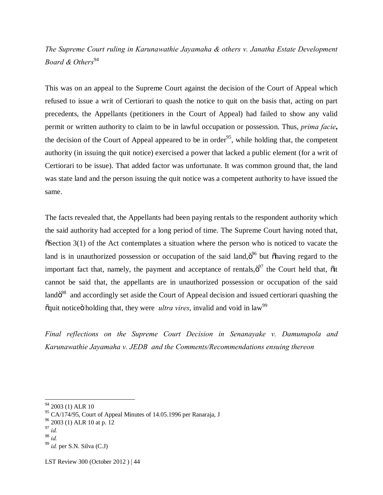# *The Supreme Court ruling in Karunawathie Jayamaha & others v. Janatha Estate Development Board & Others*<sup>94</sup>

This was on an appeal to the Supreme Court against the decision of the Court of Appeal which refused to issue a writ of Certiorari to quash the notice to quit on the basis that, acting on part precedents, the Appellants (petitioners in the Court of Appeal) had failed to show any valid permit or written authority to claim to be in lawful occupation or possession. Thus, *prima facie***,**  the decision of the Court of Appeal appeared to be in order<sup>95</sup>, while holding that, the competent authority (in issuing the quit notice) exercised a power that lacked a public element (for a writ of Certiorari to be issue). That added factor was unfortunate. It was common ground that, the land was state land and the person issuing the quit notice was a competent authority to have issued the same.

The facts revealed that, the Appellants had been paying rentals to the respondent authority which the said authority had accepted for a long period of time. The Supreme Court having noted that,  $\delta$ Section 3(1) of the Act contemplates a situation where the person who is noticed to vacate the land is in unauthorized possession or occupation of the said land, $\ddot{\sigma}^{96}$  but  $\ddot{\sigma}$ having regard to the important fact that, namely, the payment and acceptance of rentals, $\ddot{\sigma}^{97}$  the Court held that,  $\ddot{\text{o}}$ it cannot be said that, the appellants are in unauthorized possession or occupation of the said land $\ddot{\sigma}^{98}$  and accordingly set aside the Court of Appeal decision and issued certiorari quashing the  $\tilde{q}$  caunt notice  $\ddot{\text{o}}$  holding that, they were *ultra vires*, invalid and void in law<sup>99</sup>

*Final reflections on the Supreme Court Decision in Senanayake v. Damunupola and Karunawathie Jayamaha v. JEDB and the Comments/Recommendations ensuing thereon* 

<sup>&</sup>lt;sup>94</sup> 2003 (1) ALR 10

<sup>95</sup> CA/174/95, Court of Appeal Minutes of 14.05.1996 per Ranaraja, J

<sup>&</sup>lt;sup>96</sup> 2003 (1) ALR 10 at p. 12

<sup>97</sup> *id.*

<sup>98</sup> *id.*

<sup>99</sup> *id.* per S.N. Silva (C.J)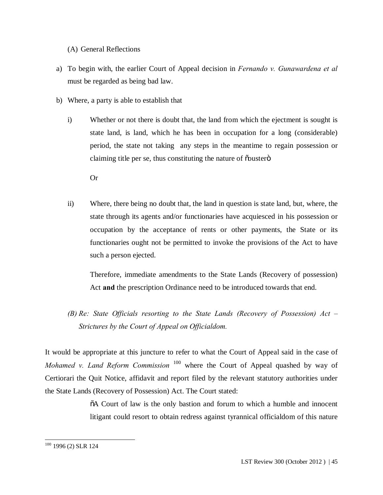(A) General Reflections

- a) To begin with, the earlier Court of Appeal decision in *Fernando v. Gunawardena et al*  must be regarded as being bad law.
- b) Where, a party is able to establish that
	- i) Whether or not there is doubt that, the land from which the ejectment is sought is state land, is land, which he has been in occupation for a long (considerable) period, the state not taking any steps in the meantime to regain possession or claiming title per se, thus constituting the nature of  $\tilde{\text{c}}$  ouster $\ddot{\text{o}}$

Or

ii) Where, there being no doubt that, the land in question is state land, but, where, the state through its agents and/or functionaries have acquiesced in his possession or occupation by the acceptance of rents or other payments, the State or its functionaries ought not be permitted to invoke the provisions of the Act to have such a person ejected.

Therefore, immediate amendments to the State Lands (Recovery of possession) Act **and** the prescription Ordinance need to be introduced towards that end.

*(B) Re: State Officials resorting to the State Lands (Recovery of Possession) Act – Strictures by the Court of Appeal on Officialdom.*

It would be appropriate at this juncture to refer to what the Court of Appeal said in the case of *Mohamed v. Land Reform Commission* <sup>100</sup> where the Court of Appeal quashed by way of Certiorari the Quit Notice, affidavit and report filed by the relevant statutory authorities under the State Lands (Recovery of Possession) Act. The Court stated:

> $\delta A$  Court of law is the only bastion and forum to which a humble and innocent litigant could resort to obtain redress against tyrannical officialdom of this nature

 <sup>100</sup> 1996 (2) SLR 124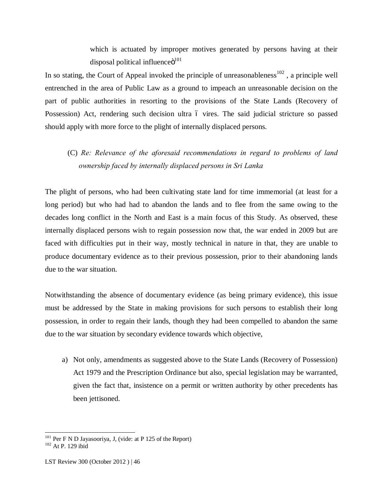which is actuated by improper motives generated by persons having at their disposal political influence $\ddot{\mathrm{o}}^{101}$ 

In so stating, the Court of Appeal invoked the principle of unreasonableness<sup>102</sup>, a principle well entrenched in the area of Public Law as a ground to impeach an unreasonable decision on the part of public authorities in resorting to the provisions of the State Lands (Recovery of Possession) Act, rendering such decision ultra 6 vires. The said judicial stricture so passed should apply with more force to the plight of internally displaced persons.

# (C) *Re: Relevance of the aforesaid recommendations in regard to problems of land ownership faced by internally displaced persons in Sri Lanka*

The plight of persons, who had been cultivating state land for time immemorial (at least for a long period) but who had had to abandon the lands and to flee from the same owing to the decades long conflict in the North and East is a main focus of this Study. As observed, these internally displaced persons wish to regain possession now that, the war ended in 2009 but are faced with difficulties put in their way, mostly technical in nature in that, they are unable to produce documentary evidence as to their previous possession, prior to their abandoning lands due to the war situation.

Notwithstanding the absence of documentary evidence (as being primary evidence), this issue must be addressed by the State in making provisions for such persons to establish their long possession, in order to regain their lands, though they had been compelled to abandon the same due to the war situation by secondary evidence towards which objective,

a) Not only, amendments as suggested above to the State Lands (Recovery of Possession) Act 1979 and the Prescription Ordinance but also, special legislation may be warranted, given the fact that, insistence on a permit or written authority by other precedents has been jettisoned.

<sup>&</sup>lt;sup>101</sup> Per F N D Jayasooriya, J, (vide: at P 125 of the Report) <sup>102</sup> At P 129 ibid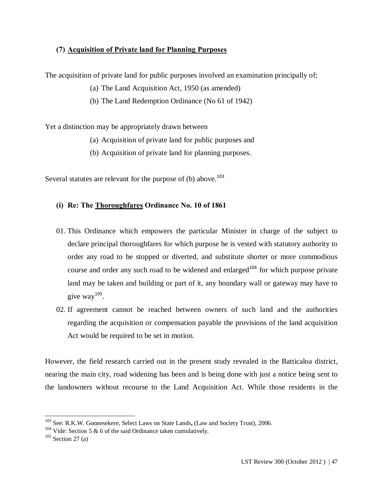## **(7) Acquisition of Private land for Planning Purposes**

The acquisition of private land for public purposes involved an examination principally of;

- (a) The Land Acquisition Act, 1950 (as amended)
- (b) The Land Redemption Ordinance (No 61 of 1942)

Yet a distinction may be appropriately drawn between

- (a) Acquisition of private land for public purposes and
- (b) Acquisition of private land for planning purposes.

Several statutes are relevant for the purpose of (b) above.<sup>103</sup>

## **(i) Re: The Thoroughfares Ordinance No. 10 of 1861**

- 01. This Ordinance which empowers the particular Minister in charge of the subject to declare principal thoroughfares for which purpose he is vested with statutory authority to order any road to be stopped or diverted, and substitute shorter or more commodious course and order any such road to be widened and enlarged<sup>104</sup> for which purpose private land may be taken and building or part of it, any boundary wall or gateway may have to give  $\text{wav}^{105}$ .
- 02. If agreement cannot be reached between owners of such land and the authorities regarding the acquisition or compensation payable the provisions of the land acquisition Act would be required to be set in motion.

However, the field research carried out in the present study revealed in the Batticaloa district, nearing the main city, road widening has been and is being done with just a notice being sent to the landowners without recourse to the Land Acquisition Act. While those residents in the

 <sup>103</sup> See: R.K.W. Goonesekere, Select Laws on State Lands**,** (Law and Society Trust), 2006.

<sup>&</sup>lt;sup>104</sup> Vide: Section 5 & 6 of the said Ordinance taken cumulatively.

 $105$  Section 27 (a)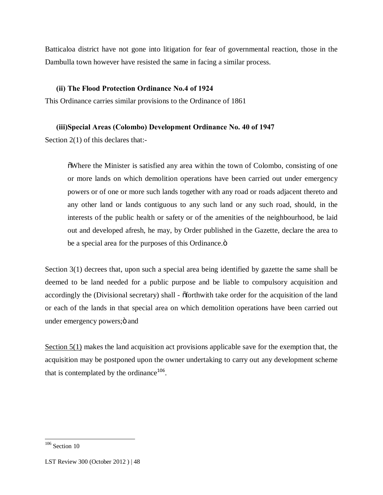Batticaloa district have not gone into litigation for fear of governmental reaction, those in the Dambulla town however have resisted the same in facing a similar process.

## **(ii) The Flood Protection Ordinance No.4 of 1924**

This Ordinance carries similar provisions to the Ordinance of 1861

## **(iii)Special Areas (Colombo) Development Ordinance No. 40 of 1947**

Section 2(1) of this declares that:-

"Where the Minister is satisfied any area within the town of Colombo, consisting of one or more lands on which demolition operations have been carried out under emergency powers or of one or more such lands together with any road or roads adjacent thereto and any other land or lands contiguous to any such land or any such road, should, in the interests of the public health or safety or of the amenities of the neighbourhood, be laid out and developed afresh, he may, by Order published in the Gazette, declare the area to be a special area for the purposes of this Ordinance. $\ddot{\text{o}}$ 

Section 3(1) decrees that, upon such a special area being identified by gazette the same shall be deemed to be land needed for a public purpose and be liable to compulsory acquisition and accordingly the (Divisional secretary) shall -  $\tilde{0}$  forthwith take order for the acquisition of the land or each of the lands in that special area on which demolition operations have been carried out under emergency powers;  $\ddot{o}$  and

Section 5(1) makes the land acquisition act provisions applicable save for the exemption that, the acquisition may be postponed upon the owner undertaking to carry out any development scheme that is contemplated by the ordinance<sup>106</sup>.

<sup>&</sup>lt;sup>106</sup> Section 10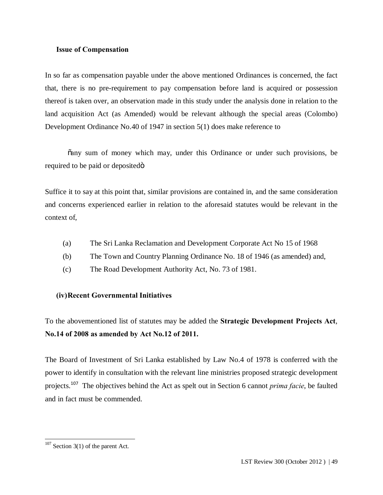#### **Issue of Compensation**

In so far as compensation payable under the above mentioned Ordinances is concerned, the fact that, there is no pre-requirement to pay compensation before land is acquired or possession thereof is taken over, an observation made in this study under the analysis done in relation to the land acquisition Act (as Amended) would be relevant although the special areas (Colombo) Development Ordinance No.40 of 1947 in section 5(1) does make reference to

"any sum of money which may, under this Ordinance or under such provisions, be required to be paid or deposited $\ddot{\text{o}}$ 

Suffice it to say at this point that, similar provisions are contained in, and the same consideration and concerns experienced earlier in relation to the aforesaid statutes would be relevant in the context of,

- (a) The Sri Lanka Reclamation and Development Corporate Act No 15 of 1968
- (b) The Town and Country Planning Ordinance No. 18 of 1946 (as amended) and,
- (c) The Road Development Authority Act, No. 73 of 1981.

#### **(iv)Recent Governmental Initiatives**

To the abovementioned list of statutes may be added the **Strategic Development Projects Act**, **No.14 of 2008 as amended by Act No.12 of 2011.**

The Board of Investment of Sri Lanka established by Law No.4 of 1978 is conferred with the power to identify in consultation with the relevant line ministries proposed strategic development projects.<sup>107</sup> The objectives behind the Act as spelt out in Section 6 cannot *prima facie*, be faulted and in fact must be commended.

 $107$  Section 3(1) of the parent Act.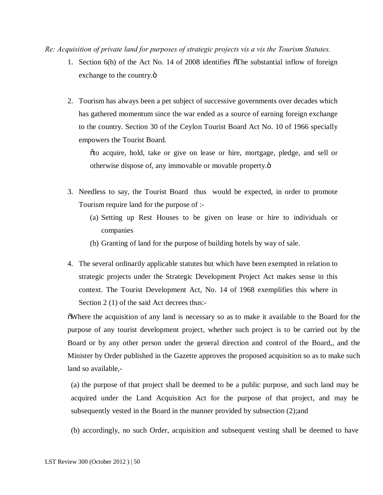*Re: Acquisition of private land for purposes of strategic projects vis a vis the Tourism Statutes.*

- 1. Section  $6(b)$  of the Act No. 14 of 2008 identifies  $\delta$ The substantial inflow of foreign exchange to the country. $\ddot{\text{o}}$
- 2. Tourism has always been a pet subject of successive governments over decades which has gathered momentum since the war ended as a source of earning foreign exchange to the country. Section 30 of the Ceylon Tourist Board Act No. 10 of 1966 specially empowers the Tourist Board.

"to acquire, hold, take or give on lease or hire, mortgage, pledge, and sell or otherwise dispose of, any immovable or movable property.ö

- 3. Needless to say, the Tourist Board thus would be expected, in order to promote Tourism require land for the purpose of :-
	- (a) Setting up Rest Houses to be given on lease or hire to individuals or companies
	- (b) Granting of land for the purpose of building hotels by way of sale.
- 4. The several ordinarily applicable statutes but which have been exempted in relation to strategic projects under the Strategic Development Project Act makes sense in this context. The Tourist Development Act, No. 14 of 1968 exemplifies this where in Section 2 (1) of the said Act decrees thus:-

"Where the acquisition of any land is necessary so as to make it available to the Board for the purpose of any tourist development project, whether such project is to be carried out by the Board or by any other person under the general direction and control of the Board,, and the Minister by Order published in the Gazette approves the proposed acquisition so as to make such land so available,-

(a) the purpose of that project shall be deemed to be a public purpose, and such land may be acquired under the Land Acquisition Act for the purpose of that project, and may be subsequently vested in the Board in the manner provided by subsection (2);and

(b) accordingly, no such Order, acquisition and subsequent vesting shall be deemed to have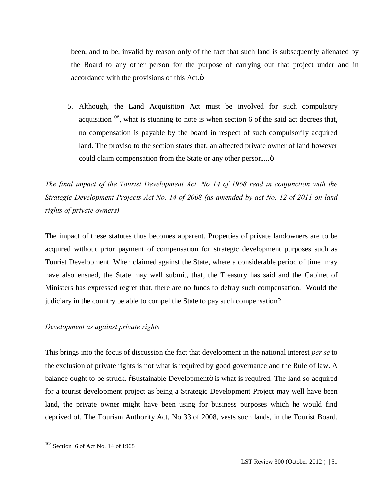been, and to be, invalid by reason only of the fact that such land is subsequently alienated by the Board to any other person for the purpose of carrying out that project under and in accordance with the provisions of this Act. $\ddot{o}$ 

5. Although, the Land Acquisition Act must be involved for such compulsory acquisition<sup>108</sup>, what is stunning to note is when section 6 of the said act decrees that, no compensation is payable by the board in respect of such compulsorily acquired land. The proviso to the section states that, an affected private owner of land however could claim compensation from the State or any other person....  $\ddot{o}$ 

*The final impact of the Tourist Development Act, No 14 of 1968 read in conjunction with the Strategic Development Projects Act No. 14 of 2008 (as amended by act No. 12 of 2011 on land rights of private owners)*

The impact of these statutes thus becomes apparent. Properties of private landowners are to be acquired without prior payment of compensation for strategic development purposes such as Tourist Development. When claimed against the State, where a considerable period of time may have also ensued, the State may well submit, that, the Treasury has said and the Cabinet of Ministers has expressed regret that, there are no funds to defray such compensation. Would the judiciary in the country be able to compel the State to pay such compensation?

## *Development as against private rights*

This brings into the focus of discussion the fact that development in the national interest *per se* to the exclusion of private rights is not what is required by good governance and the Rule of law. A balance ought to be struck.  $\tilde{\alpha}$ Sustainable Developmento is what is required. The land so acquired for a tourist development project as being a Strategic Development Project may well have been land, the private owner might have been using for business purposes which he would find deprived of. The Tourism Authority Act, No 33 of 2008, vests such lands, in the Tourist Board.

 <sup>108</sup> Section 6 of Act No. 14 of 1968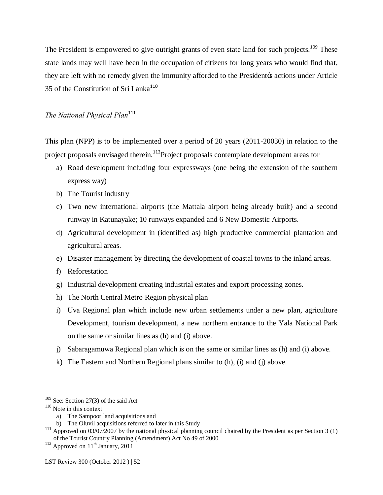The President is empowered to give outright grants of even state land for such projects.<sup>109</sup> These state lands may well have been in the occupation of citizens for long years who would find that, they are left with no remedy given the immunity afforded to the President & actions under Article 35 of the Constitution of Sri Lanka<sup>110</sup>

## *The National Physical Plan*<sup>111</sup>

This plan (NPP) is to be implemented over a period of 20 years (2011-20030) in relation to the project proposals envisaged therein.<sup>112</sup>Project proposals contemplate development areas for

- a) Road development including four expressways (one being the extension of the southern express way)
- b) The Tourist industry
- c) Two new international airports (the Mattala airport being already built) and a second runway in Katunayake; 10 runways expanded and 6 New Domestic Airports.
- d) Agricultural development in (identified as) high productive commercial plantation and agricultural areas.
- e) Disaster management by directing the development of coastal towns to the inland areas.
- f) Reforestation
- g) Industrial development creating industrial estates and export processing zones.
- h) The North Central Metro Region physical plan
- i) Uva Regional plan which include new urban settlements under a new plan, agriculture Development, tourism development, a new northern entrance to the Yala National Park on the same or similar lines as (h) and (i) above.
- j) Sabaragamuwa Regional plan which is on the same or similar lines as (h) and (i) above.
- k) The Eastern and Northern Regional plans similar to (h), (i) and (j) above.

<sup>&</sup>lt;sup>109</sup> See: Section 27(3) of the said Act

<sup>110</sup> Note in this context

a) The Sampoor land acquisitions and

b) The Oluvil acquisitions referred to later in this Study

<sup>&</sup>lt;sup>111</sup> Approved on 03/07/2007 by the national physical planning council chaired by the President as per Section 3 (1) of the Tourist Country Planning (Amendment) Act No 49 of 2000

 $112$  Approved on  $11<sup>th</sup>$  January, 2011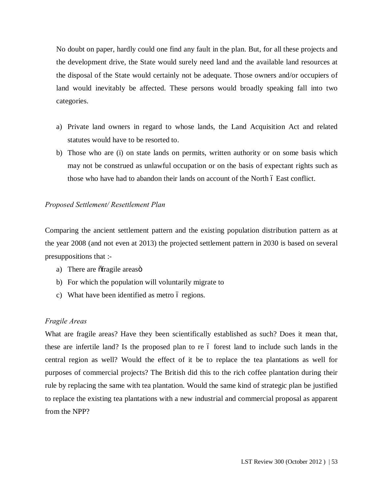No doubt on paper, hardly could one find any fault in the plan. But, for all these projects and the development drive, the State would surely need land and the available land resources at the disposal of the State would certainly not be adequate. Those owners and/or occupiers of land would inevitably be affected. These persons would broadly speaking fall into two categories.

- a) Private land owners in regard to whose lands, the Land Acquisition Act and related statutes would have to be resorted to.
- b) Those who are (i) on state lands on permits, written authority or on some basis which may not be construed as unlawful occupation or on the basis of expectant rights such as those who have had to abandon their lands on account of the North  $\acute{o}$  East conflict.

#### *Proposed Settlement/ Resettlement Plan*

Comparing the ancient settlement pattern and the existing population distribution pattern as at the year 2008 (and not even at 2013) the projected settlement pattern in 2030 is based on several presuppositions that :-

- a) There are  $\delta$ fragile areaso
- b) For which the population will voluntarily migrate to
- c) What have been identified as metro 6 regions.

## *Fragile Areas*

What are fragile areas? Have they been scientifically established as such? Does it mean that, these are infertile land? Is the proposed plan to re 6 forest land to include such lands in the central region as well? Would the effect of it be to replace the tea plantations as well for purposes of commercial projects? The British did this to the rich coffee plantation during their rule by replacing the same with tea plantation. Would the same kind of strategic plan be justified to replace the existing tea plantations with a new industrial and commercial proposal as apparent from the NPP?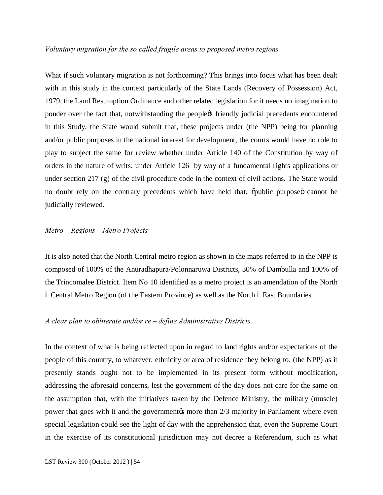#### *Voluntary migration for the so called fragile areas to proposed metro regions*

What if such voluntary migration is not forthcoming? This brings into focus what has been dealt with in this study in the context particularly of the State Lands (Recovery of Possession) Act, 1979, the Land Resumption Ordinance and other related legislation for it needs no imagination to ponder over the fact that, notwithstanding the people's friendly judicial precedents encountered in this Study, the State would submit that, these projects under (the NPP) being for planning and/or public purposes in the national interest for development, the courts would have no role to play to subject the same for review whether under Article 140 of the Constitution by way of orders in the nature of writs; under Article 126 by way of a fundamental rights applications or under section 217 (g) of the civil procedure code in the context of civil actions. The State would no doubt rely on the contrary precedents which have held that,  $\ddot{\text{op}}$  purpose cannot be judicially reviewed.

#### *Metro – Regions – Metro Projects*

It is also noted that the North Central metro region as shown in the maps referred to in the NPP is composed of 100% of the Anuradhapura/Polonnaruwa Districts, 30% of Dambulla and 100% of the Trincomalee District. Item No 10 identified as a metro project is an amendation of the North 6 Central Metro Region (of the Eastern Province) as well as the North 6 East Boundaries.

#### *A clear plan to obliterate and/or re – define Administrative Districts*

In the context of what is being reflected upon in regard to land rights and/or expectations of the people of this country, to whatever, ethnicity or area of residence they belong to, (the NPP) as it presently stands ought not to be implemented in its present form without modification, addressing the aforesaid concerns, lest the government of the day does not care for the same on the assumption that, with the initiatives taken by the Defence Ministry, the military (muscle) power that goes with it and the government  $\alpha$  more than  $2/3$  majority in Parliament where even special legislation could see the light of day with the apprehension that, even the Supreme Court in the exercise of its constitutional jurisdiction may not decree a Referendum, such as what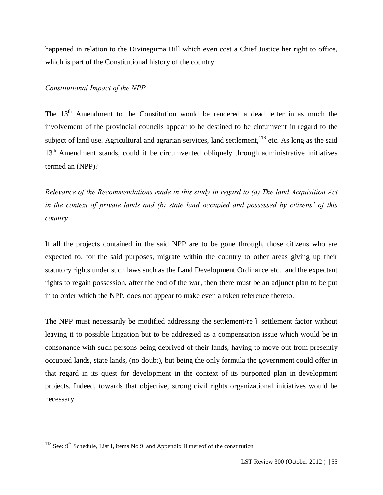happened in relation to the Divineguma Bill which even cost a Chief Justice her right to office, which is part of the Constitutional history of the country.

### *Constitutional Impact of the NPP*

The  $13<sup>th</sup>$  Amendment to the Constitution would be rendered a dead letter in as much the involvement of the provincial councils appear to be destined to be circumvent in regard to the subject of land use. Agricultural and agrarian services, land settlement,<sup>113</sup> etc. As long as the said 13<sup>th</sup> Amendment stands, could it be circumvented obliquely through administrative initiatives termed an (NPP)?

*Relevance of the Recommendations made in this study in regard to (a) The land Acquisition Act in the context of private lands and (b) state land occupied and possessed by citizens' of this country*

If all the projects contained in the said NPP are to be gone through, those citizens who are expected to, for the said purposes, migrate within the country to other areas giving up their statutory rights under such laws such as the Land Development Ordinance etc. and the expectant rights to regain possession, after the end of the war, then there must be an adjunct plan to be put in to order which the NPP, does not appear to make even a token reference thereto.

The NPP must necessarily be modified addressing the settlement/re 6 settlement factor without leaving it to possible litigation but to be addressed as a compensation issue which would be in consonance with such persons being deprived of their lands, having to move out from presently occupied lands, state lands, (no doubt), but being the only formula the government could offer in that regard in its quest for development in the context of its purported plan in development projects. Indeed, towards that objective, strong civil rights organizational initiatives would be necessary.

<sup>&</sup>lt;sup>113</sup> See:  $9<sup>th</sup>$  Schedule, List I, items No 9 and Appendix II thereof of the constitution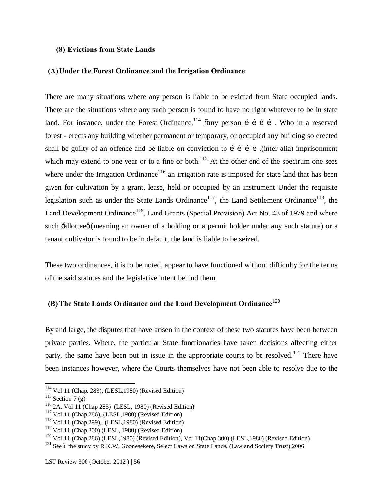#### **(8) Evictions from State Lands**

#### **(A)Under the Forest Ordinance and the Irrigation Ordinance**

There are many situations where any person is liable to be evicted from State occupied lands. There are the situations where any such person is found to have no right whatever to be in state land. For instance, under the Forest Ordinance,  $114$   $\tilde{a}$  any person i i i i. Who in a reserved forest - erects any building whether permanent or temporary, or occupied any building so erected shall be guilty of an offence and be liable on conviction to  $\tilde{i}$  i  $\tilde{j}$  (inter alia) imprisonment which may extend to one year or to a fine or both.<sup>115</sup> At the other end of the spectrum one sees where under the Irrigation Ordinance<sup>116</sup> an irrigation rate is imposed for state land that has been given for cultivation by a grant, lease, held or occupied by an instrument Under the requisite legislation such as under the State Lands Ordinance<sup>117</sup>, the Land Settlement Ordinance<sup>118</sup>, the Land Development Ordinance<sup>119</sup>, Land Grants (Special Provision) Act No. 43 of 1979 and where such  $\div$ allotteeø (meaning an owner of a holding or a permit holder under any such statute) or a tenant cultivator is found to be in default, the land is liable to be seized.

These two ordinances, it is to be noted, appear to have functioned without difficulty for the terms of the said statutes and the legislative intent behind them.

## **(B)The State Lands Ordinance and the Land Development Ordinance**<sup>120</sup>

By and large, the disputes that have arisen in the context of these two statutes have been between private parties. Where, the particular State functionaries have taken decisions affecting either party, the same have been put in issue in the appropriate courts to be resolved.<sup>121</sup> There have been instances however, where the Courts themselves have not been able to resolve due to the

 <sup>114</sup> Vol 11 (Chap. 283), (LESL,1980) (Revised Edition)

 $115$  Section 7 (g)

<sup>116</sup> 2A. Vol 11 (Chap 285) (LESL, 1980) (Revised Edition)

<sup>117</sup> Vol 11 (Chap 286), (LESL,1980) (Revised Edition)

<sup>118</sup> Vol 11 (Chap 299), (LESL,1980) (Revised Edition)

 $119$  Vol 11 (Chap 300) (LESL, 1980) (Revised Edition)

 $120$  Vol 11 (Chap 286) (LESL, 1980) (Revised Edition), Vol 11(Chap 300) (LESL, 1980) (Revised Edition)

<sup>&</sup>lt;sup>121</sup> See 6 the study by R.K.W. Goonesekere, Select Laws on State Lands, (Law and Society Trust),2006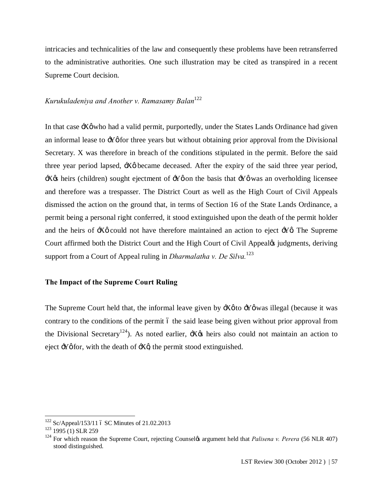intricacies and technicalities of the law and consequently these problems have been retransferred to the administrative authorities. One such illustration may be cited as transpired in a recent Supreme Court decision.

## *Kurukuladeniya and Another v. Ramasamy Balan*<sup>122</sup>

In that case  $\div$  X $\emptyset$  who had a valid permit, purportedly, under the States Lands Ordinance had given an informal lease to  $\mathcal{H}\phi$  for three years but without obtaining prior approval from the Divisional Secretary. X was therefore in breach of the conditions stipulated in the permit. Before the said three year period lapsed,  $\div X\phi$  became deceased. After the expiry of the said three year period,  $\exists X$  theirs (children) sought ejectment of  $\exists Y$  on the basis that  $\exists Y$  of was an overholding licensee and therefore was a trespasser. The District Court as well as the High Court of Civil Appeals dismissed the action on the ground that, in terms of Section 16 of the State Lands Ordinance, a permit being a personal right conferred, it stood extinguished upon the death of the permit holder and the heirs of  $\div X\phi$  could not have therefore maintained an action to eject  $\div Y\phi$ . The Supreme Court affirmed both the District Court and the High Court of Civil Appeal¢ judgments, deriving support from a Court of Appeal ruling in *Dharmalatha v. De Silva.*<sup>123</sup>

## **The Impact of the Supreme Court Ruling**

The Supreme Court held that, the informal leave given by  $\div$   $\phi$  was illegal (because it was contrary to the conditions of the permit 6 the said lease being given without prior approval from the Divisional Secretary<sup>124</sup>). As noted earlier,  $\pm X\alpha$  heirs also could not maintain an action to eject  $\div Y$  *o* for, with the death of  $\div X$ <sup>*g*</sup> the permit stood extinguished.

 $122$  Sc/Appeal/153/11 6 SC Minutes of 21.02.2013

 $123$  1995 (1) SLR 259

<sup>&</sup>lt;sup>124</sup> For which reason the Supreme Court, rejecting Counselys argument held that *Palisena v. Perera* (56 NLR 407) stood distinguished.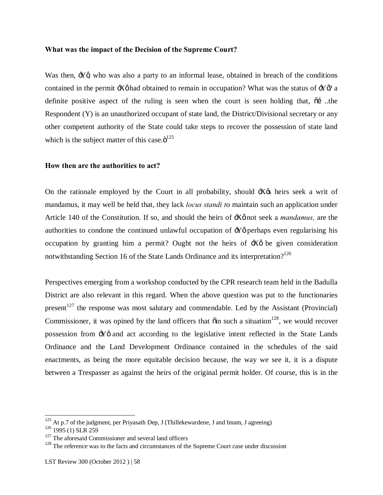#### **What was the impact of the Decision of the Supreme Court?**

Was then,  $\mathcal{Y}$ g who was also a party to an informal lease, obtained in breach of the conditions contained in the permit  $\ddot{\mathcal{X}}\phi$  had obtained to remain in occupation? What was the status of  $\ddot{\mathcal{Y}}\phi$ ? a definite positive aspect of the ruling is seen when the court is seen holding that,  $\tilde{\text{o}}$  ...the Respondent (Y) is an unauthorized occupant of state land, the District/Divisional secretary or any other competent authority of the State could take steps to recover the possession of state land which is the subject matter of this case. $\ddot{\mathrm{o}}^{125}$ 

## **How then are the authorities to act?**

On the rationale employed by the Court in all probability, should  $\frac{1}{10}$  heirs seek a writ of mandamus, it may well be held that, they lack *locus standi t*o maintain such an application under Article 140 of the Constitution. If so, and should the heirs of  $\div$  X $\phi$  not seek a *mandamus*, are the authorities to condone the continued unlawful occupation of  $\div$  perhaps even regularising his occupation by granting him a permit? Ought not the heirs of  $\frac{1}{10}$  be given consideration notwithstanding Section 16 of the State Lands Ordinance and its interpretation?<sup>126</sup>

Perspectives emerging from a workshop conducted by the CPR research team held in the Badulla District are also relevant in this regard. When the above question was put to the functionaries present<sup>127</sup> the response was most salutary and commendable. Led by the Assistant (Provincial) Commissioner, it was opined by the land officers that  $\ddot{\text{o}}$  in such a situation<sup>128</sup>, we would recover possession from  $\div Y\phi$  and act according to the legislative intent reflected in the State Lands Ordinance and the Land Development Ordinance contained in the schedules of the said enactments, as being the more equitable decision because, the way we see it, it is a dispute between a Trespasser as against the heirs of the original permit holder. Of course, this is in the

<sup>&</sup>lt;sup>125</sup> At p.7 of the judgment, per Priyasath Dep, J (Thillekewardene, J and Imam, J agreeing)

<sup>&</sup>lt;sup>126</sup> 1995 (1) SLR 259

 $127$  The aforesaid Commissioner and several land officers

<sup>&</sup>lt;sup>128</sup> The reference was to the facts and circumstances of the Supreme Court case under discussion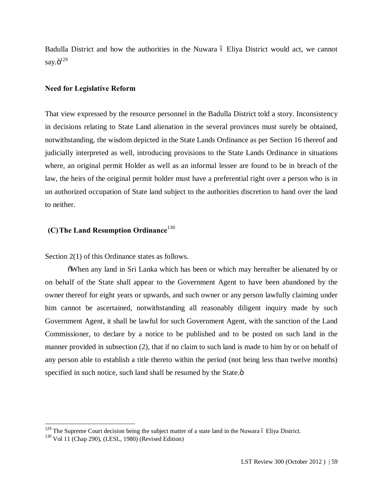Badulla District and how the authorities in the Nuwara  $\acute{o}$  Eliya District would act, we cannot say. $\ddot{o}^{129}$ 

#### **Need for Legislative Reform**

That view expressed by the resource personnel in the Badulla District told a story. Inconsistency in decisions relating to State Land alienation in the several provinces must surely be obtained, notwithstanding, the wisdom depicted in the State Lands Ordinance as per Section 16 thereof and judicially interpreted as well, introducing provisions to the State Lands Ordinance in situations where, an original permit Holder as well as an informal lessee are found to be in breach of the law, the heirs of the original permit holder must have a preferential right over a person who is in un authorized occupation of State land subject to the authorities discretion to hand over the land to neither.

## **(C)The Land Resumption Ordinance**<sup>130</sup>

Section 2(1) of this Ordinance states as follows.

"When any land in Sri Lanka which has been or which may hereafter be alienated by or on behalf of the State shall appear to the Government Agent to have been abandoned by the owner thereof for eight years or upwards, and such owner or any person lawfully claiming under him cannot be ascertained, notwithstanding all reasonably diligent inquiry made by such Government Agent, it shall be lawful for such Government Agent, with the sanction of the Land Commissioner, to declare by a notice to be published and to be posted on such land in the manner provided in subsection (2), that if no claim to such land is made to him by or on behalf of any person able to establish a title thereto within the period (not being less than twelve months) specified in such notice, such land shall be resumed by the State. $\ddot{o}$ 

 $129$  The Supreme Court decision being the subject matter of a state land in the Nuwara 6 Eliya District.

<sup>130</sup> Vol 11 (Chap 290), (LESL, 1980) (Revised Edition)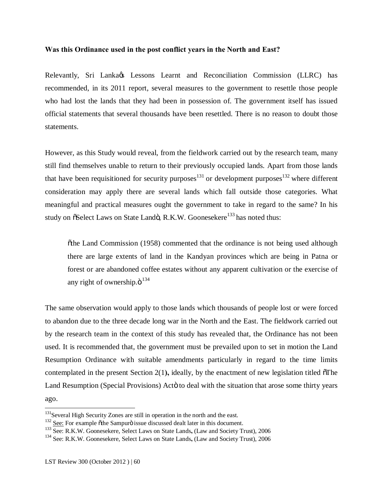#### **Was this Ordinance used in the post conflict years in the North and East?**

Relevantly, Sri Lanka $\alpha$ s Lessons Learnt and Reconciliation Commission (LLRC) has recommended, in its 2011 report, several measures to the government to resettle those people who had lost the lands that they had been in possession of. The government itself has issued official statements that several thousands have been resettled. There is no reason to doubt those statements.

However, as this Study would reveal, from the fieldwork carried out by the research team, many still find themselves unable to return to their previously occupied lands. Apart from those lands that have been requisitioned for security purposes $131$  or development purposes $132$  where different consideration may apply there are several lands which fall outside those categories. What meaningful and practical measures ought the government to take in regard to the same? In his study on  $\delta$ Select Laws on State Landö, R.K.W. Goonesekere<sup>133</sup> has noted thus:

 $\ddot{\text{o}}$  the Land Commission (1958) commented that the ordinance is not being used although there are large extents of land in the Kandyan provinces which are being in Patna or forest or are abandoned coffee estates without any apparent cultivation or the exercise of any right of ownership. $\ddot{\mathrm{o}}^{134}$ 

The same observation would apply to those lands which thousands of people lost or were forced to abandon due to the three decade long war in the North and the East. The fieldwork carried out by the research team in the context of this study has revealed that, the Ordinance has not been used. It is recommended that, the government must be prevailed upon to set in motion the Land Resumption Ordinance with suitable amendments particularly in regard to the time limits contemplated in the present Section 2(1), ideally, by the enactment of new legislation titled  $\delta$ The Land Resumption (Special Provisions) Acto to deal with the situation that arose some thirty years ago.

<sup>&</sup>lt;sup>131</sup>Several High Security Zones are still in operation in the north and the east.

 $132$  See: For example  $\check{\text{o}}$ the Sampurö issue discussed dealt later in this document.

<sup>&</sup>lt;sup>133</sup> See: R.K.W. Goonesekere, Select Laws on State Lands, (Law and Society Trust), 2006

<sup>134</sup> See: R.K.W. Goonesekere, Select Laws on State Lands**,** (Law and Society Trust), 2006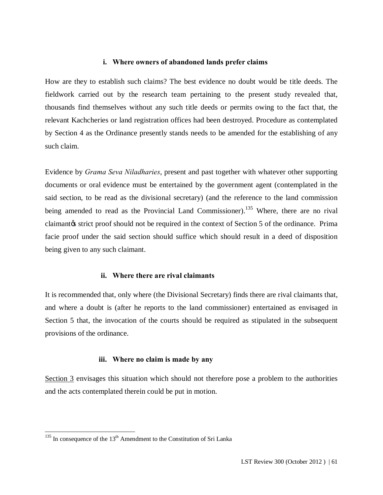#### **i. Where owners of abandoned lands prefer claims**

How are they to establish such claims? The best evidence no doubt would be title deeds. The fieldwork carried out by the research team pertaining to the present study revealed that, thousands find themselves without any such title deeds or permits owing to the fact that, the relevant Kachcheries or land registration offices had been destroyed. Procedure as contemplated by Section 4 as the Ordinance presently stands needs to be amended for the establishing of any such claim.

Evidence by *Grama Seva Niladharies*, present and past together with whatever other supporting documents or oral evidence must be entertained by the government agent (contemplated in the said section, to be read as the divisional secretary) (and the reference to the land commission being amended to read as the Provincial Land Commissioner).<sup>135</sup> Where, there are no rival claimant the strict proof should not be required in the context of Section 5 of the ordinance. Prima facie proof under the said section should suffice which should result in a deed of disposition being given to any such claimant.

#### **ii. Where there are rival claimants**

It is recommended that, only where (the Divisional Secretary) finds there are rival claimants that, and where a doubt is (after he reports to the land commissioner) entertained as envisaged in Section 5 that, the invocation of the courts should be required as stipulated in the subsequent provisions of the ordinance.

#### **iii. Where no claim is made by any**

Section 3 envisages this situation which should not therefore pose a problem to the authorities and the acts contemplated therein could be put in motion.

 $135$  In consequence of the  $13<sup>th</sup>$  Amendment to the Constitution of Sri Lanka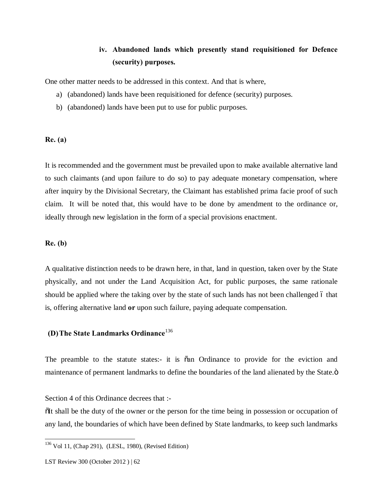# **iv. Abandoned lands which presently stand requisitioned for Defence (security) purposes.**

One other matter needs to be addressed in this context. And that is where,

- a) (abandoned) lands have been requisitioned for defence (security) purposes.
- b) (abandoned) lands have been put to use for public purposes.

#### **Re. (a)**

It is recommended and the government must be prevailed upon to make available alternative land to such claimants (and upon failure to do so) to pay adequate monetary compensation, where after inquiry by the Divisional Secretary, the Claimant has established prima facie proof of such claim. It will be noted that, this would have to be done by amendment to the ordinance or, ideally through new legislation in the form of a special provisions enactment.

#### **Re. (b)**

A qualitative distinction needs to be drawn here, in that, land in question, taken over by the State physically, and not under the Land Acquisition Act, for public purposes, the same rationale should be applied where the taking over by the state of such lands has not been challenged 6 that is, offering alternative land **or** upon such failure, paying adequate compensation.

## **(D)The State Landmarks Ordinance**<sup>136</sup>

The preamble to the statute states:- it is  $\tilde{\alpha}$  and Ordinance to provide for the eviction and maintenance of permanent landmarks to define the boundaries of the land alienated by the State. $\ddot{o}$ 

Section 4 of this Ordinance decrees that :-

 $I$  of the duty of the owner or the person for the time being in possession or occupation of any land, the boundaries of which have been defined by State landmarks, to keep such landmarks

 <sup>136</sup> Vol 11, (Chap 291), (LESL, 1980), (Revised Edition)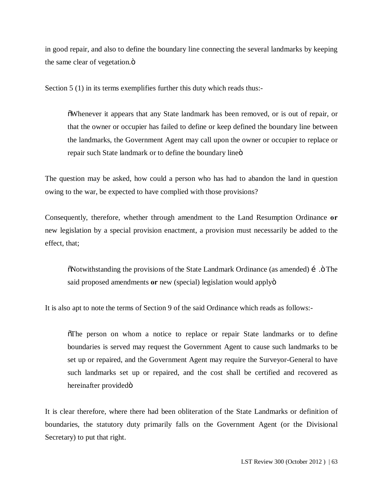in good repair, and also to define the boundary line connecting the several landmarks by keeping the same clear of vegetation. $\ddot{o}$ 

Section 5 (1) in its terms exemplifies further this duty which reads thus:-

"Whenever it appears that any State landmark has been removed, or is out of repair, or that the owner or occupier has failed to define or keep defined the boundary line between the landmarks, the Government Agent may call upon the owner or occupier to replace or repair such State landmark or to define the boundary line  $\ddot{\mathrm{o}}$ 

The question may be asked, how could a person who has had to abandon the land in question owing to the war, be expected to have complied with those provisions?

Consequently, therefore, whether through amendment to the Land Resumption Ordinance **or** new legislation by a special provision enactment, a provision must necessarily be added to the effect, that;

 $\ddot{\text{o}}$ Notwithstanding the provisions of the State Landmark Ordinance (as amended) í .ö The said proposed amendments **or** new (special) legislation would apply  $\ddot{o}$ 

It is also apt to note the terms of Section 9 of the said Ordinance which reads as follows:-

 $\delta$ The person on whom a notice to replace or repair State landmarks or to define boundaries is served may request the Government Agent to cause such landmarks to be set up or repaired, and the Government Agent may require the Surveyor-General to have such landmarks set up or repaired, and the cost shall be certified and recovered as hereinafter providedö

It is clear therefore, where there had been obliteration of the State Landmarks or definition of boundaries, the statutory duty primarily falls on the Government Agent (or the Divisional Secretary) to put that right.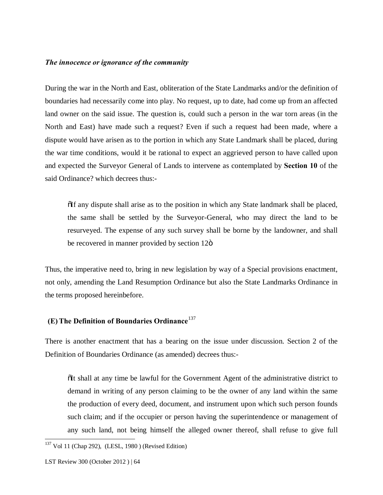#### *The innocence or ignorance of the community*

During the war in the North and East, obliteration of the State Landmarks and/or the definition of boundaries had necessarily come into play. No request, up to date, had come up from an affected land owner on the said issue. The question is, could such a person in the war torn areas (in the North and East) have made such a request? Even if such a request had been made, where a dispute would have arisen as to the portion in which any State Landmark shall be placed, during the war time conditions, would it be rational to expect an aggrieved person to have called upon and expected the Surveyor General of Lands to intervene as contemplated by **Section 10** of the said Ordinance? which decrees thus:-

 $\tilde{\text{d}}$  any dispute shall arise as to the position in which any State landmark shall be placed, the same shall be settled by the Surveyor-General, who may direct the land to be resurveyed. The expense of any such survey shall be borne by the landowner, and shall be recovered in manner provided by section 12 $\ddot{o}$ 

Thus, the imperative need to, bring in new legislation by way of a Special provisions enactment, not only, amending the Land Resumption Ordinance but also the State Landmarks Ordinance in the terms proposed hereinbefore.

## **(E)The Definition of Boundaries Ordinance**<sup>137</sup>

There is another enactment that has a bearing on the issue under discussion. Section 2 of the Definition of Boundaries Ordinance (as amended) decrees thus:-

 $\delta$ It shall at any time be lawful for the Government Agent of the administrative district to demand in writing of any person claiming to be the owner of any land within the same the production of every deed, document, and instrument upon which such person founds such claim; and if the occupier or person having the superintendence or management of any such land, not being himself the alleged owner thereof, shall refuse to give full

 <sup>137</sup> Vol 11 (Chap 292), (LESL, 1980 ) (Revised Edition)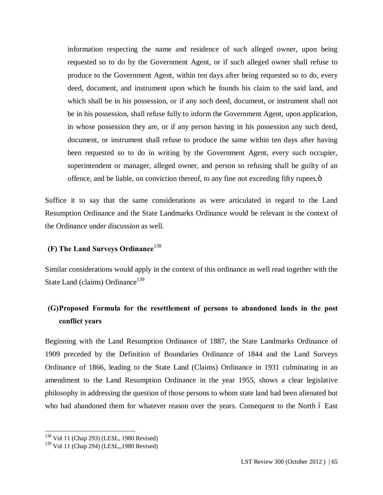information respecting the name and residence of such alleged owner, upon being requested so to do by the Government Agent, or if such alleged owner shall refuse to produce to the Government Agent, within ten days after being requested so to do, every deed, document, and instrument upon which he founds his claim to the said land, and which shall be in his possession, or if any such deed, document, or instrument shall not be in his possession, shall refuse fully to inform the Government Agent, upon application, in whose possession they are, or if any person having in his possession any such deed, document, or instrument shall refuse to produce the same within ten days after having been requested so to do in writing by the Government Agent, every such occupier, superintendent or manager, alleged owner, and person so refusing shall be guilty of an offence, and be liable, on conviction thereof, to any fine not exceeding fifty rupees. $\ddot{o}$ 

Suffice it to say that the same considerations as were articulated in regard to the Land Resumption Ordinance and the State Landmarks Ordinance would be relevant in the context of the Ordinance under discussion as well.

## **(F) The Land Surveys Ordinance**<sup>138</sup>

Similar considerations would apply in the context of this ordinance as well read together with the State Land (claims) Ordinance<sup>139</sup>

# **(G)Proposed Formula for the resettlement of persons to abandoned lands in the post conflict years**

Beginning with the Land Resumption Ordinance of 1887, the State Landmarks Ordinance of 1909 preceded by the Definition of Boundaries Ordinance of 1844 and the Land Surveys Ordinance of 1866, leading to the State Land (Claims) Ordinance in 1931 culminating in an amendment to the Land Resumption Ordinance in the year 1955, shows a clear legislative philosophy in addressing the question of those persons to whom state land had been alienated but who had abandoned them for whatever reason over the years. Consequent to the North  $\acute{o}$  East

 <sup>138</sup> Vol 11 (Chap 293) (LESL, 1980 Revised)

<sup>139</sup> Vol 11 (Chap 294) (LESL,,1980 Revised)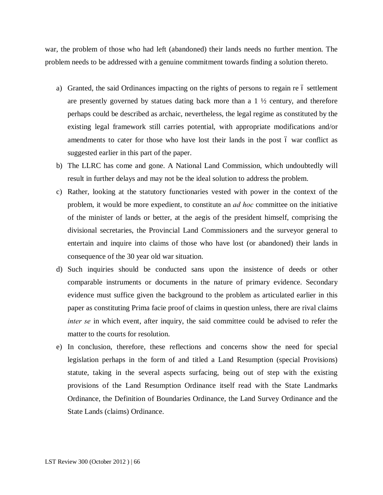war, the problem of those who had left (abandoned) their lands needs no further mention. The problem needs to be addressed with a genuine commitment towards finding a solution thereto.

- a) Granted, the said Ordinances impacting on the rights of persons to regain re 6 settlement are presently governed by statues dating back more than a  $1 \frac{1}{2}$  century, and therefore perhaps could be described as archaic, nevertheless, the legal regime as constituted by the existing legal framework still carries potential, with appropriate modifications and/or amendments to cater for those who have lost their lands in the post 6 war conflict as suggested earlier in this part of the paper.
- b) The LLRC has come and gone. A National Land Commission, which undoubtedly will result in further delays and may not be the ideal solution to address the problem.
- c) Rather, looking at the statutory functionaries vested with power in the context of the problem, it would be more expedient, to constitute an *ad hoc* committee on the initiative of the minister of lands or better, at the aegis of the president himself, comprising the divisional secretaries, the Provincial Land Commissioners and the surveyor general to entertain and inquire into claims of those who have lost (or abandoned) their lands in consequence of the 30 year old war situation.
- d) Such inquiries should be conducted sans upon the insistence of deeds or other comparable instruments or documents in the nature of primary evidence. Secondary evidence must suffice given the background to the problem as articulated earlier in this paper as constituting Prima facie proof of claims in question unless, there are rival claims *inter se* in which event, after inquiry, the said committee could be advised to refer the matter to the courts for resolution.
- e) In conclusion, therefore, these reflections and concerns show the need for special legislation perhaps in the form of and titled a Land Resumption (special Provisions) statute, taking in the several aspects surfacing, being out of step with the existing provisions of the Land Resumption Ordinance itself read with the State Landmarks Ordinance, the Definition of Boundaries Ordinance, the Land Survey Ordinance and the State Lands (claims) Ordinance.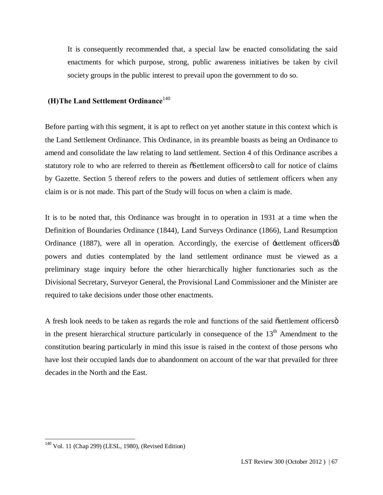It is consequently recommended that, a special law be enacted consolidating the said enactments for which purpose, strong, public awareness initiatives be taken by civil society groups in the public interest to prevail upon the government to do so.

## **(H)The Land Settlement Ordinance**<sup>140</sup>

Before parting with this segment, it is apt to reflect on yet another statute in this context which is the Land Settlement Ordinance. This Ordinance, in its preamble boasts as being an Ordinance to amend and consolidate the law relating to land settlement. Section 4 of this Ordinance ascribes a statutory role to who are referred to therein as  $\delta$ Settlement officers otio call for notice of claims by Gazette. Section 5 thereof refers to the powers and duties of settlement officers when any claim is or is not made. This part of the Study will focus on when a claim is made.

It is to be noted that, this Ordinance was brought in to operation in 1931 at a time when the Definition of Boundaries Ordinance (1844), Land Surveys Ordinance (1866), Land Resumption Ordinance (1887), were all in operation. Accordingly, the exercise of  $\div\text{set}$ tlement officers $\varphi$ powers and duties contemplated by the land settlement ordinance must be viewed as a preliminary stage inquiry before the other hierarchically higher functionaries such as the Divisional Secretary, Surveyor General, the Provisional Land Commissioner and the Minister are required to take decisions under those other enactments.

A fresh look needs to be taken as regards the role and functions of the said  $\ddot{\text{os}}$ ettlement officers  $\ddot{\text{o}}$ in the present hierarchical structure particularly in consequence of the  $13<sup>th</sup>$  Amendment to the constitution bearing particularly in mind this issue is raised in the context of those persons who have lost their occupied lands due to abandonment on account of the war that prevailed for three decades in the North and the East.

 <sup>140</sup> Vol. 11 (Chap 299) (LESL, 1980), (Revised Edition)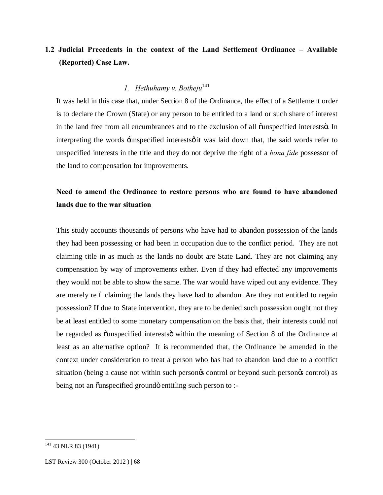# **1.2 Judicial Precedents in the context of the Land Settlement Ordinance – Available (Reported) Case Law.**

## *1. Hethuhamy v. Botheju*<sup>141</sup>

It was held in this case that, under Section 8 of the Ordinance, the effect of a Settlement order is to declare the Crown (State) or any person to be entitled to a land or such share of interest in the land free from all encumbrances and to the exclusion of all ounspecified interestso. In interpreting the words -unspecified interests o it was laid down that, the said words refer to unspecified interests in the title and they do not deprive the right of a *bona fide* possessor of the land to compensation for improvements.

# **Need to amend the Ordinance to restore persons who are found to have abandoned lands due to the war situation**

This study accounts thousands of persons who have had to abandon possession of the lands they had been possessing or had been in occupation due to the conflict period. They are not claiming title in as much as the lands no doubt are State Land. They are not claiming any compensation by way of improvements either. Even if they had effected any improvements they would not be able to show the same. The war would have wiped out any evidence. They are merely re 6 claiming the lands they have had to abandon. Are they not entitled to regain possession? If due to State intervention, they are to be denied such possession ought not they be at least entitled to some monetary compensation on the basis that, their interests could not be regarded as  $\ddot{\text{o}}$ unspecified interests $\ddot{\text{o}}$  within the meaning of Section 8 of the Ordinance at least as an alternative option? It is recommended that, the Ordinance be amended in the context under consideration to treat a person who has had to abandon land due to a conflict situation (being a cause not within such persongs control or beyond such persongs control) as being not an õunspecified groundö entitling such person to :-

<sup>&</sup>lt;sup>141</sup> 43 NLR 83 (1941)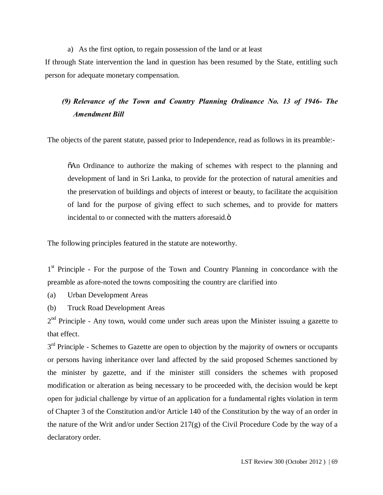#### a) As the first option, to regain possession of the land or at least

If through State intervention the land in question has been resumed by the State, entitling such person for adequate monetary compensation.

# *(9) Relevance of the Town and Country Planning Ordinance No. 13 of 1946- The Amendment Bill*

The objects of the parent statute, passed prior to Independence, read as follows in its preamble:-

 $\delta$ An Ordinance to authorize the making of schemes with respect to the planning and development of land in Sri Lanka, to provide for the protection of natural amenities and the preservation of buildings and objects of interest or beauty, to facilitate the acquisition of land for the purpose of giving effect to such schemes, and to provide for matters incidental to or connected with the matters aforesaid. $\ddot{\mathrm{o}}$ 

The following principles featured in the statute are noteworthy.

1<sup>st</sup> Principle - For the purpose of the Town and Country Planning in concordance with the preamble as afore-noted the towns compositing the country are clarified into

- (a) Urban Development Areas
- (b) Truck Road Development Areas

 $2<sup>nd</sup>$  Principle - Any town, would come under such areas upon the Minister issuing a gazette to that effect.

3<sup>rd</sup> Principle - Schemes to Gazette are open to objection by the majority of owners or occupants or persons having inheritance over land affected by the said proposed Schemes sanctioned by the minister by gazette, and if the minister still considers the schemes with proposed modification or alteration as being necessary to be proceeded with, the decision would be kept open for judicial challenge by virtue of an application for a fundamental rights violation in term of Chapter 3 of the Constitution and/or Article 140 of the Constitution by the way of an order in the nature of the Writ and/or under Section 217(g) of the Civil Procedure Code by the way of a declaratory order.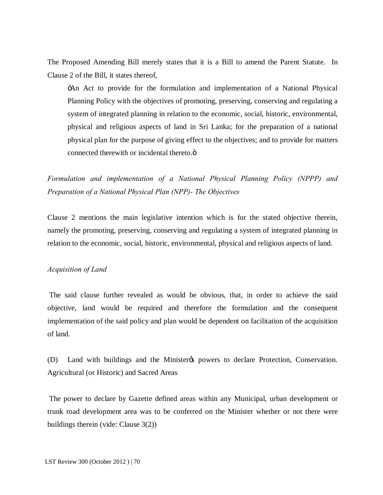The Proposed Amending Bill merely states that it is a Bill to amend the Parent Statute. In Clause 2 of the Bill, it states thereof,

'An Act to provide for the formulation and implementation of a National Physical Planning Policy with the objectives of promoting, preserving, conserving and regulating a system of integrated planning in relation to the economic, social, historic, environmental, physical and religious aspects of land in Sri Lanka; for the preparation of a national physical plan for the purpose of giving effect to the objectives; and to provide for matters connected therewith or incidental thereto. $\ddot{\text{o}}$ 

*Formulation and implementation of a National Physical Planning Policy (NPPP) and Preparation of a National Physical Plan (NPP)- The Objectives* 

Clause 2 mentions the main legislative intention which is for the stated objective therein, namely the promoting, preserving, conserving and regulating a system of integrated planning in relation to the economic, social, historic, environmental, physical and religious aspects of land.

## *Acquisition of Land*

The said clause further revealed as would be obvious, that, in order to achieve the said objective, land would be required and therefore the formulation and the consequent implementation of the said policy and plan would be dependent on facilitation of the acquisition of land.

(D) Land with buildings and the Minister to powers to declare Protection, Conservation. Agricultural (or Historic) and Sacred Areas

The power to declare by Gazette defined areas within any Municipal, urban development or trunk road development area was to be conferred on the Minister whether or not there were buildings therein (vide: Clause 3(2))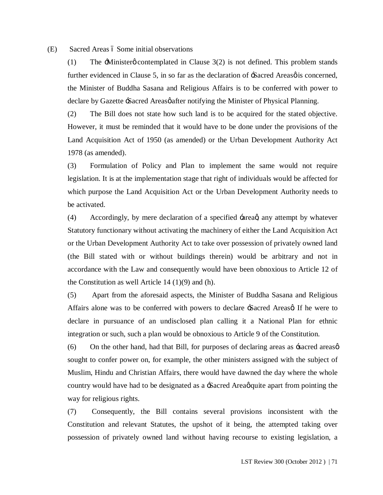(E) Sacred Areas 6 Some initial observations

(1) The  $\pm$ Ministerg contemplated in Clause 3(2) is not defined. This problem stands further evidenced in Clause 5, in so far as the declaration of  $-\frac{1}{2}$ Sacred Areas  $\phi$  is concerned, the Minister of Buddha Sasana and Religious Affairs is to be conferred with power to declare by Gazette -Sacred Areasø after notifying the Minister of Physical Planning.

(2) The Bill does not state how such land is to be acquired for the stated objective. However, it must be reminded that it would have to be done under the provisions of the Land Acquisition Act of 1950 (as amended) or the Urban Development Authority Act 1978 (as amended).

(3) Formulation of Policy and Plan to implement the same would not require legislation. It is at the implementation stage that right of individuals would be affected for which purpose the Land Acquisition Act or the Urban Development Authority needs to be activated.

(4) Accordingly, by mere declaration of a specified  $\pm$ areag any attempt by whatever Statutory functionary without activating the machinery of either the Land Acquisition Act or the Urban Development Authority Act to take over possession of privately owned land (the Bill stated with or without buildings therein) would be arbitrary and not in accordance with the Law and consequently would have been obnoxious to Article 12 of the Constitution as well Article  $14 \left( \frac{1}{9} \right)$  and  $(h)$ .

(5) Apart from the aforesaid aspects, the Minister of Buddha Sasana and Religious Affairs alone was to be conferred with powers to declare -Sacred Areas of If he were to declare in pursuance of an undisclosed plan calling it a National Plan for ethnic integration or such, such a plan would be obnoxious to Article 9 of the Constitution.

(6) On the other hand, had that Bill, for purposes of declaring areas as  $\pm$ sacred areas $\varphi$ sought to confer power on, for example, the other ministers assigned with the subject of Muslim, Hindu and Christian Affairs, there would have dawned the day where the whole country would have had to be designated as a  $\pm$ Sacred Area gquite apart from pointing the way for religious rights.

(7) Consequently, the Bill contains several provisions inconsistent with the Constitution and relevant Statutes, the upshot of it being, the attempted taking over possession of privately owned land without having recourse to existing legislation, a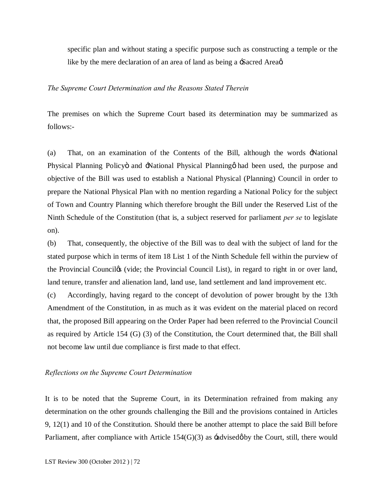specific plan and without stating a specific purpose such as constructing a temple or the like by the mere declaration of an area of land as being a -Sacred Area $\alpha$ .

#### *The Supreme Court Determination and the Reasons Stated Therein*

The premises on which the Supreme Court based its determination may be summarized as follows:-

(a) That, on an examination of the Contents of the Bill, although the words 'National Physical Planning Policy and -National Physical Planning on had been used, the purpose and objective of the Bill was used to establish a National Physical (Planning) Council in order to prepare the National Physical Plan with no mention regarding a National Policy for the subject of Town and Country Planning which therefore brought the Bill under the Reserved List of the Ninth Schedule of the Constitution (that is, a subject reserved for parliament *per se* to legislate on).

(b) That, consequently, the objective of the Bill was to deal with the subject of land for the stated purpose which in terms of item 18 List 1 of the Ninth Schedule fell within the purview of the Provincial Counciles (vide; the Provincial Council List), in regard to right in or over land, land tenure, transfer and alienation land, land use, land settlement and land improvement etc.

(c) Accordingly, having regard to the concept of devolution of power brought by the 13th Amendment of the Constitution, in as much as it was evident on the material placed on record that, the proposed Bill appearing on the Order Paper had been referred to the Provincial Council as required by Article 154 (G) (3) of the Constitution, the Court determined that, the Bill shall not become law until due compliance is first made to that effect.

#### *Reflections on the Supreme Court Determination*

It is to be noted that the Supreme Court, in its Determination refrained from making any determination on the other grounds challenging the Bill and the provisions contained in Articles 9, 12(1) and 10 of the Constitution. Should there be another attempt to place the said Bill before Parliament, after compliance with Article  $154(G)(3)$  as  $\pm$ advised $\emptyset$  by the Court, still, there would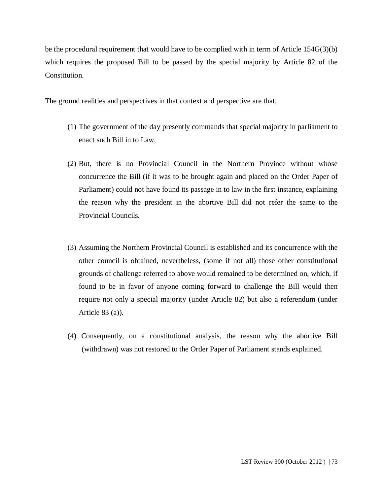be the procedural requirement that would have to be complied with in term of Article 154G(3)(b) which requires the proposed Bill to be passed by the special majority by Article 82 of the Constitution.

The ground realities and perspectives in that context and perspective are that,

- (1) The government of the day presently commands that special majority in parliament to enact such Bill in to Law,
- (2) But, there is no Provincial Council in the Northern Province without whose concurrence the Bill (if it was to be brought again and placed on the Order Paper of Parliament) could not have found its passage in to law in the first instance, explaining the reason why the president in the abortive Bill did not refer the same to the Provincial Councils.
- (3) Assuming the Northern Provincial Council is established and its concurrence with the other council is obtained, nevertheless, (some if not all) those other constitutional grounds of challenge referred to above would remained to be determined on, which, if found to be in favor of anyone coming forward to challenge the Bill would then require not only a special majority (under Article 82) but also a referendum (under Article 83 (a)).
- (4) Consequently, on a constitutional analysis, the reason why the abortive Bill (withdrawn) was not restored to the Order Paper of Parliament stands explained.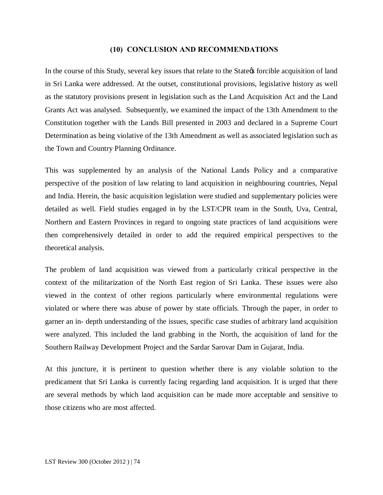#### **(10) CONCLUSION AND RECOMMENDATIONS**

In the course of this Study, several key issues that relate to the State to forcible acquisition of land in Sri Lanka were addressed. At the outset, constitutional provisions, legislative history as well as the statutory provisions present in legislation such as the Land Acquisition Act and the Land Grants Act was analysed. Subsequently, we examined the impact of the 13th Amendment to the Constitution together with the Lands Bill presented in 2003 and declared in a Supreme Court Determination as being violative of the 13th Amendment as well as associated legislation such as the Town and Country Planning Ordinance.

This was supplemented by an analysis of the National Lands Policy and a comparative perspective of the position of law relating to land acquisition in neighbouring countries, Nepal and India. Herein, the basic acquisition legislation were studied and supplementary policies were detailed as well. Field studies engaged in by the LST/CPR team in the South, Uva, Central, Northern and Eastern Provinces in regard to ongoing state practices of land acquisitions were then comprehensively detailed in order to add the required empirical perspectives to the theoretical analysis.

The problem of land acquisition was viewed from a particularly critical perspective in the context of the militarization of the North East region of Sri Lanka. These issues were also viewed in the context of other regions particularly where environmental regulations were violated or where there was abuse of power by state officials. Through the paper, in order to garner an in- depth understanding of the issues, specific case studies of arbitrary land acquisition were analyzed. This included the land grabbing in the North, the acquisition of land for the Southern Railway Development Project and the Sardar Sarovar Dam in Gujarat, India.

At this juncture, it is pertinent to question whether there is any violable solution to the predicament that Sri Lanka is currently facing regarding land acquisition. It is urged that there are several methods by which land acquisition can be made more acceptable and sensitive to those citizens who are most affected.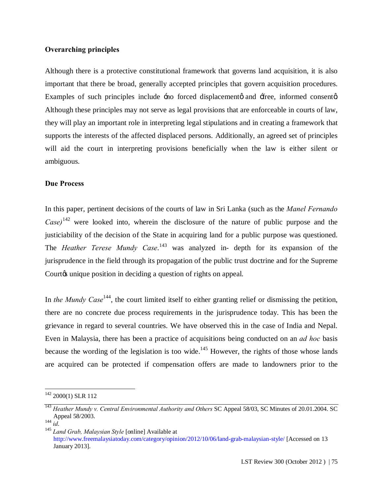### **Overarching principles**

Although there is a protective constitutional framework that governs land acquisition, it is also important that there be broad, generally accepted principles that govern acquisition procedures. Examples of such principles include  $\pm$  no forced displacement and  $\pm$  free, informed consent  $\alpha$ . Although these principles may not serve as legal provisions that are enforceable in courts of law, they will play an important role in interpreting legal stipulations and in creating a framework that supports the interests of the affected displaced persons. Additionally, an agreed set of principles will aid the court in interpreting provisions beneficially when the law is either silent or ambiguous.

#### **Due Process**

In this paper, pertinent decisions of the courts of law in Sri Lanka (such as the *Manel Fernando Case*)<sup> $142$ </sup> were looked into, wherein the disclosure of the nature of public purpose and the justiciability of the decision of the State in acquiring land for a public purpose was questioned. The *Heather Terese Mundy Case*. <sup>143</sup> was analyzed in- depth for its expansion of the jurisprudence in the field through its propagation of the public trust doctrine and for the Supreme Court is unique position in deciding a question of rights on appeal.

In *the Mundy Case*<sup>144</sup>, the court limited itself to either granting relief or dismissing the petition, there are no concrete due process requirements in the jurisprudence today. This has been the grievance in regard to several countries. We have observed this in the case of India and Nepal. Even in Malaysia, there has been a practice of acquisitions being conducted on an *ad hoc* basis because the wording of the legislation is too wide.<sup>145</sup> However, the rights of those whose lands are acquired can be protected if compensation offers are made to landowners prior to the

<sup>&</sup>lt;sup>142</sup> 2000(1) SLR 112

<sup>&</sup>lt;sup>143</sup> *Heather Mundy v. Central Environmental Authority and Others* SC Appeal 58/03, SC Minutes of 20.01.2004. SC Appeal 58/2003.

Appeal 58/2003. <sup>144</sup> *id*. <sup>145</sup> *Land Grab, Malaysian Style* [online] Available at http://www.freemalaysiatoday.com/category/opinion/2012/10/06/land-grab-malaysian-style/ [Accessed on 13 January 2013].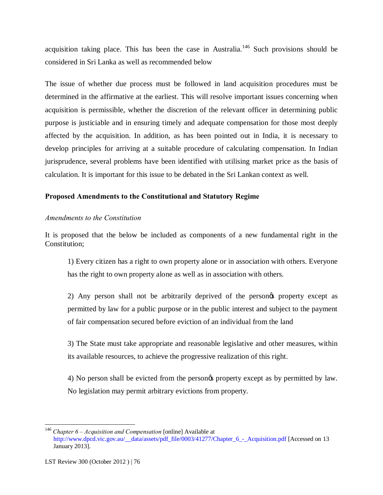acquisition taking place. This has been the case in Australia.<sup>146</sup> Such provisions should be considered in Sri Lanka as well as recommended below

The issue of whether due process must be followed in land acquisition procedures must be determined in the affirmative at the earliest. This will resolve important issues concerning when acquisition is permissible, whether the discretion of the relevant officer in determining public purpose is justiciable and in ensuring timely and adequate compensation for those most deeply affected by the acquisition. In addition, as has been pointed out in India, it is necessary to develop principles for arriving at a suitable procedure of calculating compensation. In Indian jurisprudence, several problems have been identified with utilising market price as the basis of calculation. It is important for this issue to be debated in the Sri Lankan context as well.

## **Proposed Amendments to the Constitutional and Statutory Regime**

## *Amendments to the Constitution*

It is proposed that the below be included as components of a new fundamental right in the Constitution;

1) Every citizen has a right to own property alone or in association with others. Everyone has the right to own property alone as well as in association with others.

2) Any person shall not be arbitrarily deprived of the persones property except as permitted by law for a public purpose or in the public interest and subject to the payment of fair compensation secured before eviction of an individual from the land

3) The State must take appropriate and reasonable legislative and other measures, within its available resources, to achieve the progressive realization of this right.

4) No person shall be evicted from the person $\alpha$  property except as by permitted by law. No legislation may permit arbitrary evictions from property.

 <sup>146</sup> *Chapter 6 – Acquisition and Compensation* [online] Available at http://www.dpcd.vic.gov.au/\_\_data/assets/pdf\_file/0003/41277/Chapter\_6\_-\_Acquisition.pdf [Accessed on 13 January 2013].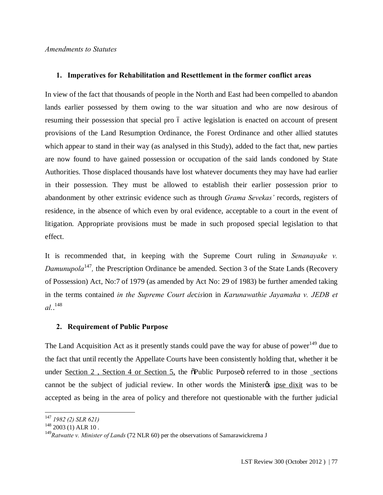### **1. Imperatives for Rehabilitation and Resettlement in the former conflict areas**

In view of the fact that thousands of people in the North and East had been compelled to abandon lands earlier possessed by them owing to the war situation and who are now desirous of resuming their possession that special pro 6 active legislation is enacted on account of present provisions of the Land Resumption Ordinance, the Forest Ordinance and other allied statutes which appear to stand in their way (as analysed in this Study), added to the fact that, new parties are now found to have gained possession or occupation of the said lands condoned by State Authorities. Those displaced thousands have lost whatever documents they may have had earlier in their possession. They must be allowed to establish their earlier possession prior to abandonment by other extrinsic evidence such as through *Grama Sevekas'* records, registers of residence, in the absence of which even by oral evidence, acceptable to a court in the event of litigation. Appropriate provisions must be made in such proposed special legislation to that effect.

It is recommended that, in keeping with the Supreme Court ruling in *Senanayake v. Damunupola*<sup>147</sup>, the Prescription Ordinance be amended. Section 3 of the State Lands (Recovery of Possession) Act, No:7 of 1979 (as amended by Act No: 29 of 1983) be further amended taking in the terms contained *in the Supreme Court de*c*is*ion in *Karunawathie Jayamaha v. JEDB et al.*. 148

## **2. Requirement of Public Purpose**

The Land Acquisition Act as it presently stands could pave the way for abuse of power<sup>149</sup> due to the fact that until recently the Appellate Courts have been consistently holding that, whether it be under Section 2, Section 4 or Section 5, the  $\delta$ Public Purpose or referred to in those sections cannot be the subject of judicial review. In other words the Minister the set dixit was to be accepted as being in the area of policy and therefore not questionable with the further judicial

 <sup>147</sup> *1982 (2) SLR 621)*

<sup>&</sup>lt;sup>149</sup> Ratwatte v. Minister of Lands (72 NLR 60) per the observations of Samarawickrema J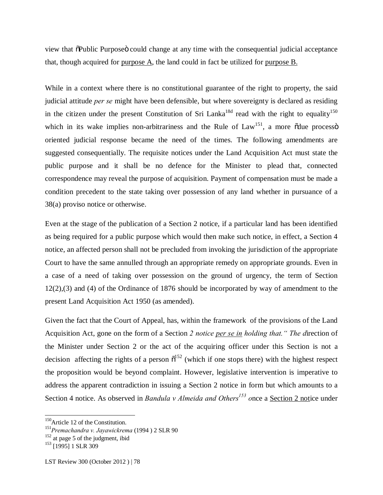view that "Public Purpose" could change at any time with the consequential judicial acceptance that, though acquired for purpose A, the land could in fact be utilized for purpose B.

While in a context where there is no constitutional guarantee of the right to property, the said judicial attitude *per se* might have been defensible, but where sovereignty is declared as residing in the citizen under the present Constitution of Sri Lanka<sup>18d</sup> read with the right to equality<sup>150</sup> which in its wake implies non-arbitrariness and the Rule of  $Law<sup>151</sup>$ , a more  $\tilde{O}$ due process $\tilde{O}$ oriented judicial response became the need of the times. The following amendments are suggested consequentially. The requisite notices under the Land Acquisition Act must state the public purpose and it shall be no defence for the Minister to plead that, connected correspondence may reveal the purpose of acquisition. Payment of compensation must be made a condition precedent to the state taking over possession of any land whether in pursuance of a 38(a) proviso notice or otherwise.

Even at the stage of the publication of a Section 2 notice, if a particular land has been identified as being required for a public purpose which would then make such notice, in effect, a Section 4 notice, an affected person shall not be precluded from invoking the jurisdiction of the appropriate Court to have the same annulled through an appropriate remedy on appropriate grounds. Even in a case of a need of taking over possession on the ground of urgency, the term of Section 12(2),(3) and (4) of the Ordinance of 1876 should be incorporated by way of amendment to the present Land Acquisition Act 1950 (as amended).

Given the fact that the Court of Appeal, has, within the framework of the provisions of the Land Acquisition Act, gone on the form of a Section *2 notice per se in holding that." The d*irection of the Minister under Section 2 or the act of the acquiring officer under this Section is not a decision affecting the rights of a person  $\tilde{\sigma}^{152}$  (which if one stops there) with the highest respect the proposition would be beyond complaint. However, legislative intervention is imperative to address the apparent contradiction in issuing a Section 2 notice in form but which amounts to a Section 4 notice. As observed in *Bandula v Almeida and Others<sup>153</sup>* once a <u>Section 2 not</u>ice under

<sup>&</sup>lt;sup>150</sup>Article 12 of the Constitution.

<sup>151</sup>*Premachandra v. Jayawickrema* (1994 ) 2 SLR 90

 $152$  at page 5 of the judgment, ibid

<sup>&</sup>lt;sup>153</sup> [1995] 1 SLR 309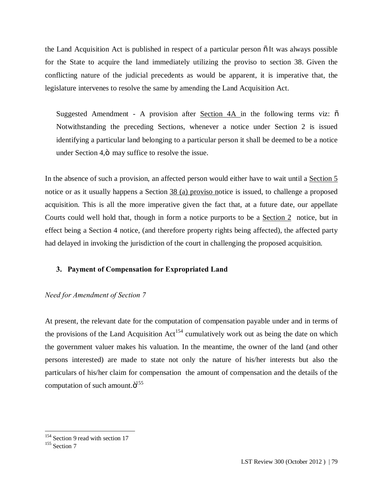the Land Acquisition Act is published in respect of a particular person  $\tilde{\text{o}}$  It was always possible for the State to acquire the land immediately utilizing the proviso to section 38. Given the conflicting nature of the judicial precedents as would be apparent, it is imperative that, the legislature intervenes to resolve the same by amending the Land Acquisition Act.

Suggested Amendment - A provision after Section  $4A$  in the following terms viz:  $\tilde{o}$ Notwithstanding the preceding Sections, whenever a notice under Section 2 is issued identifying a particular land belonging to a particular person it shall be deemed to be a notice under Section 4, $\ddot{o}$  may suffice to resolve the issue.

In the absence of such a provision, an affected person would either have to wait until a Section 5 notice or as it usually happens a Section 38 (a) proviso notice is issued, to challenge a proposed acquisition. This is all the more imperative given the fact that, at a future date, our appellate Courts could well hold that, though in form a notice purports to be a Section 2 notice, but in effect being a Section 4 notice, (and therefore property rights being affected), the affected party had delayed in invoking the jurisdiction of the court in challenging the proposed acquisition.

## **3. Payment of Compensation for Expropriated Land**

## *Need for Amendment of Section 7*

At present, the relevant date for the computation of compensation payable under and in terms of the provisions of the Land Acquisition  $Act^{154}$  cumulatively work out as being the date on which the government valuer makes his valuation. In the meantime, the owner of the land (and other persons interested) are made to state not only the nature of his/her interests but also the particulars of his/her claim for compensation the amount of compensation and the details of the computation of such amount. $\ddot{\text{o}}^{155}$ 

 $154$  Section 9 read with section 17

<sup>&</sup>lt;sup>155</sup> Section 7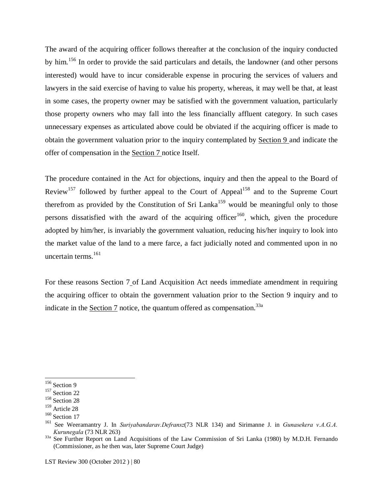The award of the acquiring officer follows thereafter at the conclusion of the inquiry conducted by him.<sup>156</sup> In order to provide the said particulars and details, the landowner (and other persons interested) would have to incur considerable expense in procuring the services of valuers and lawyers in the said exercise of having to value his property, whereas, it may well be that, at least in some cases, the property owner may be satisfied with the government valuation, particularly those property owners who may fall into the less financially affluent category. In such cases unnecessary expenses as articulated above could be obviated if the acquiring officer is made to obtain the government valuation prior to the inquiry contemplated by Section 9 and indicate the offer of compensation in the Section 7 notice Itself.

The procedure contained in the Act for objections, inquiry and then the appeal to the Board of Review<sup>157</sup> followed by further appeal to the Court of Appeal<sup>158</sup> and to the Supreme Court therefrom as provided by the Constitution of Sri Lanka<sup>159</sup> would be meaningful only to those persons dissatisfied with the award of the acquiring officer<sup>160</sup>, which, given the procedure adopted by him/her, is invariably the government valuation, reducing his/her inquiry to look into the market value of the land to a mere farce, a fact judicially noted and commented upon in no uncertain terms. $^{161}$ 

For these reasons Section 7 of Land Acquisition Act needs immediate amendment in requiring the acquiring officer to obtain the government valuation prior to the Section 9 inquiry and to indicate in the Section 7 notice, the quantum offered as compensation.<sup>33a</sup>

<sup>&</sup>lt;sup>156</sup> Section 9

<sup>157</sup> Section 22

<sup>158</sup> Section 28

<sup>159</sup> Article 28

<sup>&</sup>lt;sup>160</sup> Section 17

<sup>161</sup> See Weeramantry J. In *Suriyabandarav.Defransz*(73 NLR 134) and Sirimanne J. in *Gunasekera v.A.G.A.* 

<sup>&</sup>lt;sup>33a</sup> See Further Report on Land Acquisitions of the Law Commission of Sri Lanka (1980) by M.D.H. Fernando (Commissioner, as he then was, later Supreme Court Judge)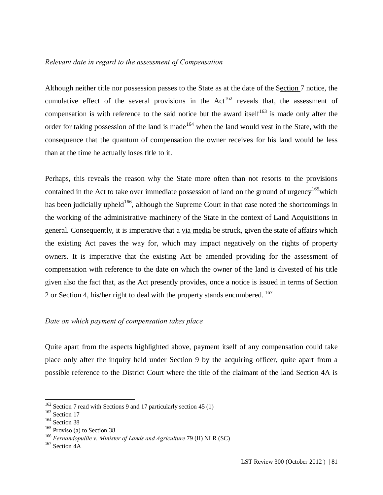## *Relevant date in regard to the assessment of Compensation*

Although neither title nor possession passes to the State as at the date of the Section 7 notice, the cumulative effect of the several provisions in the  $Act^{162}$  reveals that, the assessment of compensation is with reference to the said notice but the award itself<sup>163</sup> is made only after the order for taking possession of the land is made<sup>164</sup> when the land would vest in the State, with the consequence that the quantum of compensation the owner receives for his land would be less than at the time he actually loses title to it.

Perhaps, this reveals the reason why the State more often than not resorts to the provisions contained in the Act to take over immediate possession of land on the ground of urgency<sup>165</sup>which has been judicially upheld<sup>166</sup>, although the Supreme Court in that case noted the shortcomings in the working of the administrative machinery of the State in the context of Land Acquisitions in general. Consequently, it is imperative that a via media be struck, given the state of affairs which the existing Act paves the way for, which may impact negatively on the rights of property owners. It is imperative that the existing Act be amended providing for the assessment of compensation with reference to the date on which the owner of the land is divested of his title given also the fact that, as the Act presently provides, once a notice is issued in terms of Section 2 or Section 4, his/her right to deal with the property stands encumbered. 167

## *Date on which payment of compensation takes place*

Quite apart from the aspects highlighted above, payment itself of any compensation could take place only after the inquiry held under Section 9 by the acquiring officer, quite apart from a possible reference to the District Court where the title of the claimant of the land Section 4A is

<sup>&</sup>lt;sup>162</sup> Section 7 read with Sections 9 and 17 particularly section 45 (1)

<sup>&</sup>lt;sup>163</sup> Section 17

<sup>164</sup> Section 38

<sup>&</sup>lt;sup>165</sup> Proviso (a) to Section 38

<sup>166</sup> *Fernandopullle v. Minister of Lands and Agriculture* 79 (II) NLR (SC)

<sup>&</sup>lt;sup>167</sup> Section 4A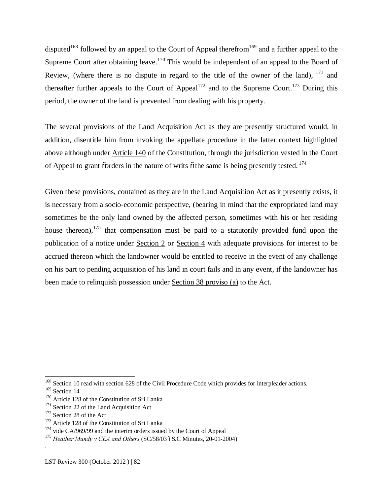disputed<sup>168</sup> followed by an appeal to the Court of Appeal therefrom<sup>169</sup> and a further appeal to the Supreme Court after obtaining leave.<sup>170</sup> This would be independent of an appeal to the Board of Review, (where there is no dispute in regard to the title of the owner of the land),  $^{171}$  and thereafter further appeals to the Court of Appeal<sup>172</sup> and to the Supreme Court.<sup>173</sup> During this period, the owner of the land is prevented from dealing with his property.

The several provisions of the Land Acquisition Act as they are presently structured would, in addition, disentitle him from invoking the appellate procedure in the latter context highlighted above although under Article 140 of the Constitution, through the jurisdiction vested in the Court of Appeal to grant  $\tilde{\text{o}}$  rders in the nature of writs  $\tilde{\text{o}}$  the same is being presently tested. <sup>174</sup>

Given these provisions, contained as they are in the Land Acquisition Act as it presently exists, it is necessary from a socio-economic perspective, (bearing in mind that the expropriated land may sometimes be the only land owned by the affected person, sometimes with his or her residing house thereon),<sup>175</sup> that compensation must be paid to a statutorily provided fund upon the publication of a notice under Section 2 or Section 4 with adequate provisions for interest to be accrued thereon which the landowner would be entitled to receive in the event of any challenge on his part to pending acquisition of his land in court fails and in any event, if the landowner has been made to relinquish possession under Section 38 proviso (a) to the Act.

.

<sup>&</sup>lt;sup>168</sup> Section 10 read with section 628 of the Civil Procedure Code which provides for interpleader actions.

<sup>&</sup>lt;sup>169</sup> Section 14

<sup>170</sup> Article 128 of the Constitution of Sri Lanka

<sup>&</sup>lt;sup>171</sup> Section 22 of the Land Acquisition Act

<sup>&</sup>lt;sup>172</sup> Section 28 of the Act

<sup>173</sup> Article 128 of the Constitution of Sri Lanka

 $174$  vide CA/969/99 and the interim orders issued by the Court of Appeal

<sup>&</sup>lt;sup>175</sup> *Heather Mundy v CEA and Others* (SC/58/03 6S.C Minutes, 20-01-2004)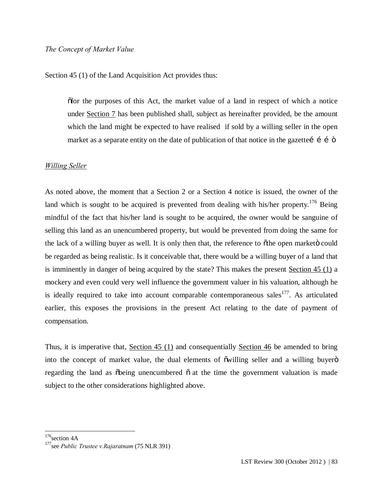Section 45 (1) of the Land Acquisition Act provides thus:

"for the purposes of this Act, the market value of a land in respect of which a notice under Section 7 has been published shall, subject as hereinafter provided, be the amount which the land might be expected to have realised if sold by a willing seller in the open market as a separate entity on the date of publication of that notice in the gazette  $\hat{i}$  i  $\hat{o}$ 

#### *Willing Seller*

As noted above, the moment that a Section 2 or a Section 4 notice is issued, the owner of the land which is sought to be acquired is prevented from dealing with his/her property.<sup>176</sup> Being mindful of the fact that his/her land is sought to be acquired, the owner would be sanguine of selling this land as an unencumbered property, but would be prevented from doing the same for the lack of a willing buyer as well. It is only then that, the reference to othe open marketo could be regarded as being realistic. Is it conceivable that, there would be a willing buyer of a land that is imminently in danger of being acquired by the state? This makes the present Section 45 (1) a mockery and even could very well influence the government valuer in his valuation, although he is ideally required to take into account comparable contemporaneous sales<sup>177</sup>. As articulated earlier, this exposes the provisions in the present Act relating to the date of payment of compensation.

Thus, it is imperative that, Section 45 (1) and consequentially Section 46 be amended to bring into the concept of market value, the dual elements of  $\tilde{\text{owilling}}$  seller and a willing buyero regarding the land as  $\delta$ being unencumbered  $\delta$  at the time the government valuation is made subject to the other considerations highlighted above.

 $176$ section 4A

<sup>177</sup> see *Public Trustee v.Rajaratnam* (75 NLR 391)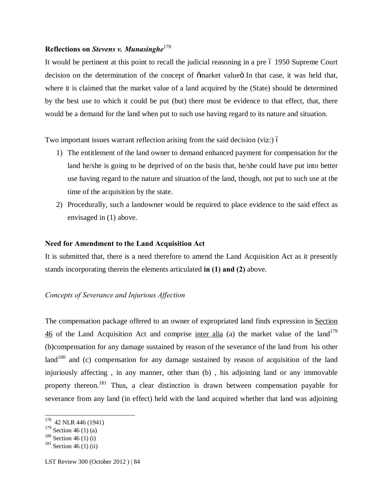## **Reflections on** *Stevens v. Munasinghe*<sup>178</sup>

It would be pertinent at this point to recall the judicial reasoning in a pre 6 1950 Supreme Court decision on the determination of the concept of  $\tilde{c}$  market value In that case, it was held that, where it is claimed that the market value of a land acquired by the (State) should be determined by the best use to which it could be put (but) there must be evidence to that effect, that, there would be a demand for the land when put to such use having regard to its nature and situation.

Two important issues warrant reflection arising from the said decision (viz:)  $\acute{o}$ 

- 1) The entitlement of the land owner to demand enhanced payment for compensation for the land he/she is going to be deprived of on the basis that, he/she could have put into better use having regard to the nature and situation of the land, though, not put to such use at the time of the acquisition by the state.
- 2) Procedurally, such a landowner would be required to place evidence to the said effect as envisaged in (1) above.

#### **Need for Amendment to the Land Acquisition Act**

It is submitted that, there is a need therefore to amend the Land Acquisition Act as it presently stands incorporating therein the elements articulated **in (1) and (2)** above.

#### *Concepts of Severance and Injurious Affection*

The compensation package offered to an owner of expropriated land finds expression in Section  $\frac{46}{10}$  of the Land Acquisition Act and comprise inter alia (a) the market value of the land<sup>179</sup> (b)compensation for any damage sustained by reason of the severance of the land from his other land<sup>180</sup> and (c) compensation for any damage sustained by reason of acquisition of the land injuriously affecting , in any manner, other than (b) , his adjoining land or any immovable property thereon.<sup>181</sup> Thus, a clear distinction is drawn between compensation payable for severance from any land (in effect) held with the land acquired whether that land was adjoining

 <sup>178</sup> 42 NLR 446 (1941)

 $179$  Section 46 (1) (a)

 $180$  Section 46 (1) (i)

 $181$  Section 46 (1) (ii)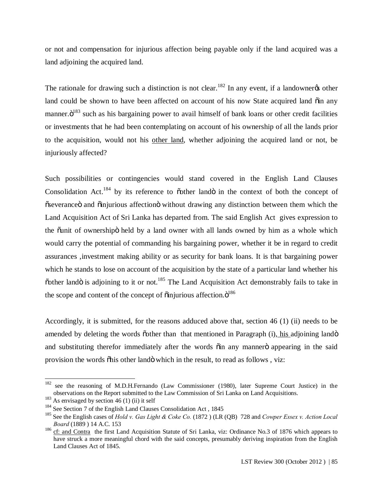or not and compensation for injurious affection being payable only if the land acquired was a land adjoining the acquired land.

The rationale for drawing such a distinction is not clear.<sup>182</sup> In any event, if a landowner  $\alpha$  other land could be shown to have been affected on account of his now State acquired land  $\ddot{\text{o}}$  in any manner. $\ddot{\text{o}}^{183}$  such as his bargaining power to avail himself of bank loans or other credit facilities or investments that he had been contemplating on account of his ownership of all the lands prior to the acquisition, would not his other land, whether adjoining the acquired land or not, be injuriously affected?

Such possibilities or contingencies would stand covered in the English Land Clauses Consolidation Act.<sup>184</sup> by its reference to  $\tilde{\text{other}}$  land $\tilde{\text{O}}$  in the context of both the concept of  $\tilde{\text{c}}$  severance and  $\tilde{\text{c}}$  injurious affection  $\ddot{\text{c}}$  without drawing any distinction between them which the Land Acquisition Act of Sri Lanka has departed from. The said English Act gives expression to the  $\ddot{\text{a}}$  unit of ownership held by a land owner with all lands owned by him as a whole which would carry the potential of commanding his bargaining power, whether it be in regard to credit assurances ,investment making ability or as security for bank loans. It is that bargaining power which he stands to lose on account of the acquisition by the state of a particular land whether his  $\ddot{\text{o}}$  cother land is adjoining to it or not.<sup>185</sup> The Land Acquisition Act demonstrably fails to take in the scope and content of the concept of  $\ddot{\text{o}}$  injurious affection. $\ddot{\text{o}}^{186}$ 

Accordingly, it is submitted, for the reasons adduced above that, section 46 (1) (ii) needs to be amended by deleting the words other than that mentioned in Paragraph (i), his adjoining lando and substituting therefor immediately after the words  $\ddot{o}$  in any manner $\ddot{o}$  appearing in the said provision the words "his other land" which in the result, to read as follows , viz:

<sup>&</sup>lt;sup>182</sup> see the reasoning of M.D.H.Fernando (Law Commissioner (1980), later Supreme Court Justice) in the observations on the Report submitted to the Law Commission of Sri Lanka on Land Acquisitions.

 $183$  As envisaged by section 46 (1) (ii) it self

<sup>184</sup> See Section 7 of the English Land Clauses Consolidation Act , 1845

<sup>185</sup> See the English cases of *Hold v. Gas Light & Coke Co.* (1872 ) (LR (QB) 728 and *Cowper Essex v. Action Local Board* (1889 ) 14 A.C. 153

<sup>186</sup> cf: and Contra the first Land Acquisition Statute of Sri Lanka, viz: Ordinance No.3 of 1876 which appears to have struck a more meaningful chord with the said concepts, presumably deriving inspiration from the English Land Clauses Act of 1845.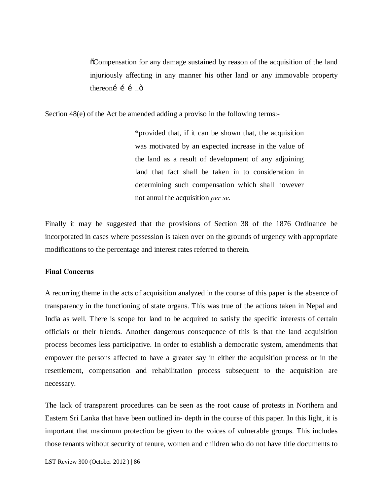"Compensation for any damage sustained by reason of the acquisition of the land injuriously affecting in any manner his other land or any immovable property thereoní í  $\ddot{\text{o}}$ ....

Section 48(e) of the Act be amended adding a proviso in the following terms:-

**"**provided that, if it can be shown that, the acquisition was motivated by an expected increase in the value of the land as a result of development of any adjoining land that fact shall be taken in to consideration in determining such compensation which shall however not annul the acquisition *per se.*

Finally it may be suggested that the provisions of Section 38 of the 1876 Ordinance be incorporated in cases where possession is taken over on the grounds of urgency with appropriate modifications to the percentage and interest rates referred to therein.

#### **Final Concerns**

A recurring theme in the acts of acquisition analyzed in the course of this paper is the absence of transparency in the functioning of state organs. This was true of the actions taken in Nepal and India as well. There is scope for land to be acquired to satisfy the specific interests of certain officials or their friends. Another dangerous consequence of this is that the land acquisition process becomes less participative. In order to establish a democratic system, amendments that empower the persons affected to have a greater say in either the acquisition process or in the resettlement, compensation and rehabilitation process subsequent to the acquisition are necessary.

The lack of transparent procedures can be seen as the root cause of protests in Northern and Eastern Sri Lanka that have been outlined in- depth in the course of this paper. In this light, it is important that maximum protection be given to the voices of vulnerable groups. This includes those tenants without security of tenure, women and children who do not have title documents to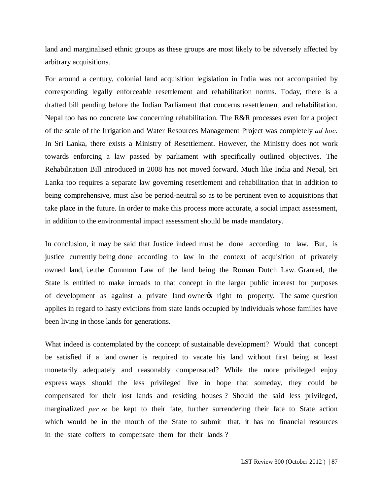land and marginalised ethnic groups as these groups are most likely to be adversely affected by arbitrary acquisitions.

For around a century, colonial land acquisition legislation in India was not accompanied by corresponding legally enforceable resettlement and rehabilitation norms. Today, there is a drafted bill pending before the Indian Parliament that concerns resettlement and rehabilitation. Nepal too has no concrete law concerning rehabilitation. The R&R processes even for a project of the scale of the Irrigation and Water Resources Management Project was completely *ad hoc*. In Sri Lanka, there exists a Ministry of Resettlement. However, the Ministry does not work towards enforcing a law passed by parliament with specifically outlined objectives. The Rehabilitation Bill introduced in 2008 has not moved forward. Much like India and Nepal, Sri Lanka too requires a separate law governing resettlement and rehabilitation that in addition to being comprehensive, must also be period-neutral so as to be pertinent even to acquisitions that take place in the future. In order to make this process more accurate, a social impact assessment, in addition to the environmental impact assessment should be made mandatory.

In conclusion, it may be said that Justice indeed must be done according to law. But, is justice currently being done according to law in the context of acquisition of privately owned land, i.e.the Common Law of the land being the Roman Dutch Law. Granted, the State is entitled to make inroads to that concept in the larger public interest for purposes of development as against a private land owner the right to property. The same question applies in regard to hasty evictions from state lands occupied by individuals whose families have been living in those lands for generations.

What indeed is contemplated by the concept of sustainable development? Would that concept be satisfied if a land owner is required to vacate his land without first being at least monetarily adequately and reasonably compensated? While the more privileged enjoy express ways should the less privileged live in hope that someday, they could be compensated for their lost lands and residing houses ? Should the said less privileged, marginalized *per se* be kept to their fate, further surrendering their fate to State action which would be in the mouth of the State to submit that, it has no financial resources in the state coffers to compensate them for their lands ?